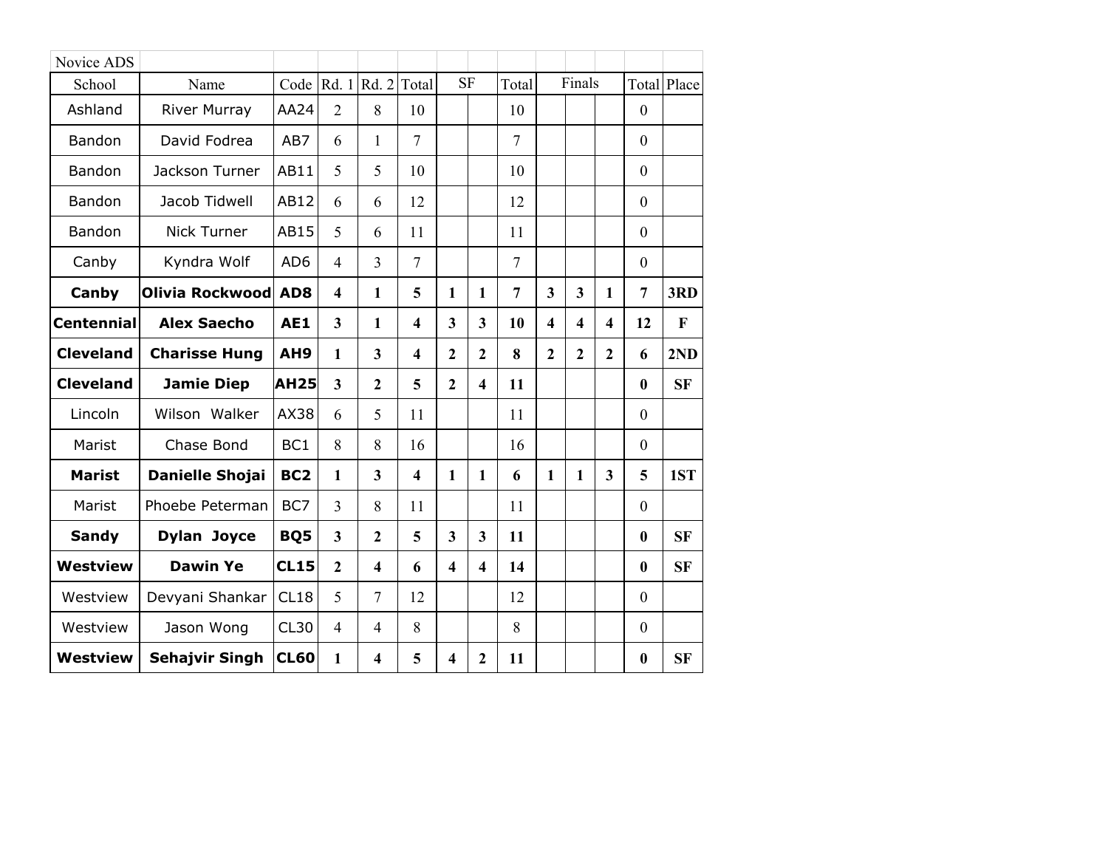| Novice ADS        |                       |                 |                         |                         |                         |                         |                |                |                         |                         |                         |                  |                    |
|-------------------|-----------------------|-----------------|-------------------------|-------------------------|-------------------------|-------------------------|----------------|----------------|-------------------------|-------------------------|-------------------------|------------------|--------------------|
| School            | Name                  | Code            | Rd.1                    | Rd. 2                   | Total                   | <b>SF</b>               |                | Total          |                         | Finals                  |                         |                  | <b>Total Place</b> |
| Ashland           | <b>River Murray</b>   | AA24            | $\overline{2}$          | 8                       | 10                      |                         |                | 10             |                         |                         |                         | $\mathbf{0}$     |                    |
| Bandon            | David Fodrea          | AB7             | 6                       | 1                       | $\tau$                  |                         |                | $\overline{7}$ |                         |                         |                         | $\theta$         |                    |
| Bandon            | Jackson Turner        | AB11            | 5                       | 5                       | 10                      |                         |                | 10             |                         |                         |                         | $\mathbf{0}$     |                    |
| Bandon            | Jacob Tidwell         | AB12            | 6                       | 6                       | 12                      |                         |                | 12             |                         |                         |                         | $\mathbf{0}$     |                    |
| Bandon            | Nick Turner           | AB15            | 5                       | 6                       | 11                      |                         |                | 11             |                         |                         |                         | $\mathbf{0}$     |                    |
| Canby             | Kyndra Wolf           | AD <sub>6</sub> | $\overline{4}$          | $\overline{3}$          | $\overline{7}$          |                         |                | $\overline{7}$ |                         |                         |                         | $\mathbf{0}$     |                    |
| Canby             | Olivia Rockwood       | AD <sub>8</sub> | $\overline{\mathbf{4}}$ | 1                       | 5                       | 1                       | 1              | 7              | $\overline{\mathbf{3}}$ | $\mathbf{3}$            | 1                       | $\overline{7}$   | 3RD                |
| <b>Centennial</b> | <b>Alex Saecho</b>    | <b>AE1</b>      | $\overline{\mathbf{3}}$ | 1                       | $\overline{\mathbf{4}}$ | $\overline{\mathbf{3}}$ | 3              | 10             | $\overline{\mathbf{4}}$ | $\overline{\mathbf{4}}$ | $\overline{\mathbf{4}}$ | 12               | $\mathbf{F}$       |
| <b>Cleveland</b>  | <b>Charisse Hung</b>  | AH9             | $\mathbf{1}$            | $\overline{\mathbf{3}}$ | $\overline{\mathbf{4}}$ | $\overline{2}$          | $\overline{2}$ | 8              | $\overline{2}$          | $\overline{2}$          | $\overline{2}$          | 6                | 2ND                |
| <b>Cleveland</b>  | <b>Jamie Diep</b>     | <b>AH25</b>     | $\mathbf{3}$            | $\overline{2}$          | 5                       | $\overline{2}$          | 4              | 11             |                         |                         |                         | $\bf{0}$         | <b>SF</b>          |
| Lincoln           | Wilson Walker         | AX38            | 6                       | 5                       | 11                      |                         |                | 11             |                         |                         |                         | $\mathbf{0}$     |                    |
| Marist            | Chase Bond            | BC <sub>1</sub> | 8                       | 8                       | 16                      |                         |                | 16             |                         |                         |                         | $\mathbf{0}$     |                    |
| <b>Marist</b>     | Danielle Shojai       | BC <sub>2</sub> | $\mathbf{1}$            | $\overline{\mathbf{3}}$ | $\overline{\mathbf{4}}$ | $\mathbf{1}$            | 1              | 6              | 1                       | $\mathbf{1}$            | $\overline{\mathbf{3}}$ | 5                | 1ST                |
| Marist            | Phoebe Peterman       | BC7             | $\overline{3}$          | 8                       | 11                      |                         |                | 11             |                         |                         |                         | $\theta$         |                    |
| <b>Sandy</b>      | <b>Dylan Joyce</b>    | BQ5             | $\mathbf{3}$            | $\overline{2}$          | 5                       | $\overline{\mathbf{3}}$ | 3              | 11             |                         |                         |                         | $\bf{0}$         | <b>SF</b>          |
| <b>Westview</b>   | <b>Dawin Ye</b>       | <b>CL15</b>     | $\overline{2}$          | $\overline{\mathbf{4}}$ | 6                       | $\overline{\mathbf{4}}$ | 4              | 14             |                         |                         |                         | $\bf{0}$         | <b>SF</b>          |
| Westview          | Devyani Shankar       | CL18            | 5                       | $\overline{7}$          | 12                      |                         |                | 12             |                         |                         |                         | $\mathbf{0}$     |                    |
| Westview          | Jason Wong            | <b>CL30</b>     | $\overline{4}$          | $\overline{4}$          | 8                       |                         |                | 8              |                         |                         |                         | $\boldsymbol{0}$ |                    |
| <b>Westview</b>   | <b>Sehajvir Singh</b> | <b>CL60</b>     | 1                       | $\overline{\mathbf{4}}$ | 5                       | 4                       | $\overline{2}$ | 11             |                         |                         |                         | $\bf{0}$         | <b>SF</b>          |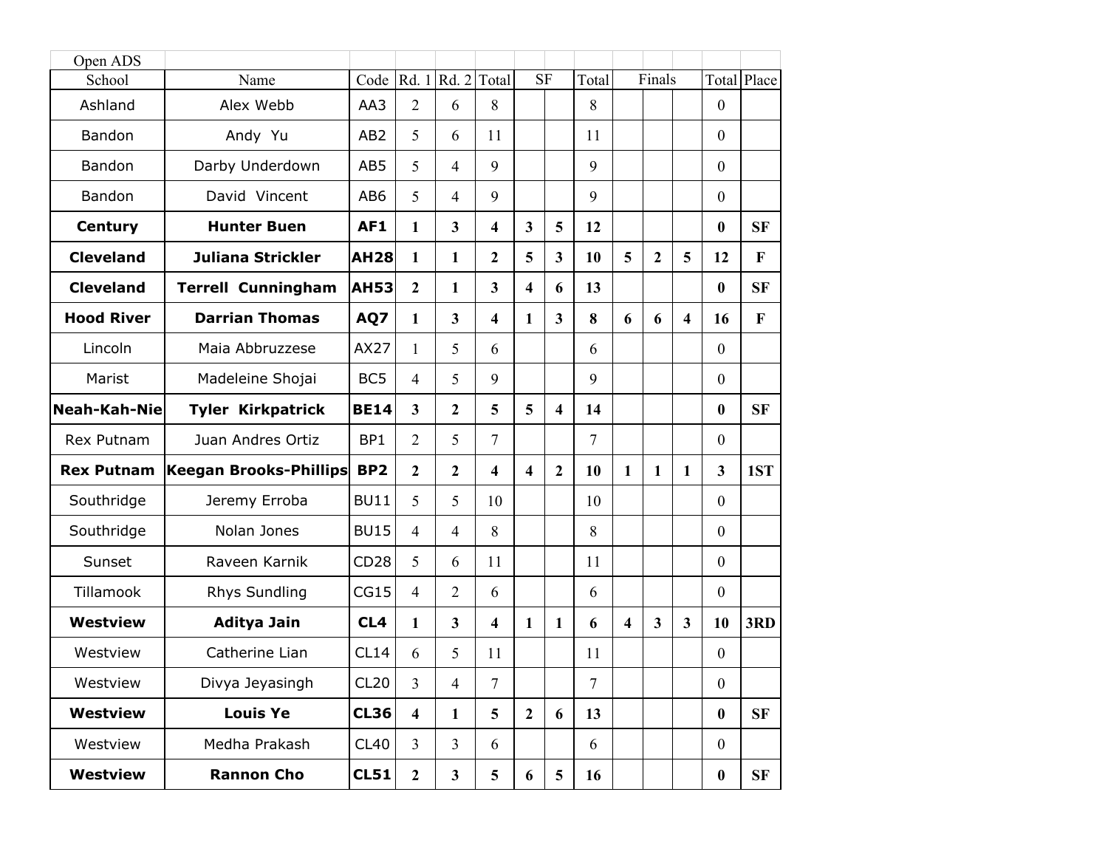| Open ADS            |                               |                  |                         |                         |                         |                         |                         |                |                         |                |                         |                  |              |
|---------------------|-------------------------------|------------------|-------------------------|-------------------------|-------------------------|-------------------------|-------------------------|----------------|-------------------------|----------------|-------------------------|------------------|--------------|
| School              | Name                          | Code             |                         | Rd. 1 Rd. 2             | Total                   | <b>SF</b>               |                         | Total          |                         | Finals         |                         |                  | Total Place  |
| Ashland             | Alex Webb                     | AA3              | $\overline{2}$          | 6                       | 8                       |                         |                         | 8              |                         |                |                         | $\mathbf{0}$     |              |
| Bandon              | Andy Yu                       | AB <sub>2</sub>  | 5                       | 6                       | 11                      |                         |                         | 11             |                         |                |                         | $\boldsymbol{0}$ |              |
| Bandon              | Darby Underdown               | AB5              | 5                       | $\overline{4}$          | 9                       |                         |                         | 9              |                         |                |                         | $\boldsymbol{0}$ |              |
| Bandon              | David Vincent                 | AB6              | 5                       | $\overline{4}$          | 9                       |                         |                         | 9              |                         |                |                         | $\mathbf{0}$     |              |
| <b>Century</b>      | <b>Hunter Buen</b>            | AF1              | 1                       | $\mathbf{3}$            | 4                       | $\overline{\mathbf{3}}$ | 5                       | 12             |                         |                |                         | $\bf{0}$         | <b>SF</b>    |
| <b>Cleveland</b>    | <b>Juliana Strickler</b>      | <b>AH28</b>      | 1                       | 1                       | $\mathbf{2}$            | 5                       | $\mathbf{3}$            | 10             | 5                       | $\overline{2}$ | 5                       | 12               | $\mathbf{F}$ |
| <b>Cleveland</b>    | <b>Terrell Cunningham</b>     | <b>AH53</b>      | $\overline{2}$          | 1                       | $\overline{\mathbf{3}}$ | $\overline{\mathbf{4}}$ | 6                       | 13             |                         |                |                         | $\bf{0}$         | <b>SF</b>    |
| <b>Hood River</b>   | <b>Darrian Thomas</b>         | AQ7              | 1                       | $\overline{\mathbf{3}}$ | $\overline{\mathbf{4}}$ | $\mathbf{1}$            | $\overline{\mathbf{3}}$ | 8              | 6                       | 6              | $\overline{\mathbf{4}}$ | 16               | $\mathbf F$  |
| Lincoln             | Maia Abbruzzese               | AX27             | 1                       | 5                       | 6                       |                         |                         | 6              |                         |                |                         | $\mathbf{0}$     |              |
| Marist              | Madeleine Shojai              | BC <sub>5</sub>  | $\overline{4}$          | 5                       | 9                       |                         |                         | 9              |                         |                |                         | $\mathbf{0}$     |              |
| <b>Neah-Kah-Nie</b> | <b>Tyler Kirkpatrick</b>      | <b>BE14</b>      | $\overline{3}$          | $\mathbf{2}$            | 5                       | 5                       | $\overline{\mathbf{4}}$ | 14             |                         |                |                         | $\bf{0}$         | <b>SF</b>    |
| Rex Putnam          | Juan Andres Ortiz             | BP <sub>1</sub>  | $\overline{2}$          | 5                       | $\overline{7}$          |                         |                         | $\overline{7}$ |                         |                |                         | $\boldsymbol{0}$ |              |
| <b>Rex Putnam</b>   | <b>Keegan Brooks-Phillips</b> | BP <sub>2</sub>  | $\mathbf{2}$            | $\mathbf{2}$            | 4                       | $\overline{\mathbf{4}}$ | $\mathbf{2}$            | 10             | 1                       | $\mathbf{1}$   | $\mathbf{1}$            | $\mathbf{3}$     | 1ST          |
| Southridge          | Jeremy Erroba                 | <b>BU11</b>      | 5                       | 5                       | 10                      |                         |                         | 10             |                         |                |                         | $\boldsymbol{0}$ |              |
| Southridge          | Nolan Jones                   | <b>BU15</b>      | $\overline{4}$          | $\overline{4}$          | 8                       |                         |                         | 8              |                         |                |                         | $\mathbf{0}$     |              |
| Sunset              | Raveen Karnik                 | CD <sub>28</sub> | 5                       | 6                       | 11                      |                         |                         | 11             |                         |                |                         | $\mathbf{0}$     |              |
| Tillamook           | <b>Rhys Sundling</b>          | CG15             | $\overline{4}$          | $\overline{2}$          | 6                       |                         |                         | 6              |                         |                |                         | $\mathbf{0}$     |              |
| <b>Westview</b>     | Aditya Jain                   | CL4              | 1                       | 3                       | $\overline{\mathbf{4}}$ | 1                       | $\mathbf{1}$            | 6              | $\overline{\mathbf{4}}$ | 3              | $\mathbf{3}$            | 10               | 3RD          |
| Westview            | Catherine Lian                | CL14             | 6                       | 5                       | 11                      |                         |                         | 11             |                         |                |                         | $\boldsymbol{0}$ |              |
| Westview            | Divya Jeyasingh               | CL20             | $\overline{3}$          | $\overline{4}$          | $\tau$                  |                         |                         | $\overline{7}$ |                         |                |                         | $\mathbf{0}$     |              |
| <b>Westview</b>     | <b>Louis Ye</b>               | <b>CL36</b>      | $\overline{\mathbf{4}}$ | $\mathbf{1}$            | 5 <sup>5</sup>          | $\mathbf{2}$            | 6                       | 13             |                         |                |                         | $\boldsymbol{0}$ | <b>SF</b>    |
| Westview            | Medha Prakash                 | CL40             | $\overline{3}$          | $\overline{3}$          | 6                       |                         |                         | 6              |                         |                |                         | $\boldsymbol{0}$ |              |
| <b>Westview</b>     | <b>Rannon Cho</b>             | <b>CL51</b>      | $\overline{2}$          | $\mathbf{3}$            | 5 <sup>5</sup>          | 6                       | $5\phantom{.0}$         | 16             |                         |                |                         | $\boldsymbol{0}$ | SF           |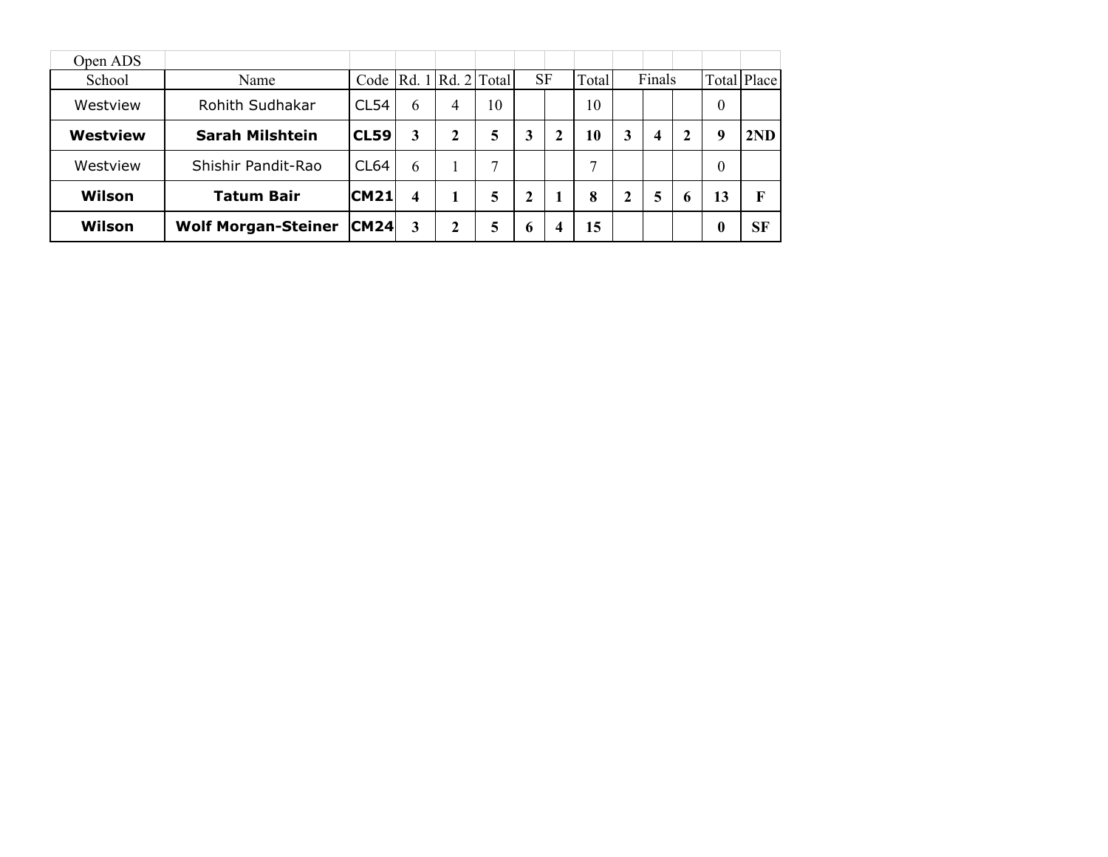| Open ADS |                            |                  |   |   |                   |           |              |       |   |                  |             |          |             |
|----------|----------------------------|------------------|---|---|-------------------|-----------|--------------|-------|---|------------------|-------------|----------|-------------|
| School   | Name                       | Code             |   |   | Rd. 1 Rd. 2 Total | <b>SF</b> |              | Total |   | Finals           |             |          | Total Place |
| Westview | Rohith Sudhakar            | CL54             | 6 | 4 | 10                |           |              | 10    |   |                  |             | $\theta$ |             |
| Westview | <b>Sarah Milshtein</b>     | <b>CL59</b>      | 3 | 2 | 5                 | 3         | $\mathbf{2}$ | 10    | 3 | $\boldsymbol{4}$ | $\mathbf 2$ | 9        | 2ND         |
| Westview | Shishir Pandit-Rao         | CL <sub>64</sub> | 6 |   | $\mathcal{I}$     |           |              | 7     |   |                  |             | $\theta$ |             |
| Wilson   | <b>Tatum Bair</b>          | CM21             | 4 |   | 5                 | 2         |              | 8     | 2 | 5                | 6           | 13       | F           |
| Wilson   | <b>Wolf Morgan-Steiner</b> | CM24             | 3 | 2 | 5                 | b         | 4            | 15    |   |                  |             | $\bf{0}$ | <b>SF</b>   |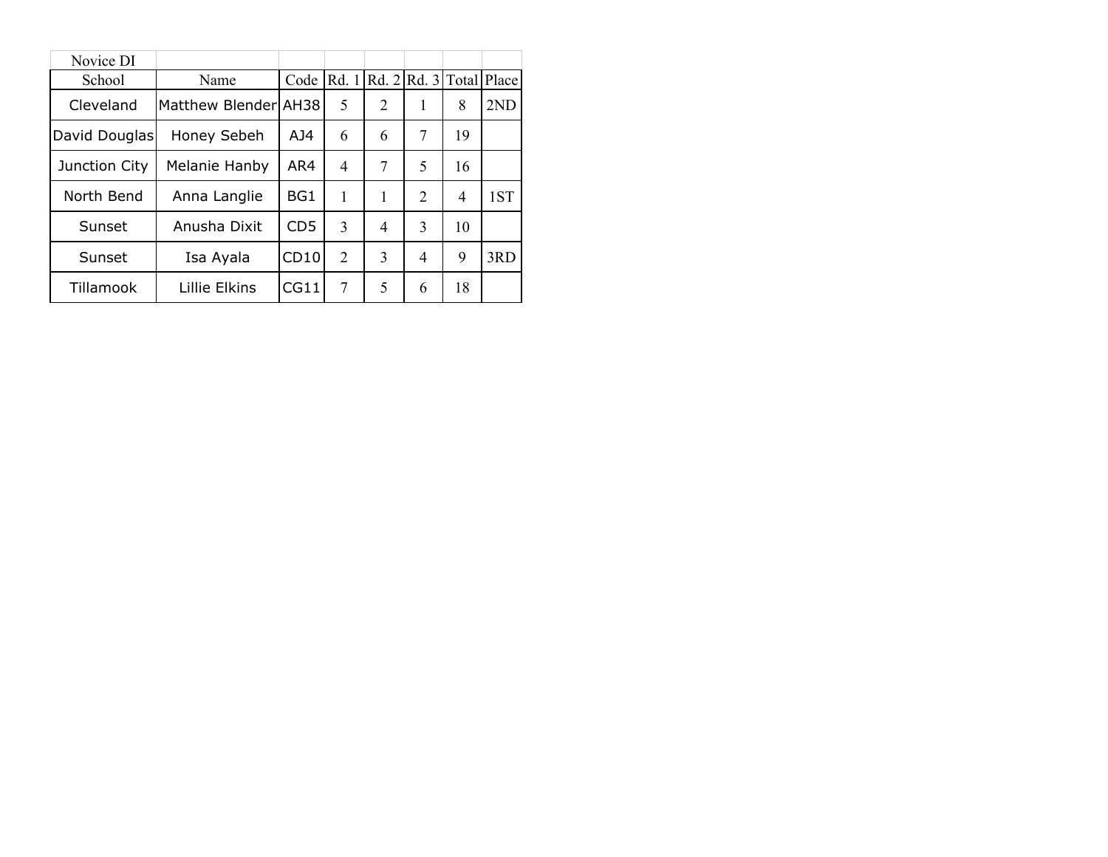| Novice DI     |                        |                 |                |                   |                |    |       |
|---------------|------------------------|-----------------|----------------|-------------------|----------------|----|-------|
| School        | Name                   | Code            | Rd. 1          | Rd. 2Rd. 3  Total |                |    | Place |
| Cleveland     | lMatthew Blenderl AH38 |                 | 5              | 2                 | 1              | 8  | 2ND   |
| David Douglas | Honey Sebeh            | AJ4             | 6              | 6                 | 7              | 19 |       |
| Junction City | Melanie Hanby          | AR4             | 4              | 7                 | 5              | 16 |       |
| North Bend    | Anna Langlie           | BG1             | 1              | 1                 | $\overline{2}$ | 4  | 1ST   |
| Sunset        | Anusha Dixit           | CD <sub>5</sub> | 3              | 4                 | 3              | 10 |       |
| Sunset        | Isa Ayala              | CD10            | $\overline{2}$ | 3                 | 4              | 9  | 3RD   |
| Tillamook     | Lillie Elkins          | CG11            | 7              | 5                 | 6              | 18 |       |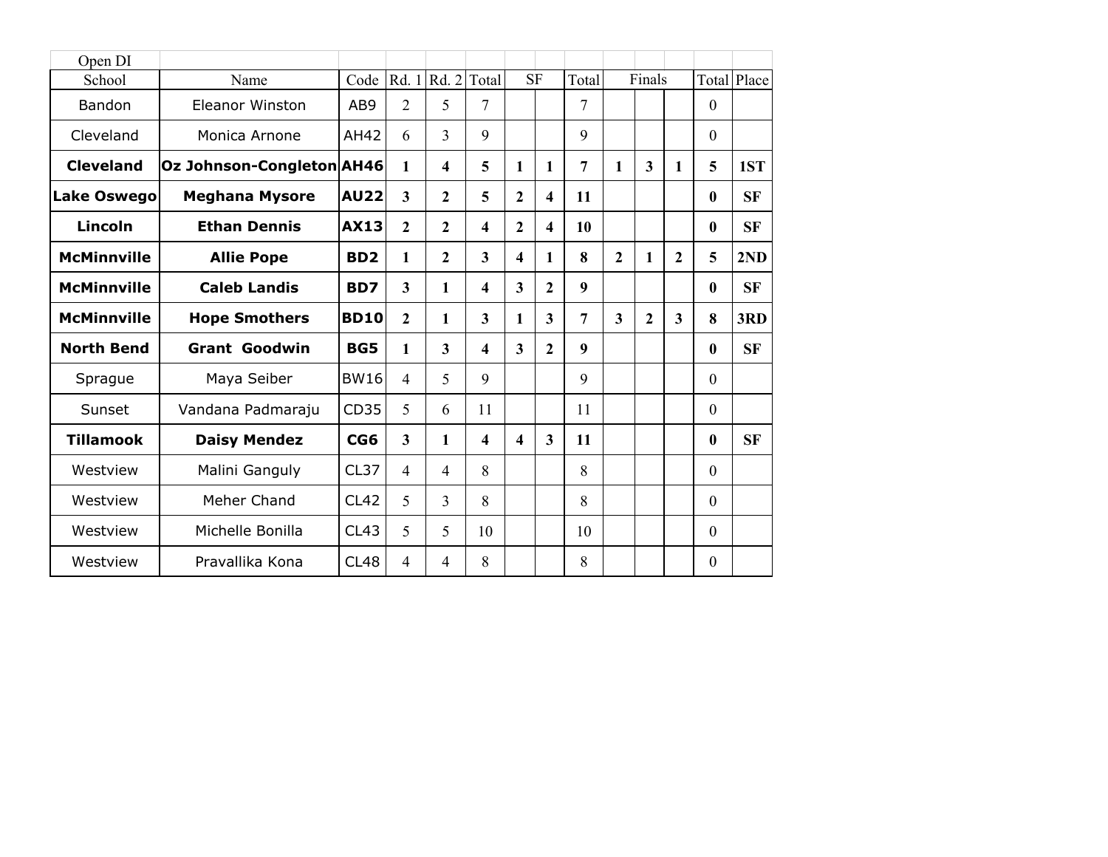| Open DI            |                                  |                 |                         |                   |                         |                         |                  |                  |                |                |                |                  |             |
|--------------------|----------------------------------|-----------------|-------------------------|-------------------|-------------------------|-------------------------|------------------|------------------|----------------|----------------|----------------|------------------|-------------|
| School             | Name                             | Code            |                         | Rd. 1 Rd. 2 Total |                         |                         | <b>SF</b>        | Total            |                | Finals         |                |                  | Total Place |
| Bandon             | <b>Eleanor Winston</b>           | AB9             | $\overline{2}$          | 5                 | 7                       |                         |                  | 7                |                |                |                | $\mathbf{0}$     |             |
| Cleveland          | Monica Arnone                    | AH42            | 6                       | 3                 | 9                       |                         |                  | 9                |                |                |                | $\mathbf{0}$     |             |
| <b>Cleveland</b>   | <b>Oz Johnson-Congleton AH46</b> |                 | 1                       | 4                 | 5                       | 1                       | 1                | 7                | $\mathbf{1}$   | 3              | 1              | 5                | 1ST         |
| <b>Lake Oswego</b> | <b>Meghana Mysore</b>            | <b>AU22</b>     | $\overline{3}$          | $\overline{2}$    | 5                       | $\overline{2}$          | 4                | 11               |                |                |                | $\bf{0}$         | <b>SF</b>   |
| Lincoln            | <b>Ethan Dennis</b>              | <b>AX13</b>     | $\overline{2}$          | $\overline{2}$    | $\overline{\mathbf{4}}$ | $\mathbf{2}$            | $\boldsymbol{4}$ | 10               |                |                |                | $\bf{0}$         | <b>SF</b>   |
| <b>McMinnville</b> | <b>Allie Pope</b>                | BD <sub>2</sub> | 1                       | 2                 | $\overline{\mathbf{3}}$ | $\boldsymbol{4}$        | $\mathbf{1}$     | 8                | $\overline{2}$ | 1              | $\overline{2}$ | 5                | 2ND         |
| <b>McMinnville</b> | <b>Caleb Landis</b>              | BD7             | $\overline{\mathbf{3}}$ | 1                 | $\overline{\mathbf{4}}$ | $\overline{\mathbf{3}}$ | $\mathbf{2}$     | $\boldsymbol{9}$ |                |                |                | $\boldsymbol{0}$ | <b>SF</b>   |
| <b>McMinnville</b> | <b>Hope Smothers</b>             | <b>BD10</b>     | $\overline{2}$          | 1                 | $\overline{\mathbf{3}}$ | 1                       | 3                | 7                | 3              | $\overline{2}$ | $\mathbf{3}$   | 8                | 3RD         |
| <b>North Bend</b>  | <b>Grant Goodwin</b>             | <b>BG5</b>      | 1                       | 3                 | $\overline{\mathbf{4}}$ | 3                       | $\mathbf{2}$     | 9                |                |                |                | $\bf{0}$         | <b>SF</b>   |
| Sprague            | Maya Seiber                      | <b>BW16</b>     | $\overline{4}$          | 5                 | 9                       |                         |                  | 9                |                |                |                | $\mathbf{0}$     |             |
| Sunset             | Vandana Padmaraju                | CD35            | 5                       | 6                 | 11                      |                         |                  | 11               |                |                |                | $\theta$         |             |
| <b>Tillamook</b>   | <b>Daisy Mendez</b>              | CG6             | $\overline{3}$          | 1                 | $\overline{\mathbf{4}}$ | $\overline{\mathbf{4}}$ | $\mathbf{3}$     | 11               |                |                |                | $\boldsymbol{0}$ | <b>SF</b>   |
| Westview           | Malini Ganguly                   | CL37            | $\overline{4}$          | 4                 | 8                       |                         |                  | 8                |                |                |                | $\mathbf{0}$     |             |
| Westview           | Meher Chand                      | <b>CL42</b>     | 5                       | 3                 | 8                       |                         |                  | 8                |                |                |                | $\Omega$         |             |
| Westview           | Michelle Bonilla                 | CL43            | 5                       | 5                 | 10                      |                         |                  | 10               |                |                |                | $\mathbf{0}$     |             |
| Westview           | Pravallika Kona                  | <b>CL48</b>     | $\overline{4}$          | 4                 | 8                       |                         |                  | 8                |                |                |                | $\theta$         |             |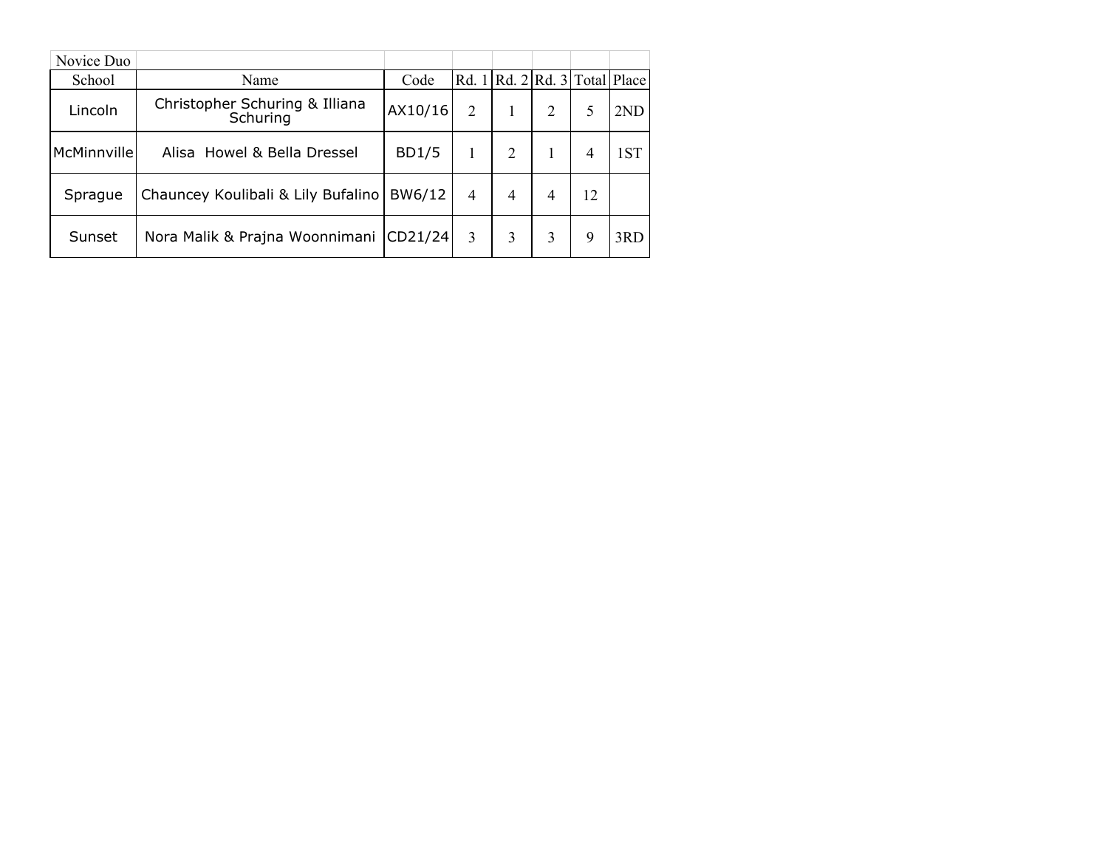| Novice Duo  |                                            |              |                |                                         |   |    |     |
|-------------|--------------------------------------------|--------------|----------------|-----------------------------------------|---|----|-----|
| School      | Name                                       | Code         |                | Rd. $1   Rd. 2   Rd. 3   Total   Place$ |   |    |     |
| Lincoln     | Christopher Schuring & Illiana<br>Schuring | AX10/16      | $\overline{2}$ |                                         | 2 |    | 2ND |
| McMinnville | Alisa Howel & Bella Dressel                | <b>BD1/5</b> |                | 2                                       |   | 4  | 1ST |
| Sprague     | Chauncey Koulibali & Lily Bufalino         | BW6/12       | $\overline{4}$ | 4                                       | 4 | 12 |     |
| Sunset      | Nora Malik & Prajna Woonnimani             | CD21/24      | 3              | 3                                       | 3 | 9  | 3RD |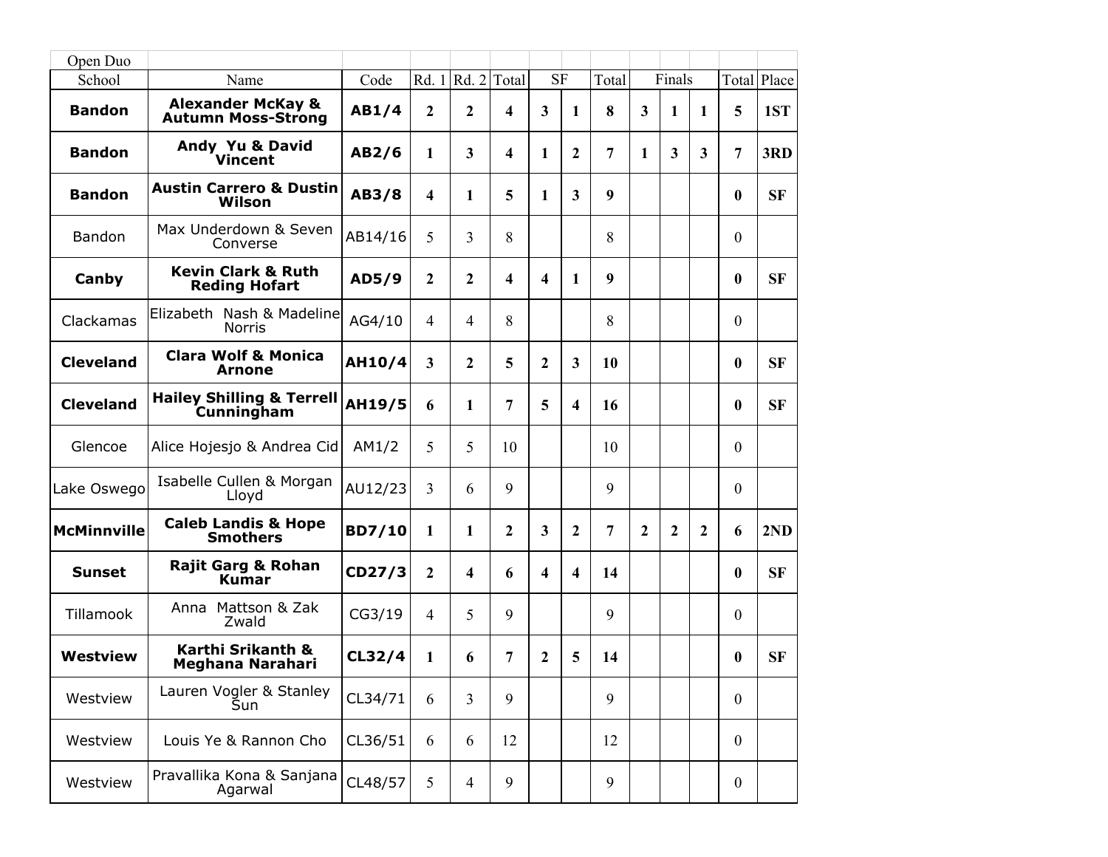| Open Duo           |                                                           |               |                |                          |              |                         |                         |       |                         |                  |   |                  |             |
|--------------------|-----------------------------------------------------------|---------------|----------------|--------------------------|--------------|-------------------------|-------------------------|-------|-------------------------|------------------|---|------------------|-------------|
| School             | Name                                                      | Code          |                | Rd. 1   Rd. 2            | Total        | <b>SF</b>               |                         | Total |                         | Finals           |   |                  | Total Place |
| <b>Bandon</b>      | <b>Alexander McKay &amp;</b><br><b>Autumn Moss-Strong</b> | AB1/4         | 2              | 2                        | 4            | 3                       | 1                       | 8     | $\overline{\mathbf{3}}$ | 1                | 1 | 5                | 1ST         |
| <b>Bandon</b>      | Andy Yu & David<br><b>Vincent</b>                         | AB2/6         | 1              | 3                        | 4            | 1                       | 2                       | 7     | 1                       | 3                | 3 | 7                | 3RD         |
| <b>Bandon</b>      | <b>Austin Carrero &amp; Dustin</b><br>Wilson              | AB3/8         | 4              | 1                        | 5            | 1                       | 3                       | 9     |                         |                  |   | $\bf{0}$         | <b>SF</b>   |
| Bandon             | Max Underdown & Seven<br>Converse                         | AB14/16       | 5              | 3                        | 8            |                         |                         | 8     |                         |                  |   | $\mathbf{0}$     |             |
| Canby              | <b>Kevin Clark &amp; Ruth</b><br><b>Reding Hofart</b>     | AD5/9         | 2              | $\overline{2}$           | 4            | $\overline{\mathbf{4}}$ | 1                       | 9     |                         |                  |   | $\bf{0}$         | <b>SF</b>   |
| Clackamas          | Elizabeth Nash & Madeline<br><b>Norris</b>                | AG4/10        | $\overline{4}$ | 4                        | 8            |                         |                         | 8     |                         |                  |   | $\theta$         |             |
| <b>Cleveland</b>   | <b>Clara Wolf &amp; Monica</b><br>Arnone                  | <b>AH10/4</b> | 3              | 2                        | 5            | 2                       | 3                       | 10    |                         |                  |   | $\bf{0}$         | <b>SF</b>   |
| <b>Cleveland</b>   | <b>Hailey Shilling &amp; Terrell</b><br><b>Cunningham</b> | AH19/5        | 6              | 1                        | 7            | 5                       | $\overline{\mathbf{4}}$ | 16    |                         |                  |   | $\bf{0}$         | <b>SF</b>   |
| Glencoe            | Alice Hojesjo & Andrea Cid                                | AM1/2         | 5              | 5                        | 10           |                         |                         | 10    |                         |                  |   | $\mathbf{0}$     |             |
| Lake Oswego        | Isabelle Cullen & Morgan<br>Lloyd                         | AU12/23       | 3              | 6                        | 9            |                         |                         | 9     |                         |                  |   | $\theta$         |             |
| <b>McMinnville</b> | <b>Caleb Landis &amp; Hope</b><br><b>Smothers</b>         | <b>BD7/10</b> | 1              | 1                        | $\mathbf{2}$ | 3                       | 2                       | 7     | $\boldsymbol{2}$        | $\boldsymbol{2}$ | 2 | 6                | 2ND         |
| <b>Sunset</b>      | <b>Rajit Garg &amp; Rohan</b><br><b>Kumar</b>             | CD27/3        | 2              | $\overline{\mathbf{4}}$  | 6            | $\overline{\mathbf{4}}$ | 4                       | 14    |                         |                  |   | $\bf{0}$         | <b>SF</b>   |
| Tillamook          | Anna Mattson & Zak<br>Zwald                               | CG3/19        | $\overline{4}$ | 5                        | 9            |                         |                         | 9     |                         |                  |   | $\theta$         |             |
| Westview           | Karthi Srikanth &<br><b>Meghana Narahari</b>              | CL32/4        | 1              | 6                        | 7            | 2                       | 5                       | 14    |                         |                  |   | $\mathbf{0}$     | <b>SF</b>   |
| Westview           | Lauren Vogler & Stanley<br>Sun                            | CL34/71       | 6              | 3                        | 9            |                         |                         | 9     |                         |                  |   | $\mathbf{0}$     |             |
| Westview           | Louis Ye & Rannon Cho                                     | CL36/51       | 6              | 6                        | 12           |                         |                         | 12    |                         |                  |   | $\theta$         |             |
| Westview           | Pravallika Kona & Sanjana<br>Agarwal                      | CL48/57       | 5              | $\overline{\mathcal{A}}$ | 9            |                         |                         | 9     |                         |                  |   | $\boldsymbol{0}$ |             |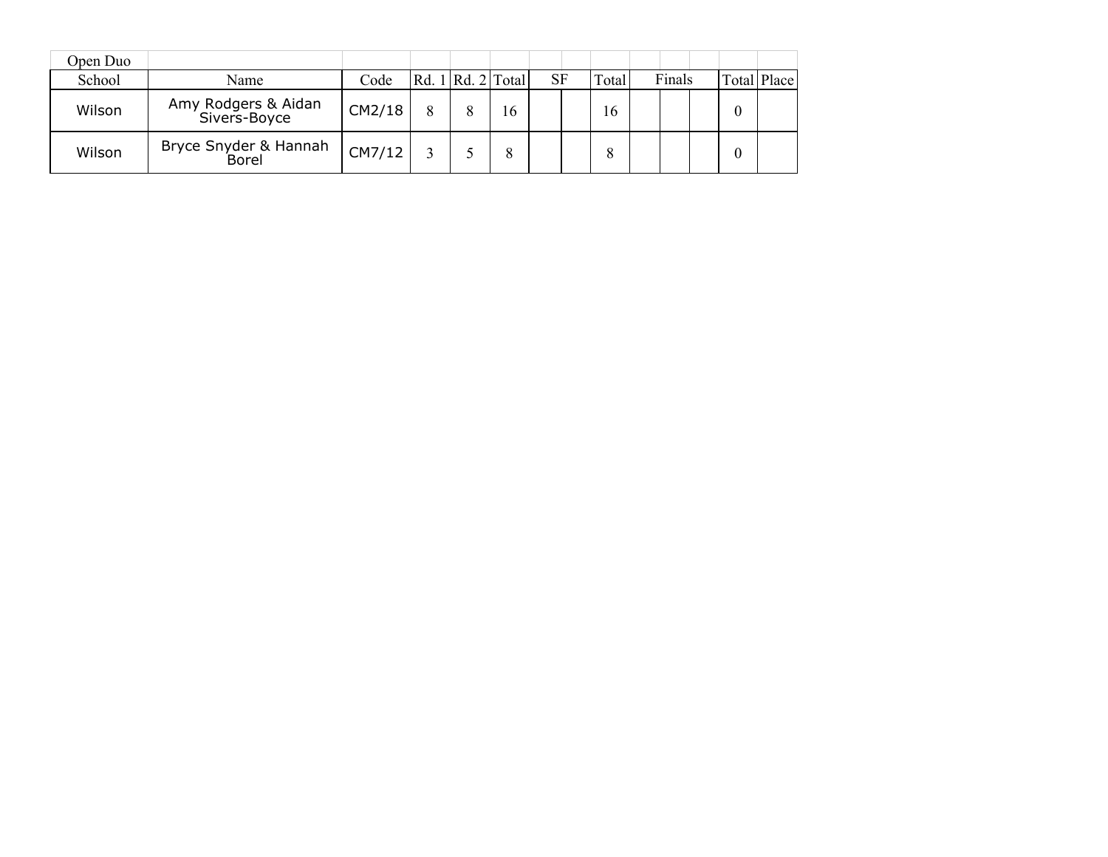| Open Duo |                                     |        |                       |    |           |        |        |  |             |
|----------|-------------------------------------|--------|-----------------------|----|-----------|--------|--------|--|-------------|
| School   | Name                                | Code   | Rd. 1   Rd. 2   Total |    | <b>SF</b> | Total. | Finals |  | Total Place |
| Wilson   | Amy Rodgers & Aidan<br>Sivers-Boyce | CM2/18 |                       | 16 |           | 16     |        |  |             |
| Wilson   | Bryce Snyder & Hannah<br>Borel      | CM7/12 |                       |    |           |        |        |  |             |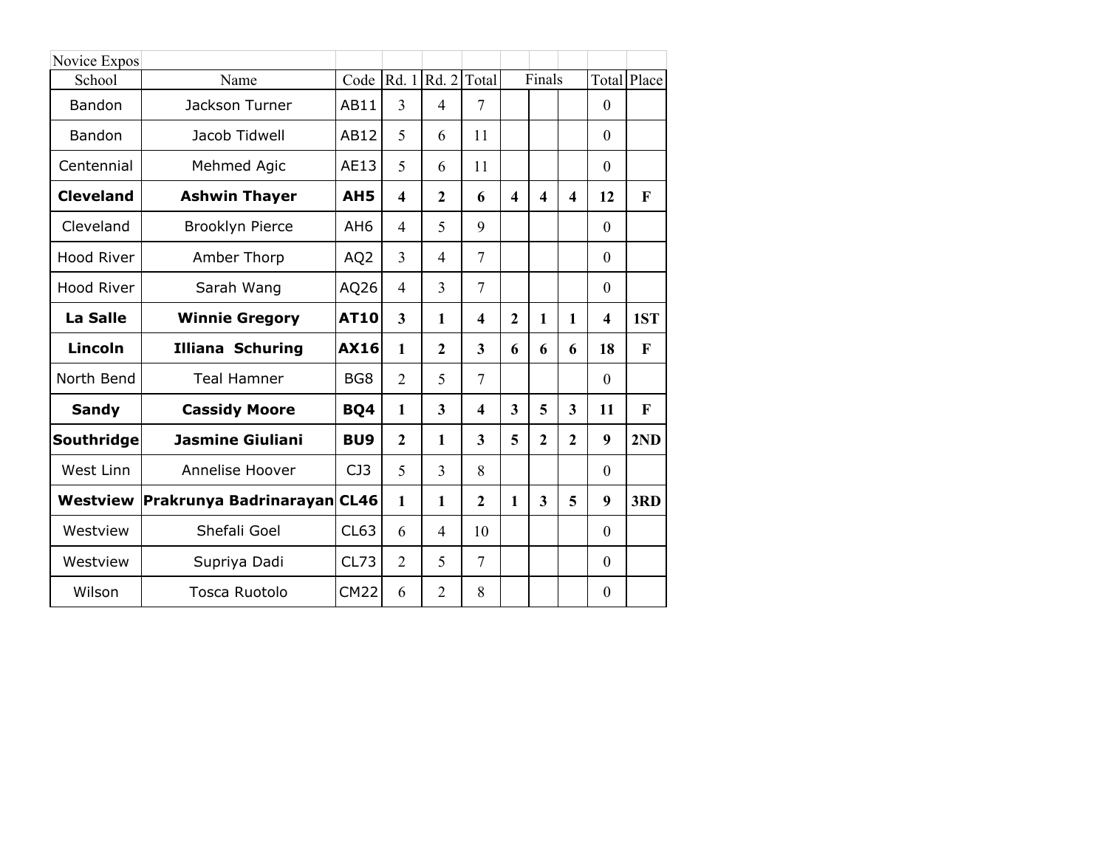| Novice Expos      |                             |                 |                         |                         |                |                         |                         |                         |                  |                    |
|-------------------|-----------------------------|-----------------|-------------------------|-------------------------|----------------|-------------------------|-------------------------|-------------------------|------------------|--------------------|
| School            | Name                        | Code            |                         | Rd. $1 Rd. 2 Total$     |                |                         | Finals                  |                         |                  | <b>Total Place</b> |
| Bandon            | Jackson Turner              | AB11            | 3                       | $\overline{4}$          | 7              |                         |                         |                         | $\mathbf{0}$     |                    |
| <b>Bandon</b>     | Jacob Tidwell               | AB12            | 5                       | 6                       | 11             |                         |                         |                         | $\mathbf{0}$     |                    |
| Centennial        | Mehmed Agic                 | AE13            | 5                       | 6                       | 11             |                         |                         |                         | $\theta$         |                    |
| <b>Cleveland</b>  | <b>Ashwin Thayer</b>        | AH <sub>5</sub> | $\overline{\mathbf{4}}$ | $\overline{2}$          | 6              | $\overline{\mathbf{4}}$ | $\overline{\mathbf{4}}$ | $\overline{\mathbf{4}}$ | 12               | F                  |
| Cleveland         | <b>Brooklyn Pierce</b>      | AH <sub>6</sub> | $\overline{4}$          | 5                       | 9              |                         |                         |                         | $\theta$         |                    |
| <b>Hood River</b> | Amber Thorp                 | AQ <sub>2</sub> | 3                       | $\overline{4}$          | $\overline{7}$ |                         |                         |                         | $\Omega$         |                    |
| <b>Hood River</b> | Sarah Wang                  | AQ26            | 4                       | $\overline{3}$          | $\overline{7}$ |                         |                         |                         | $\theta$         |                    |
| <b>La Salle</b>   | <b>Winnie Gregory</b>       | <b>AT10</b>     | 3                       | 1                       | 4              | $\mathbf{2}$            | $\mathbf{1}$            | 1                       | 4                | 1ST                |
| Lincoln           | <b>Illiana Schuring</b>     | <b>AX16</b>     | 1                       | $\overline{2}$          | 3              | 6                       | 6                       | 6                       | 18               | F                  |
| North Bend        | <b>Teal Hamner</b>          | BG <sub>8</sub> | $\overline{2}$          | 5                       | 7              |                         |                         |                         | $\Omega$         |                    |
| <b>Sandy</b>      | <b>Cassidy Moore</b>        | BQ4             | 1                       | $\overline{\mathbf{3}}$ | 4              | $\overline{\mathbf{3}}$ | 5                       | 3                       | 11               | F                  |
| Southridge        | <b>Jasmine Giuliani</b>     | BU <sub>9</sub> | $\overline{2}$          | $\mathbf{1}$            | 3              | 5                       | $\mathbf{2}$            | $\mathbf{2}$            | 9                | 2ND                |
| West Linn         | Annelise Hoover             | CJ3             | 5                       | 3                       | 8              |                         |                         |                         | $\Omega$         |                    |
| Westview          | Prakrunya Badrinarayan CL46 |                 | 1                       | 1                       | $\mathbf{2}$   | $\mathbf{1}$            | 3                       | 5                       | 9                | 3RD                |
| Westview          | Shefali Goel                | CL63            | 6                       | $\overline{4}$          | 10             |                         |                         |                         | $\Omega$         |                    |
| Westview          | Supriya Dadi                | CL73            | $\overline{2}$          | 5                       | $\overline{7}$ |                         |                         |                         | $\theta$         |                    |
| Wilson            | Tosca Ruotolo               | <b>CM22</b>     | 6                       | $\overline{2}$          | 8              |                         |                         |                         | $\boldsymbol{0}$ |                    |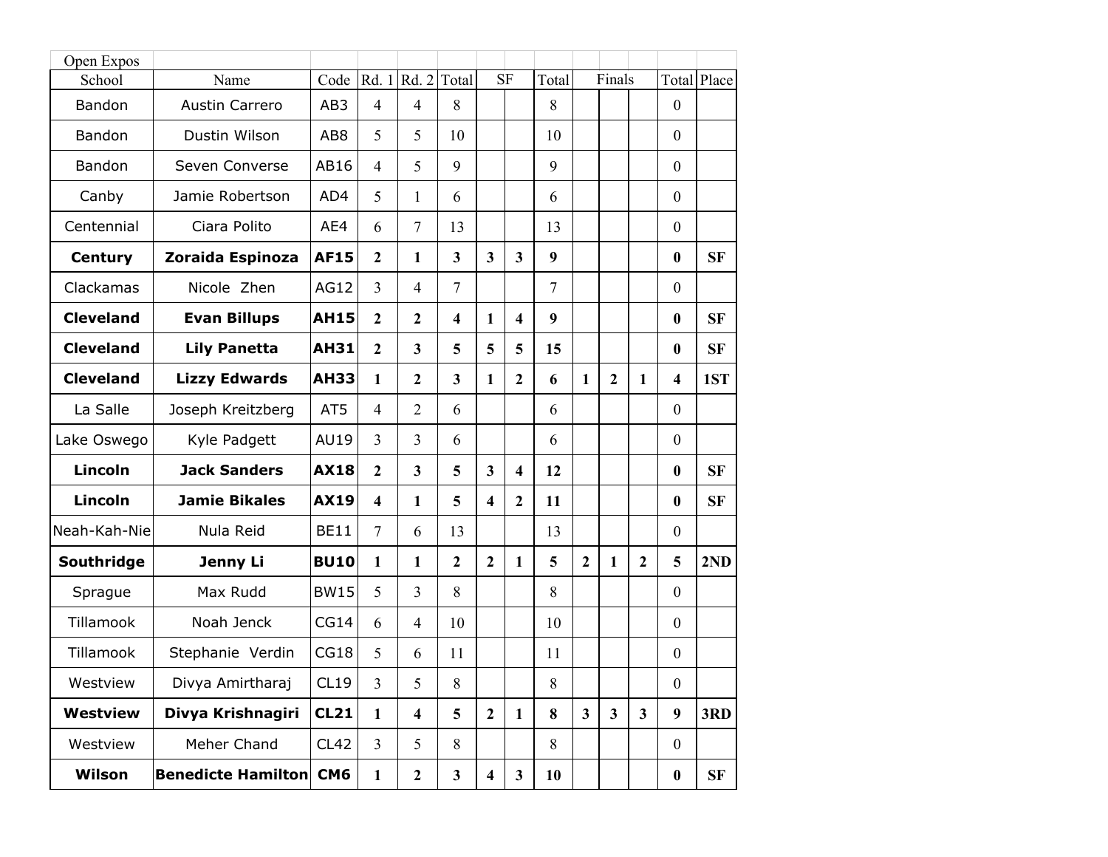| Open Expos       |                           |                 |                         |                         |                         |                         |                         |                |                         |                |              |                         |             |
|------------------|---------------------------|-----------------|-------------------------|-------------------------|-------------------------|-------------------------|-------------------------|----------------|-------------------------|----------------|--------------|-------------------------|-------------|
| School           | Name                      | Code            |                         | Rd. 1   Rd. 2           | Total                   |                         | <b>SF</b>               | Total          |                         | Finals         |              |                         | Total Place |
| Bandon           | <b>Austin Carrero</b>     | AB3             | $\overline{4}$          | $\overline{4}$          | 8                       |                         |                         | 8              |                         |                |              | $\mathbf{0}$            |             |
| Bandon           | Dustin Wilson             | AB <sub>8</sub> | 5                       | 5                       | 10                      |                         |                         | 10             |                         |                |              | $\mathbf{0}$            |             |
| Bandon           | Seven Converse            | AB16            | $\overline{4}$          | 5                       | 9                       |                         |                         | 9              |                         |                |              | $\boldsymbol{0}$        |             |
| Canby            | Jamie Robertson           | AD4             | 5                       | 1                       | 6                       |                         |                         | 6              |                         |                |              | $\mathbf{0}$            |             |
| Centennial       | Ciara Polito              | AE4             | 6                       | $\overline{7}$          | 13                      |                         |                         | 13             |                         |                |              | $\mathbf{0}$            |             |
| <b>Century</b>   | Zoraida Espinoza          | <b>AF15</b>     | $\overline{2}$          | $\mathbf{1}$            | $\overline{\mathbf{3}}$ | $\overline{3}$          | $\overline{\mathbf{3}}$ | 9              |                         |                |              | $\boldsymbol{0}$        | <b>SF</b>   |
| Clackamas        | Nicole Zhen               | <b>AG12</b>     | $\overline{3}$          | $\overline{4}$          | $\overline{7}$          |                         |                         | $\overline{7}$ |                         |                |              | $\mathbf{0}$            |             |
| <b>Cleveland</b> | <b>Evan Billups</b>       | <b>AH15</b>     | $\overline{2}$          | $\mathbf{2}$            | $\overline{\mathbf{4}}$ | 1                       | $\overline{\mathbf{4}}$ | 9              |                         |                |              | $\boldsymbol{0}$        | <b>SF</b>   |
| <b>Cleveland</b> | <b>Lily Panetta</b>       | <b>AH31</b>     | $\overline{2}$          | $\overline{\mathbf{3}}$ | 5                       | 5                       | 5                       | 15             |                         |                |              | $\boldsymbol{0}$        | <b>SF</b>   |
| <b>Cleveland</b> | <b>Lizzy Edwards</b>      | <b>AH33</b>     | 1                       | $\overline{2}$          | $\overline{\mathbf{3}}$ | 1                       | $\overline{2}$          | 6              | $\mathbf{1}$            | $\overline{2}$ | 1            | $\overline{\mathbf{4}}$ | 1ST         |
| La Salle         | Joseph Kreitzberg         | AT5             | $\overline{4}$          | $\overline{2}$          | 6                       |                         |                         | 6              |                         |                |              | $\mathbf{0}$            |             |
| Lake Oswego      | Kyle Padgett              | <b>AU19</b>     | $\overline{3}$          | $\overline{3}$          | 6                       |                         |                         | 6              |                         |                |              | $\mathbf{0}$            |             |
| <b>Lincoln</b>   | <b>Jack Sanders</b>       | <b>AX18</b>     | $\overline{2}$          | $\mathbf{3}$            | 5                       | $\overline{\mathbf{3}}$ | $\overline{\mathbf{4}}$ | 12             |                         |                |              | $\boldsymbol{0}$        | <b>SF</b>   |
| Lincoln          | <b>Jamie Bikales</b>      | <b>AX19</b>     | $\overline{\mathbf{4}}$ | $\mathbf{1}$            | 5                       | $\overline{\mathbf{4}}$ | $\overline{2}$          | 11             |                         |                |              | $\bf{0}$                | <b>SF</b>   |
| Neah-Kah-Nie     | Nula Reid                 | <b>BE11</b>     | $\overline{7}$          | 6                       | 13                      |                         |                         | 13             |                         |                |              | $\boldsymbol{0}$        |             |
| Southridge       | Jenny Li                  | <b>BU10</b>     | 1                       | $\mathbf{1}$            | $\mathbf{2}$            | $\overline{2}$          | $\mathbf{1}$            | 5              | $\overline{2}$          | $\mathbf{1}$   | $\mathbf{2}$ | 5                       | 2ND         |
| Sprague          | Max Rudd                  | <b>BW15</b>     | 5                       | $\overline{3}$          | 8                       |                         |                         | 8              |                         |                |              | $\mathbf{0}$            |             |
| Tillamook        | Noah Jenck                | CG14            | 6                       | $\overline{4}$          | 10                      |                         |                         | 10             |                         |                |              | $\mathbf{0}$            |             |
| Tillamook        | Stephanie Verdin          | CG18            | 5                       | 6                       | 11                      |                         |                         | 11             |                         |                |              | $\boldsymbol{0}$        |             |
| Westview         | Divya Amirtharaj          | CL19            | $\overline{3}$          | 5                       | 8                       |                         |                         | 8              |                         |                |              | $\mathbf{0}$            |             |
| <b>Westview</b>  | Divya Krishnagiri         | <b>CL21</b>     | $\mathbf{1}$            | $\overline{\mathbf{4}}$ | 5                       | $\overline{2}$          | $\mathbf{1}$            | 8              | $\overline{\mathbf{3}}$ | $\mathbf{3}$   | $\mathbf{3}$ | 9                       | 3RD         |
| Westview         | Meher Chand               | CL42            | $\overline{3}$          | 5                       | 8                       |                         |                         | 8              |                         |                |              | $\boldsymbol{0}$        |             |
| Wilson           | <b>Benedicte Hamilton</b> | CM <sub>6</sub> | $\mathbf{1}$            | $\mathbf{2}$            | $\mathbf{3}$            | $\overline{\mathbf{4}}$ | $\mathbf{3}$            | 10             |                         |                |              | $\boldsymbol{0}$        | <b>SF</b>   |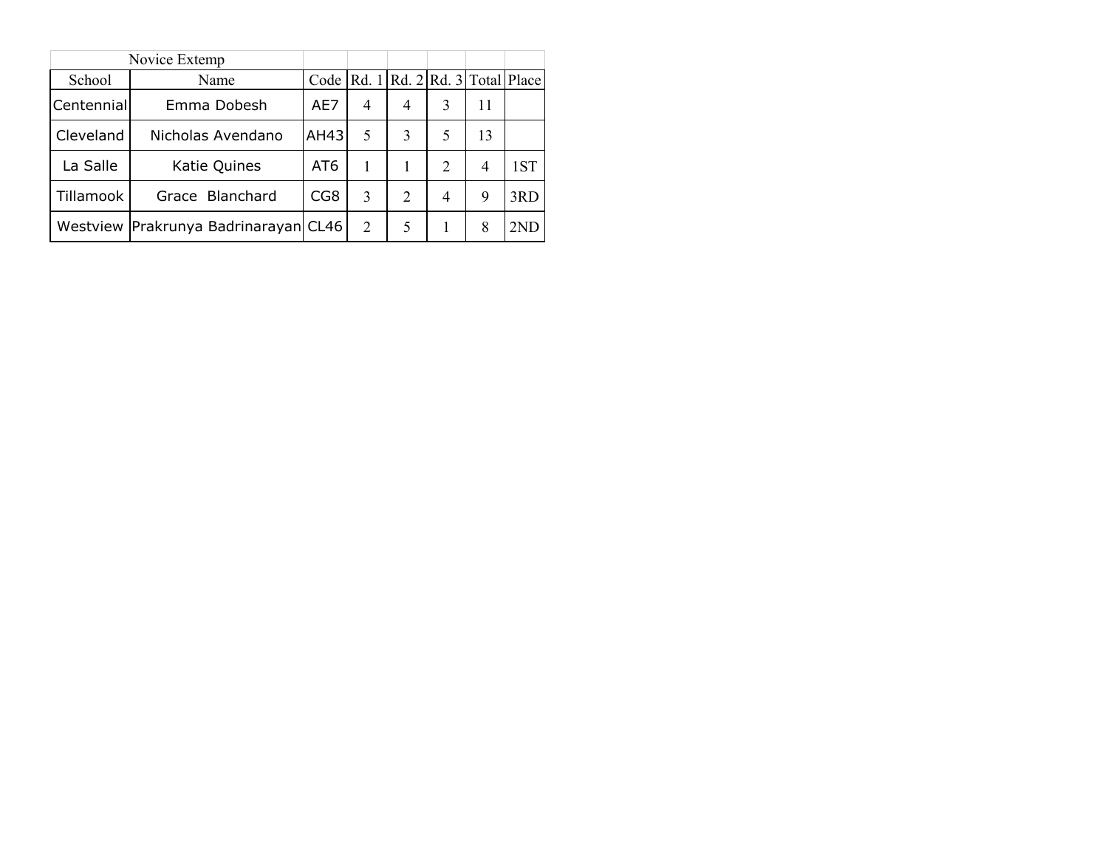|            | Novice Extemp                        |                 |   |                                       |                |    |     |
|------------|--------------------------------------|-----------------|---|---------------------------------------|----------------|----|-----|
| School     | Name                                 | Code            |   | Rd. 1   Rd. 2   Rd. 3   Total   Place |                |    |     |
| Centennial | Emma Dobesh                          | AE7             | 4 | 4                                     | 3              | 11 |     |
| Cleveland  | Nicholas Avendano                    | AH43            | 5 | 3                                     | 5              | 13 |     |
| La Salle   | Katie Quines                         | AT <sub>6</sub> | 1 |                                       | $\mathcal{L}$  | 4  | 1ST |
| Tillamook  | Grace Blanchard                      | CG8             | 3 | $\mathcal{D}_{\mathcal{L}}$           | $\overline{4}$ | 9  | 3RD |
|            | Westview Prakrunya Badrinarayan CL46 |                 | 2 | 5                                     |                | 8  | 2ND |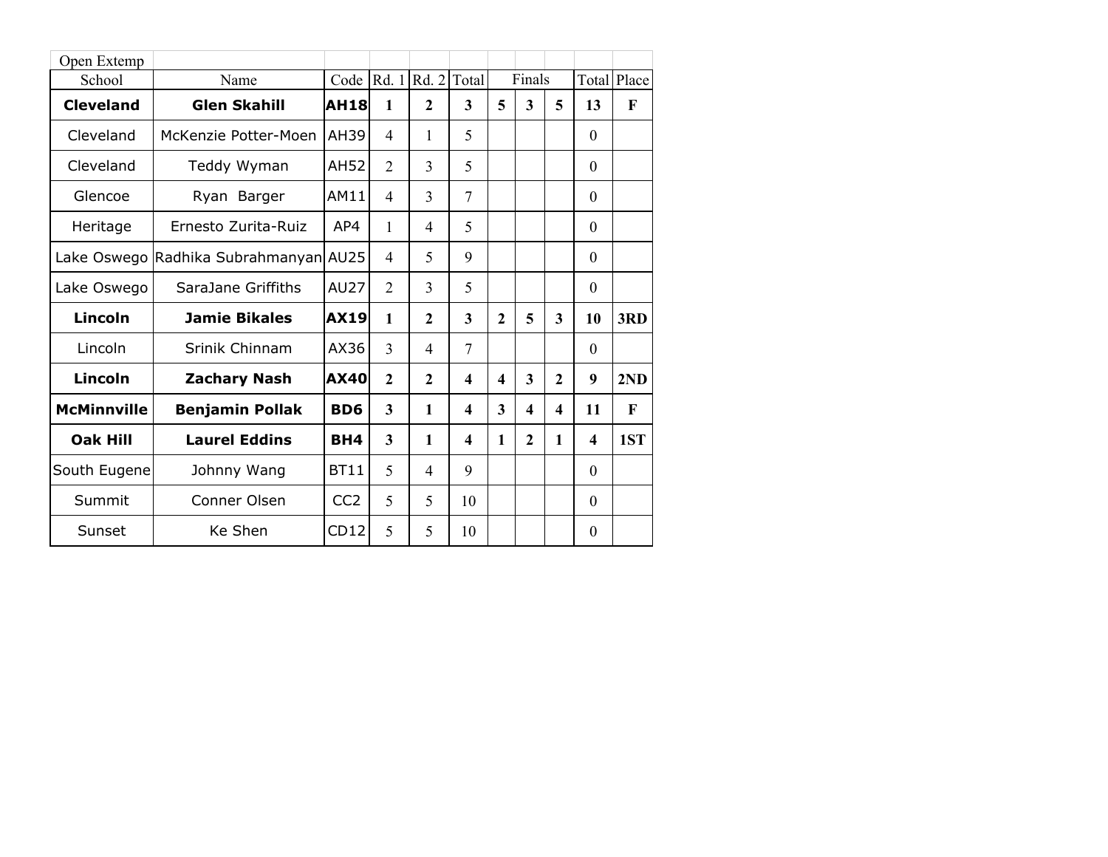| Open Extemp        |                                       |                 |                |                                                |                         |              |                         |                         |          |              |
|--------------------|---------------------------------------|-----------------|----------------|------------------------------------------------|-------------------------|--------------|-------------------------|-------------------------|----------|--------------|
| School             | Name                                  |                 |                | Code $\left  \text{Rd. 1} \right $ Rd. 2 Total |                         |              | Finals                  |                         |          | Total Place  |
| <b>Cleveland</b>   | <b>Glen Skahill</b>                   | <b>AH18</b>     | 1              | $\overline{2}$                                 | 3                       | 5            | $\overline{\mathbf{3}}$ | 5                       | 13       | $\mathbf{F}$ |
| Cleveland          | McKenzie Potter-Moen                  | AH39            | $\overline{4}$ | 1                                              | 5                       |              |                         |                         | $\Omega$ |              |
| Cleveland          | Teddy Wyman                           | AH52            | $\overline{2}$ | 3                                              | 5                       |              |                         |                         | $\Omega$ |              |
| Glencoe            | Ryan Barger                           | AM11            | $\overline{4}$ | 3                                              | $\overline{7}$          |              |                         |                         | $\Omega$ |              |
| Heritage           | Ernesto Zurita-Ruiz                   | AP4             | 1              | $\overline{4}$                                 | 5                       |              |                         |                         | $\Omega$ |              |
|                    | Lake Oswego Radhika Subrahmanyan AU25 |                 | 4              | 5                                              | 9                       |              |                         |                         | $\theta$ |              |
| Lake Oswego        | SaraJane Griffiths                    | <b>AU27</b>     | $\overline{2}$ | 3                                              | 5                       |              |                         |                         | $\Omega$ |              |
| <b>Lincoln</b>     | <b>Jamie Bikales</b>                  | <b>AX19</b>     | 1              | $\overline{2}$                                 | 3                       | $\mathbf{2}$ | 5                       | 3                       | 10       | 3RD          |
| Lincoln            | Srinik Chinnam                        | AX36            | 3              | $\overline{4}$                                 | 7                       |              |                         |                         | $\Omega$ |              |
| Lincoln            | <b>Zachary Nash</b>                   | <b>AX40</b>     | $\overline{2}$ | $\overline{2}$                                 | $\boldsymbol{4}$        | 4            | $\overline{\mathbf{3}}$ | $\overline{2}$          | 9        | 2ND          |
| <b>McMinnville</b> | <b>Benjamin Pollak</b>                | B <sub>D6</sub> | 3              | $\mathbf{1}$                                   | 4                       | 3            | 4                       | $\overline{\mathbf{4}}$ | 11       | $\mathbf F$  |
| <b>Oak Hill</b>    | <b>Laurel Eddins</b>                  | <b>BH4</b>      | 3              | 1                                              | $\overline{\mathbf{4}}$ | 1            | $\overline{2}$          | $\mathbf{1}$            | 4        | 1ST          |
| South Eugene       | Johnny Wang                           | <b>BT11</b>     | 5              | 4                                              | 9                       |              |                         |                         | $\theta$ |              |
| Summit             | Conner Olsen                          | CC <sub>2</sub> | 5              | 5                                              | 10                      |              |                         |                         | $\Omega$ |              |
| Sunset             | Ke Shen                               | CD12            | 5              | 5                                              | 10                      |              |                         |                         | $\Omega$ |              |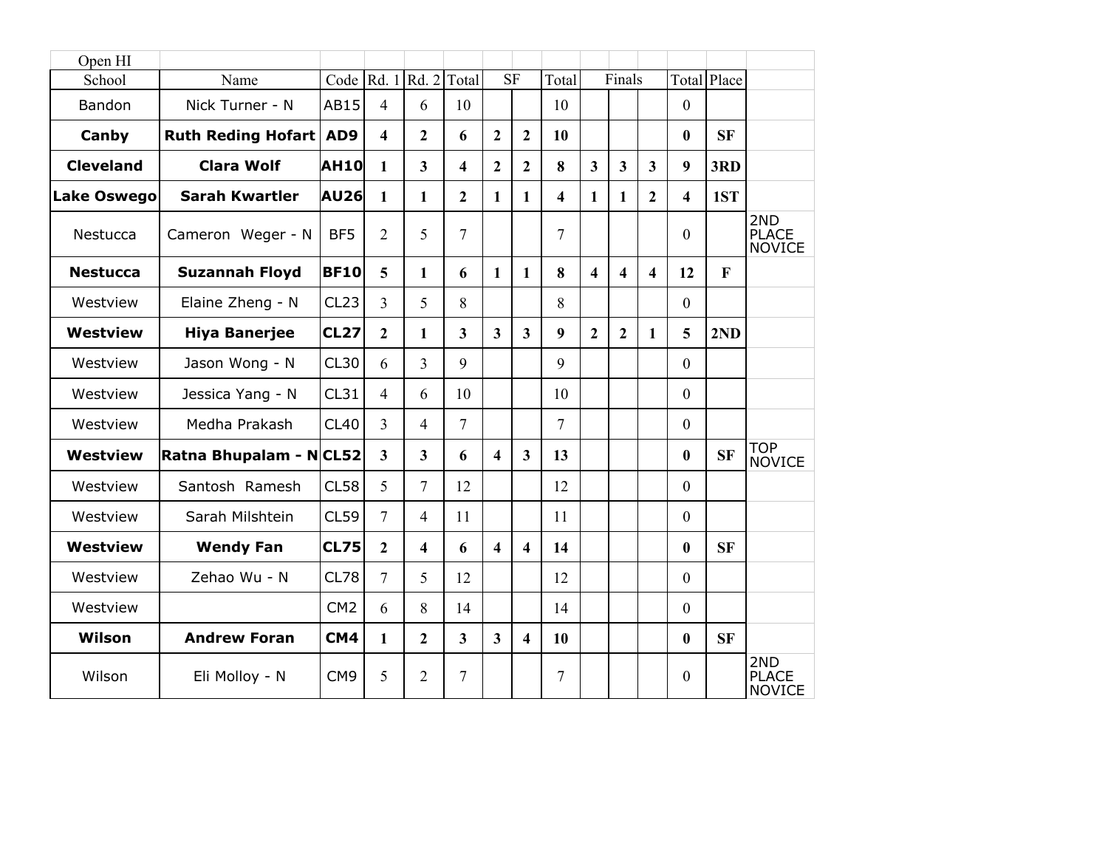| Open HI            |                           |                 |                         |                                                |                         |                         |                         |       |                         |                         |                         |                         |              |                                      |
|--------------------|---------------------------|-----------------|-------------------------|------------------------------------------------|-------------------------|-------------------------|-------------------------|-------|-------------------------|-------------------------|-------------------------|-------------------------|--------------|--------------------------------------|
| School             | Name                      |                 |                         | Code $\left  \text{Rd. 1} \right $ Rd. 2 Total |                         |                         | $\overline{\text{SF}}$  | Total |                         | Finals                  |                         |                         | Total Place  |                                      |
| Bandon             | Nick Turner - N           | <b>AB15</b>     | $\overline{4}$          | 6                                              | 10                      |                         |                         | 10    |                         |                         |                         | $\mathbf{0}$            |              |                                      |
| Canby              | <b>Ruth Reding Hofart</b> | AD9             | $\overline{\mathbf{4}}$ | $\overline{2}$                                 | 6                       | $\overline{2}$          | $\overline{2}$          | 10    |                         |                         |                         | $\boldsymbol{0}$        | <b>SF</b>    |                                      |
| <b>Cleveland</b>   | <b>Clara Wolf</b>         | <b>AH10</b>     | 1                       | $\mathbf{3}$                                   | $\overline{\mathbf{4}}$ | $\overline{2}$          | $\overline{2}$          | 8     | 3                       | $\overline{\mathbf{3}}$ | $\overline{3}$          | 9                       | 3RD          |                                      |
| <b>Lake Oswego</b> | <b>Sarah Kwartler</b>     | <b>AU26</b>     | $\mathbf{1}$            | $\mathbf{1}$                                   | $\overline{2}$          | 1                       | 1                       | 4     | 1                       | $\mathbf{1}$            | $\overline{2}$          | $\overline{\mathbf{4}}$ | 1ST          |                                      |
| Nestucca           | Cameron Weger - N         | BF <sub>5</sub> | $\overline{2}$          | 5                                              | 7                       |                         |                         | 7     |                         |                         |                         | $\mathbf{0}$            |              | 2ND<br><b>PLACE</b><br><b>NOVICE</b> |
| <b>Nestucca</b>    | <b>Suzannah Floyd</b>     | <b>BF10</b>     | 5                       | $\mathbf{1}$                                   | 6                       | $\mathbf{1}$            | $\mathbf{1}$            | 8     | $\overline{\mathbf{4}}$ | $\overline{\mathbf{4}}$ | $\overline{\mathbf{4}}$ | 12                      | $\mathbf{F}$ |                                      |
| Westview           | Elaine Zheng - N          | CL23            | $\overline{3}$          | 5                                              | 8                       |                         |                         | 8     |                         |                         |                         | $\boldsymbol{0}$        |              |                                      |
| <b>Westview</b>    | <b>Hiya Banerjee</b>      | <b>CL27</b>     | $\overline{2}$          | $\mathbf{1}$                                   | $\overline{\mathbf{3}}$ | $\overline{\mathbf{3}}$ | $\overline{3}$          | 9     | $\overline{2}$          | $\overline{2}$          | 1                       | 5                       | 2ND          |                                      |
| Westview           | Jason Wong - N            | CL30            | 6                       | $\overline{3}$                                 | 9                       |                         |                         | 9     |                         |                         |                         | $\boldsymbol{0}$        |              |                                      |
| Westview           | Jessica Yang - N          | CL31            | $\overline{4}$          | 6                                              | 10                      |                         |                         | 10    |                         |                         |                         | $\mathbf{0}$            |              |                                      |
| Westview           | Medha Prakash             | <b>CL40</b>     | $\overline{3}$          | $\overline{4}$                                 | $\overline{7}$          |                         |                         | 7     |                         |                         |                         | $\boldsymbol{0}$        |              |                                      |
| <b>Westview</b>    | Ratna Bhupalam - NCL52    |                 | $\mathbf{3}$            | $\overline{3}$                                 | 6                       | $\overline{\mathbf{4}}$ | $\mathbf{3}$            | 13    |                         |                         |                         | $\boldsymbol{0}$        | <b>SF</b>    | <b>TOP</b><br><b>NOVICE</b>          |
| Westview           | Santosh Ramesh            | <b>CL58</b>     | 5                       | $\tau$                                         | 12                      |                         |                         | 12    |                         |                         |                         | $\theta$                |              |                                      |
| Westview           | Sarah Milshtein           | <b>CL59</b>     | $\overline{7}$          | $\overline{4}$                                 | 11                      |                         |                         | 11    |                         |                         |                         | $\theta$                |              |                                      |
| <b>Westview</b>    | <b>Wendy Fan</b>          | <b>CL75</b>     | $\mathbf{2}$            | $\overline{\mathbf{4}}$                        | 6                       | $\overline{\mathbf{4}}$ | $\overline{\mathbf{4}}$ | 14    |                         |                         |                         | $\bf{0}$                | <b>SF</b>    |                                      |
| Westview           | Zehao Wu - N              | CL78            | $\overline{7}$          | 5                                              | 12                      |                         |                         | 12    |                         |                         |                         | $\theta$                |              |                                      |
| Westview           |                           | CM <sub>2</sub> | 6                       | 8                                              | 14                      |                         |                         | 14    |                         |                         |                         | $\mathbf{0}$            |              |                                      |
| Wilson             | <b>Andrew Foran</b>       | CM4             | $\mathbf{1}$            | $\overline{2}$                                 | $\overline{\mathbf{3}}$ | $\overline{\mathbf{3}}$ | $\overline{\mathbf{4}}$ | 10    |                         |                         |                         | $\bf{0}$                | <b>SF</b>    |                                      |
| Wilson             | Eli Molloy - N            | CM <sub>9</sub> | 5                       | $\overline{2}$                                 | 7                       |                         |                         | 7     |                         |                         |                         | $\mathbf{0}$            |              | 2ND<br><b>PLACE</b><br><b>NOVICE</b> |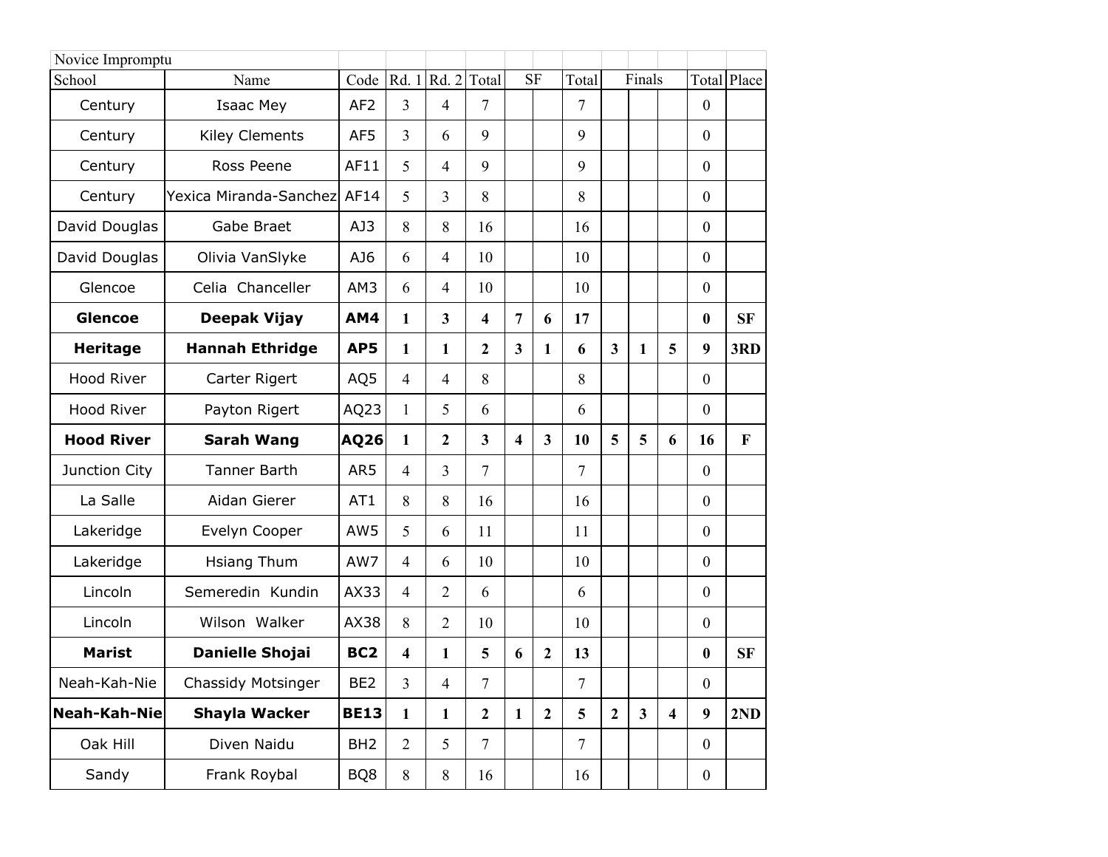| Novice Impromptu  |                        |                 |                |                |                         |                         |                         |                |                         |                         |                         |                  |              |
|-------------------|------------------------|-----------------|----------------|----------------|-------------------------|-------------------------|-------------------------|----------------|-------------------------|-------------------------|-------------------------|------------------|--------------|
| School            | Name                   | Code            | Rd. 1          | Rd. 2          | Total                   |                         | <b>SF</b>               | Total          |                         | Finals                  |                         |                  | Total Place  |
| Century           | Isaac Mey              | AF <sub>2</sub> | $\overline{3}$ | $\overline{4}$ | 7                       |                         |                         | 7              |                         |                         |                         | $\theta$         |              |
| Century           | <b>Kiley Clements</b>  | AF5             | 3              | 6              | 9                       |                         |                         | 9              |                         |                         |                         | $\boldsymbol{0}$ |              |
| Century           | Ross Peene             | AF11            | 5              | 4              | 9                       |                         |                         | 9              |                         |                         |                         | $\boldsymbol{0}$ |              |
| Century           | Yexica Miranda-Sanchez | AF14            | 5              | 3              | 8                       |                         |                         | 8              |                         |                         |                         | $\theta$         |              |
| David Douglas     | Gabe Braet             | AJ3             | 8              | 8              | 16                      |                         |                         | 16             |                         |                         |                         | $\mathbf{0}$     |              |
| David Douglas     | Olivia VanSlyke        | AJ6             | 6              | 4              | 10                      |                         |                         | 10             |                         |                         |                         | $\mathbf{0}$     |              |
| Glencoe           | Celia Chanceller       | AM3             | 6              | 4              | 10                      |                         |                         | 10             |                         |                         |                         | $\boldsymbol{0}$ |              |
| <b>Glencoe</b>    | Deepak Vijay           | AM4             | $\mathbf{1}$   | 3              | 4                       | $\overline{7}$          | 6                       | 17             |                         |                         |                         | $\boldsymbol{0}$ | <b>SF</b>    |
| <b>Heritage</b>   | <b>Hannah Ethridge</b> | AP5             | $\mathbf{1}$   | 1              | $\overline{2}$          | $\overline{\mathbf{3}}$ | $\mathbf{1}$            | 6              | $\overline{\mathbf{3}}$ | 1                       | 5                       | 9                | 3RD          |
| Hood River        | Carter Rigert          | AQ5             | $\overline{4}$ | 4              | 8                       |                         |                         | 8              |                         |                         |                         | $\mathbf{0}$     |              |
| Hood River        | Payton Rigert          | AQ23            | 1              | 5              | 6                       |                         |                         | 6              |                         |                         |                         | $\boldsymbol{0}$ |              |
| <b>Hood River</b> | <b>Sarah Wang</b>      | AQ26            | 1              | 2              | $\overline{\mathbf{3}}$ | 4                       | $\overline{\mathbf{3}}$ | 10             | 5                       | 5                       | 6                       | 16               | $\mathbf{F}$ |
| Junction City     | <b>Tanner Barth</b>    | AR5             | $\overline{4}$ | 3              | $\overline{7}$          |                         |                         | 7              |                         |                         |                         | $\boldsymbol{0}$ |              |
| La Salle          | Aidan Gierer           | AT1             | 8              | 8              | 16                      |                         |                         | 16             |                         |                         |                         | $\boldsymbol{0}$ |              |
| Lakeridge         | Evelyn Cooper          | AW5             | 5              | 6              | 11                      |                         |                         | 11             |                         |                         |                         | $\boldsymbol{0}$ |              |
| Lakeridge         | Hsiang Thum            | AW7             | $\overline{4}$ | 6              | 10                      |                         |                         | 10             |                         |                         |                         | $\mathbf{0}$     |              |
| Lincoln           | Semeredin Kundin       | AX33            | $\overline{4}$ | $\overline{2}$ | 6                       |                         |                         | 6              |                         |                         |                         | $\theta$         |              |
| Lincoln           | Wilson Walker          | AX38            | 8              | 2              | 10                      |                         |                         | 10             |                         |                         |                         | $\boldsymbol{0}$ |              |
| <b>Marist</b>     | <b>Danielle Shojai</b> | BC <sub>2</sub> | 4              | 1              | 5                       | 6                       | $\mathbf{2}$            | 13             |                         |                         |                         | $\boldsymbol{0}$ | <b>SF</b>    |
| Neah-Kah-Nie      | Chassidy Motsinger     | BE <sub>2</sub> | $\overline{3}$ | 4              | 7                       |                         |                         | 7              |                         |                         |                         | $\boldsymbol{0}$ |              |
| Neah-Kah-Nie      | <b>Shayla Wacker</b>   | <b>BE13</b>     | $\mathbf{1}$   | $\mathbf{1}$   | $\mathbf{2}$            | $\mathbf{1}$            | $\overline{2}$          | 5              | $\boldsymbol{2}$        | $\overline{\mathbf{3}}$ | $\overline{\mathbf{4}}$ | 9                | 2ND          |
| Oak Hill          | Diven Naidu            | BH <sub>2</sub> | $\overline{2}$ | 5              | $\overline{7}$          |                         |                         | $\overline{7}$ |                         |                         |                         | $\mathbf{0}$     |              |
| Sandy             | Frank Roybal           | BQ8             | 8              | 8              | 16                      |                         |                         | 16             |                         |                         |                         | $\boldsymbol{0}$ |              |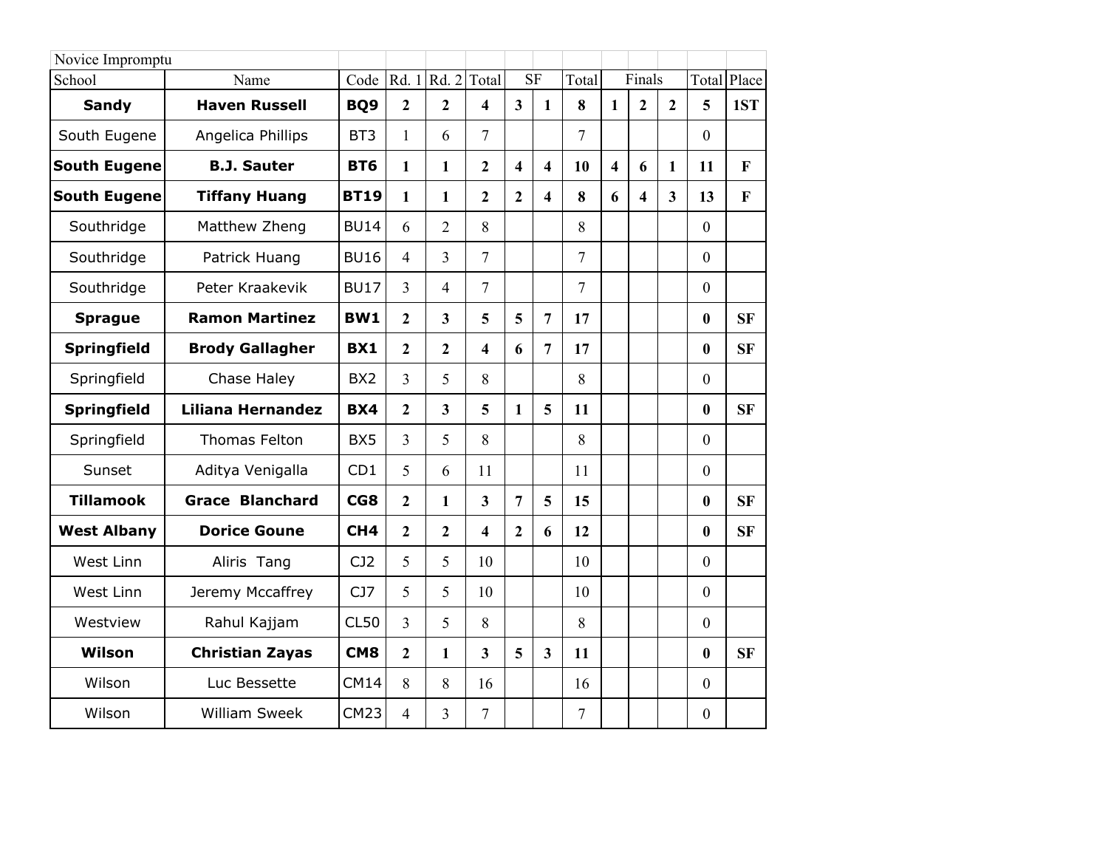| Novice Impromptu    |                          |                 |                |                         |                         |                         |                         |                |                         |                         |                |                  |           |
|---------------------|--------------------------|-----------------|----------------|-------------------------|-------------------------|-------------------------|-------------------------|----------------|-------------------------|-------------------------|----------------|------------------|-----------|
| School              | Name                     | Code            |                | Rd. 1 Rd. 2             | Total                   |                         | <b>SF</b>               | Total          |                         | Finals                  |                | Total            | Place     |
| <b>Sandy</b>        | <b>Haven Russell</b>     | BQ <sub>9</sub> | $\overline{2}$ | $\overline{2}$          | $\overline{\mathbf{4}}$ | $\mathbf{3}$            | $\mathbf{1}$            | 8              | $\mathbf{1}$            | $\overline{2}$          | $\overline{2}$ | 5                | 1ST       |
| South Eugene        | Angelica Phillips        | BT3             | 1              | 6                       | $\overline{7}$          |                         |                         | $\overline{7}$ |                         |                         |                | $\mathbf{0}$     |           |
| <b>South Eugene</b> | <b>B.J. Sauter</b>       | <b>BT6</b>      | $\mathbf{1}$   | 1                       | $\overline{2}$          | $\overline{\mathbf{4}}$ | $\overline{\mathbf{4}}$ | 10             | $\overline{\mathbf{4}}$ | 6                       | $\mathbf{1}$   | 11               | F         |
| <b>South Eugene</b> | <b>Tiffany Huang</b>     | <b>BT19</b>     | 1              | 1                       | $\overline{2}$          | $\overline{2}$          | $\overline{\mathbf{4}}$ | 8              | 6                       | $\overline{\mathbf{4}}$ | $\overline{3}$ | 13               | F         |
| Southridge          | Matthew Zheng            | <b>BU14</b>     | 6              | $\overline{2}$          | 8                       |                         |                         | 8              |                         |                         |                | $\mathbf{0}$     |           |
| Southridge          | Patrick Huang            | <b>BU16</b>     | 4              | 3                       | $\overline{7}$          |                         |                         | 7              |                         |                         |                | $\mathbf{0}$     |           |
| Southridge          | Peter Kraakevik          | <b>BU17</b>     | 3              | $\overline{4}$          | $\overline{7}$          |                         |                         | $\overline{7}$ |                         |                         |                | $\mathbf{0}$     |           |
| <b>Sprague</b>      | <b>Ramon Martinez</b>    | <b>BW1</b>      | $\overline{2}$ | $\overline{\mathbf{3}}$ | 5                       | 5                       | $\overline{7}$          | 17             |                         |                         |                | $\bf{0}$         | <b>SF</b> |
| <b>Springfield</b>  | <b>Brody Gallagher</b>   | <b>BX1</b>      | $\overline{2}$ | $\overline{2}$          | 4                       | 6                       | $\overline{7}$          | 17             |                         |                         |                | $\mathbf{0}$     | <b>SF</b> |
| Springfield         | Chase Haley              | BX <sub>2</sub> | 3              | 5                       | 8                       |                         |                         | 8              |                         |                         |                | $\mathbf{0}$     |           |
| <b>Springfield</b>  | <b>Liliana Hernandez</b> | <b>BX4</b>      | $\overline{2}$ | $\overline{\mathbf{3}}$ | 5                       | $\mathbf{1}$            | 5                       | 11             |                         |                         |                | $\mathbf{0}$     | <b>SF</b> |
| Springfield         | <b>Thomas Felton</b>     | BX5             | 3              | 5                       | 8                       |                         |                         | 8              |                         |                         |                | $\mathbf{0}$     |           |
| Sunset              | Aditya Venigalla         | CD1             | 5              | 6                       | 11                      |                         |                         | 11             |                         |                         |                | $\mathbf{0}$     |           |
| <b>Tillamook</b>    | <b>Grace Blanchard</b>   | CG8             | $\mathbf{2}$   | $\mathbf{1}$            | $\overline{\mathbf{3}}$ | $\overline{7}$          | 5                       | 15             |                         |                         |                | $\mathbf{0}$     | <b>SF</b> |
| <b>West Albany</b>  | <b>Dorice Goune</b>      | CH <sub>4</sub> | $\overline{2}$ | $\overline{2}$          | 4                       | $\overline{2}$          | 6                       | 12             |                         |                         |                | $\boldsymbol{0}$ | <b>SF</b> |
| West Linn           | Aliris Tang              | CJ2             | 5              | 5                       | 10                      |                         |                         | 10             |                         |                         |                | $\theta$         |           |
| West Linn           | Jeremy Mccaffrey         | CJ7             | 5              | 5                       | 10                      |                         |                         | 10             |                         |                         |                | $\theta$         |           |
| Westview            | Rahul Kajjam             | CL50            | 3              | 5                       | 8                       |                         |                         | 8              |                         |                         |                | $\boldsymbol{0}$ |           |
| Wilson              | <b>Christian Zayas</b>   | CM <sub>8</sub> | $\overline{2}$ | 1                       | $\overline{3}$          | 5                       | $\overline{\mathbf{3}}$ | 11             |                         |                         |                | $\bf{0}$         | <b>SF</b> |
| Wilson              | Luc Bessette             | <b>CM14</b>     | 8              | 8                       | 16                      |                         |                         | 16             |                         |                         |                | $\mathbf{0}$     |           |
| Wilson              | <b>William Sweek</b>     | <b>CM23</b>     | $\overline{4}$ | 3                       | $\overline{7}$          |                         |                         | $\overline{7}$ |                         |                         |                | $\boldsymbol{0}$ |           |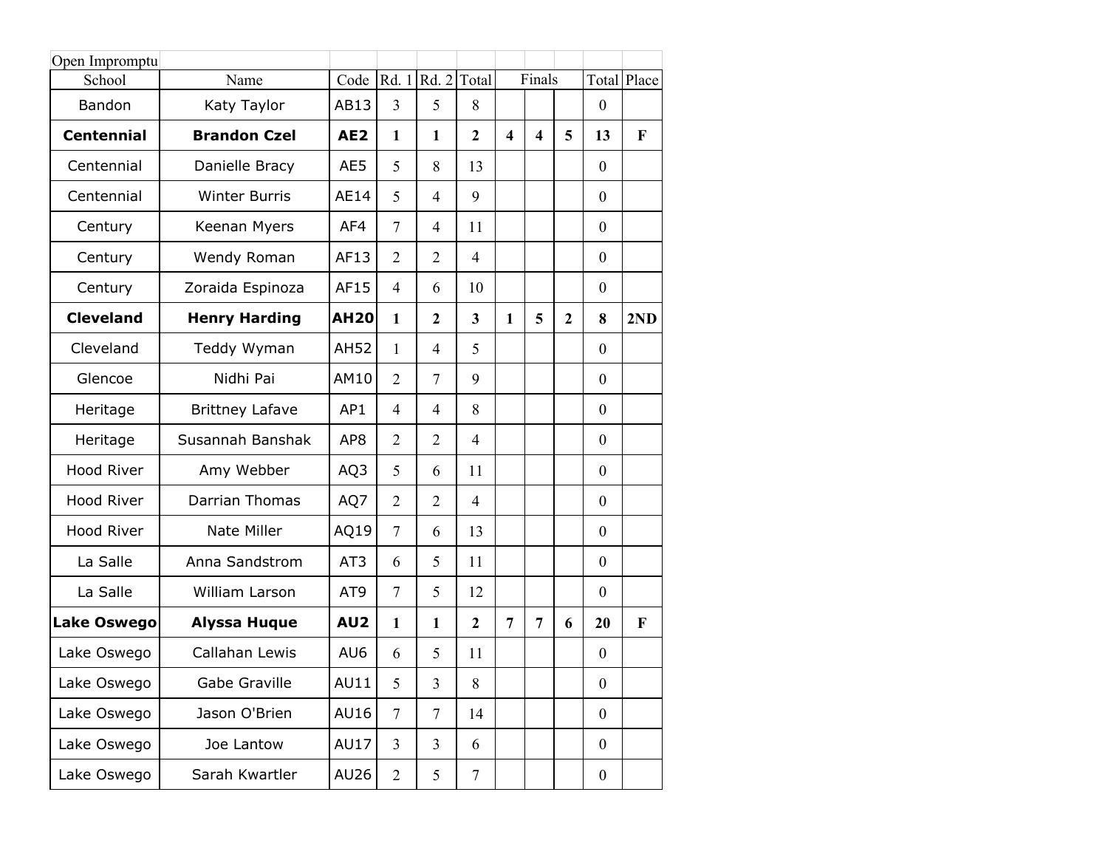| Open Impromptu     |                        |                 |                |                   |                         |                  |                         |                |                  |              |
|--------------------|------------------------|-----------------|----------------|-------------------|-------------------------|------------------|-------------------------|----------------|------------------|--------------|
| School             | Name                   | Code            |                | Rd. 1 Rd. 2 Total |                         |                  | Finals                  |                |                  | Total Place  |
| Bandon             | Katy Taylor            | AB13            | 3              | 5                 | 8                       |                  |                         |                | $\overline{0}$   |              |
| <b>Centennial</b>  | <b>Brandon Czel</b>    | AE <sub>2</sub> | 1              | 1                 | $\overline{2}$          | $\boldsymbol{4}$ | $\overline{\mathbf{4}}$ | 5              | 13               | $\mathbf{F}$ |
| Centennial         | Danielle Bracy         | AE5             | 5              | 8                 | 13                      |                  |                         |                | $\overline{0}$   |              |
| Centennial         | <b>Winter Burris</b>   | <b>AE14</b>     | 5              | $\overline{4}$    | 9                       |                  |                         |                | $\overline{0}$   |              |
| Century            | Keenan Myers           | AF4             | 7              | $\overline{4}$    | 11                      |                  |                         |                | $\Omega$         |              |
| Century            | Wendy Roman            | AF13            | $\overline{2}$ | $\overline{2}$    | $\overline{4}$          |                  |                         |                | $\overline{0}$   |              |
| Century            | Zoraida Espinoza       | AF15            | $\overline{4}$ | 6                 | 10                      |                  |                         |                | $\overline{0}$   |              |
| <b>Cleveland</b>   | <b>Henry Harding</b>   | <b>AH20</b>     | $\mathbf{1}$   | $\overline{2}$    | $\overline{\mathbf{3}}$ | 1                | 5                       | $\overline{2}$ | 8                | 2ND          |
| Cleveland          | Teddy Wyman            | <b>AH52</b>     | $\mathbf{1}$   | $\overline{4}$    | 5                       |                  |                         |                | $\overline{0}$   |              |
| Glencoe            | Nidhi Pai              | AM10            | $\overline{2}$ | $\overline{7}$    | 9                       |                  |                         |                | $\overline{0}$   |              |
| Heritage           | <b>Brittney Lafave</b> | AP1             | $\overline{4}$ | $\overline{4}$    | 8                       |                  |                         |                | $\overline{0}$   |              |
| Heritage           | Susannah Banshak       | AP <sub>8</sub> | $\overline{2}$ | $\overline{2}$    | $\overline{4}$          |                  |                         |                | $\overline{0}$   |              |
| <b>Hood River</b>  | Amy Webber             | AQ3             | 5              | 6                 | 11                      |                  |                         |                | $\overline{0}$   |              |
| Hood River         | Darrian Thomas         | AQ7             | $\overline{2}$ | $\overline{2}$    | $\overline{4}$          |                  |                         |                | $\overline{0}$   |              |
| Hood River         | Nate Miller            | AQ19            | $\overline{7}$ | 6                 | 13                      |                  |                         |                | $\overline{0}$   |              |
| La Salle           | Anna Sandstrom         | AT <sub>3</sub> | 6              | 5                 | 11                      |                  |                         |                | $\overline{0}$   |              |
| La Salle           | William Larson         | AT <sub>9</sub> | $\overline{7}$ | 5                 | 12                      |                  |                         |                | $\overline{0}$   |              |
| <b>Lake Oswego</b> | <b>Alyssa Huque</b>    | AU <sub>2</sub> | $\mathbf{1}$   | 1                 | $\overline{2}$          | 7                | 7                       | 6              | 20               | F            |
| Lake Oswego        | Callahan Lewis         | AU6             | 6              | 5                 | 11                      |                  |                         |                | $\overline{0}$   |              |
| Lake Oswego        | Gabe Graville          | AU11            | 5              | 3                 | 8                       |                  |                         |                | $\boldsymbol{0}$ |              |
| Lake Oswego        | Jason O'Brien          | AU16            | $\overline{7}$ | 7                 | 14                      |                  |                         |                | $\overline{0}$   |              |
| Lake Oswego        | Joe Lantow             | <b>AU17</b>     | $\overline{3}$ | 3                 | 6                       |                  |                         |                | $\overline{0}$   |              |
| Lake Oswego        | Sarah Kwartler         | AU26            | $\overline{2}$ | 5                 | $\tau$                  |                  |                         |                | $\overline{0}$   |              |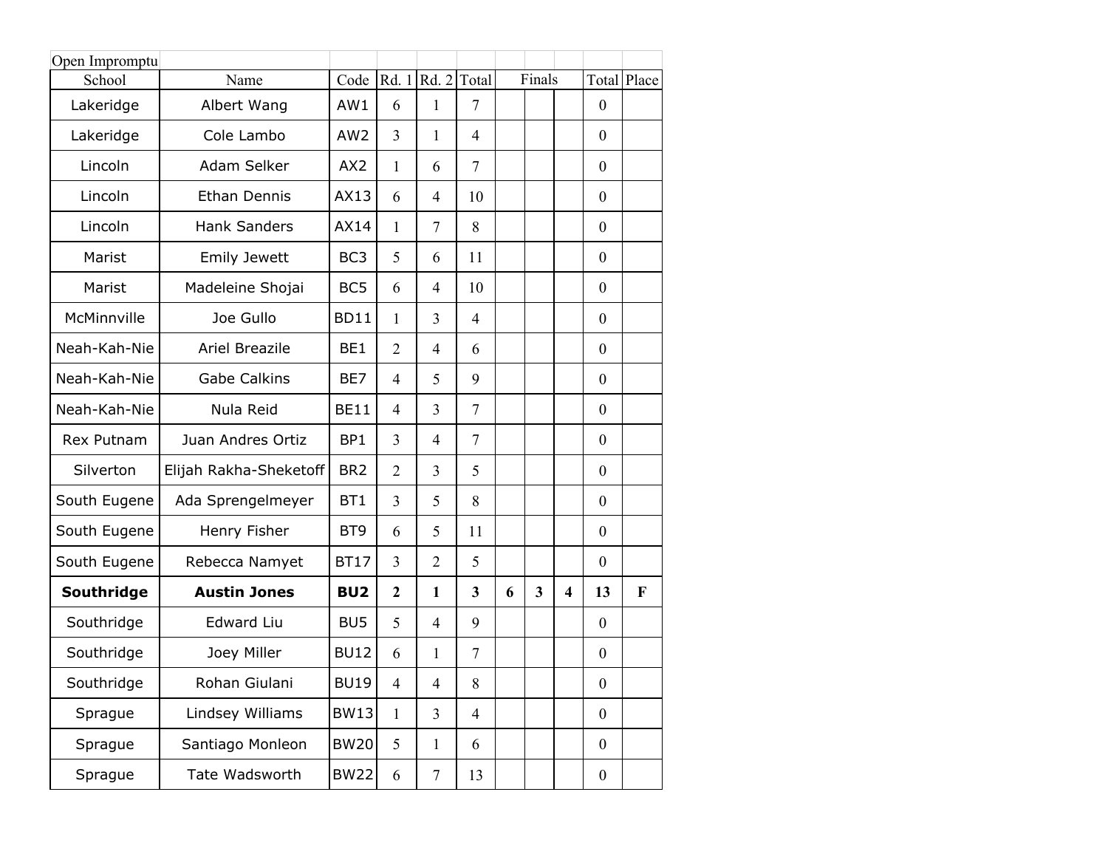| Open Impromptu |                        |                 |                |                |                         |   |        |   |                  |             |
|----------------|------------------------|-----------------|----------------|----------------|-------------------------|---|--------|---|------------------|-------------|
| School         | Name                   | Code            | Rd. 1          | Rd. 2          | Total                   |   | Finals |   |                  | Total Place |
| Lakeridge      | Albert Wang            | AW1             | 6              | 1              | $\overline{7}$          |   |        |   | $\mathbf{0}$     |             |
| Lakeridge      | Cole Lambo             | AW <sub>2</sub> | 3              | 1              | $\overline{4}$          |   |        |   | $\mathbf{0}$     |             |
| Lincoln        | Adam Selker            | AX2             | 1              | 6              | $\overline{7}$          |   |        |   | $\overline{0}$   |             |
| Lincoln        | <b>Ethan Dennis</b>    | AX13            | 6              | $\overline{4}$ | 10                      |   |        |   | $\mathbf{0}$     |             |
| Lincoln        | <b>Hank Sanders</b>    | AX14            | 1              | $\overline{7}$ | 8                       |   |        |   | $\mathbf{0}$     |             |
| Marist         | <b>Emily Jewett</b>    | BC <sub>3</sub> | 5              | 6              | 11                      |   |        |   | $\mathbf{0}$     |             |
| Marist         | Madeleine Shojai       | BC <sub>5</sub> | 6              | $\overline{4}$ | 10                      |   |        |   | $\overline{0}$   |             |
| McMinnville    | Joe Gullo              | <b>BD11</b>     | 1              | $\overline{3}$ | $\overline{4}$          |   |        |   | $\overline{0}$   |             |
| Neah-Kah-Nie   | Ariel Breazile         | BE1             | $\overline{2}$ | $\overline{4}$ | 6                       |   |        |   | $\overline{0}$   |             |
| Neah-Kah-Nie   | <b>Gabe Calkins</b>    | BE7             | $\overline{4}$ | 5              | 9                       |   |        |   | $\mathbf{0}$     |             |
| Neah-Kah-Nie   | Nula Reid              | <b>BE11</b>     | $\overline{4}$ | $\overline{3}$ | $\overline{7}$          |   |        |   | $\overline{0}$   |             |
| Rex Putnam     | Juan Andres Ortiz      | BP1             | 3              | $\overline{4}$ | $\overline{7}$          |   |        |   | $\mathbf{0}$     |             |
| Silverton      | Elijah Rakha-Sheketoff | BR <sub>2</sub> | $\overline{2}$ | 3              | 5                       |   |        |   | $\overline{0}$   |             |
| South Eugene   | Ada Sprengelmeyer      | BT <sub>1</sub> | 3              | 5              | 8                       |   |        |   | $\overline{0}$   |             |
| South Eugene   | Henry Fisher           | BT <sub>9</sub> | 6              | 5              | 11                      |   |        |   | $\overline{0}$   |             |
| South Eugene   | Rebecca Namyet         | <b>BT17</b>     | 3              | $\overline{2}$ | 5                       |   |        |   | $\mathbf{0}$     |             |
| Southridge     | <b>Austin Jones</b>    | BU <sub>2</sub> | $\overline{2}$ | $\mathbf{1}$   | $\overline{\mathbf{3}}$ | 6 | 3      | 4 | 13               | F           |
| Southridge     | <b>Edward Liu</b>      | BU <sub>5</sub> | 5              | $\overline{4}$ | 9                       |   |        |   | $\overline{0}$   |             |
| Southridge     | Joey Miller            | <b>BU12</b>     | 6              | 1              | $\tau$                  |   |        |   | $\boldsymbol{0}$ |             |
| Southridge     | Rohan Giulani          | <b>BU19</b>     | $\overline{4}$ | $\overline{4}$ | 8                       |   |        |   | $\boldsymbol{0}$ |             |
| Sprague        | Lindsey Williams       | <b>BW13</b>     | $\mathbf{1}$   | $\overline{3}$ | $\overline{4}$          |   |        |   | $\boldsymbol{0}$ |             |
| Sprague        | Santiago Monleon       | <b>BW20</b>     | 5              | $\mathbf{1}$   | 6                       |   |        |   | $\mathbf{0}$     |             |
| Sprague        | Tate Wadsworth         | <b>BW22</b>     | 6              | $\tau$         | 13                      |   |        |   | $\boldsymbol{0}$ |             |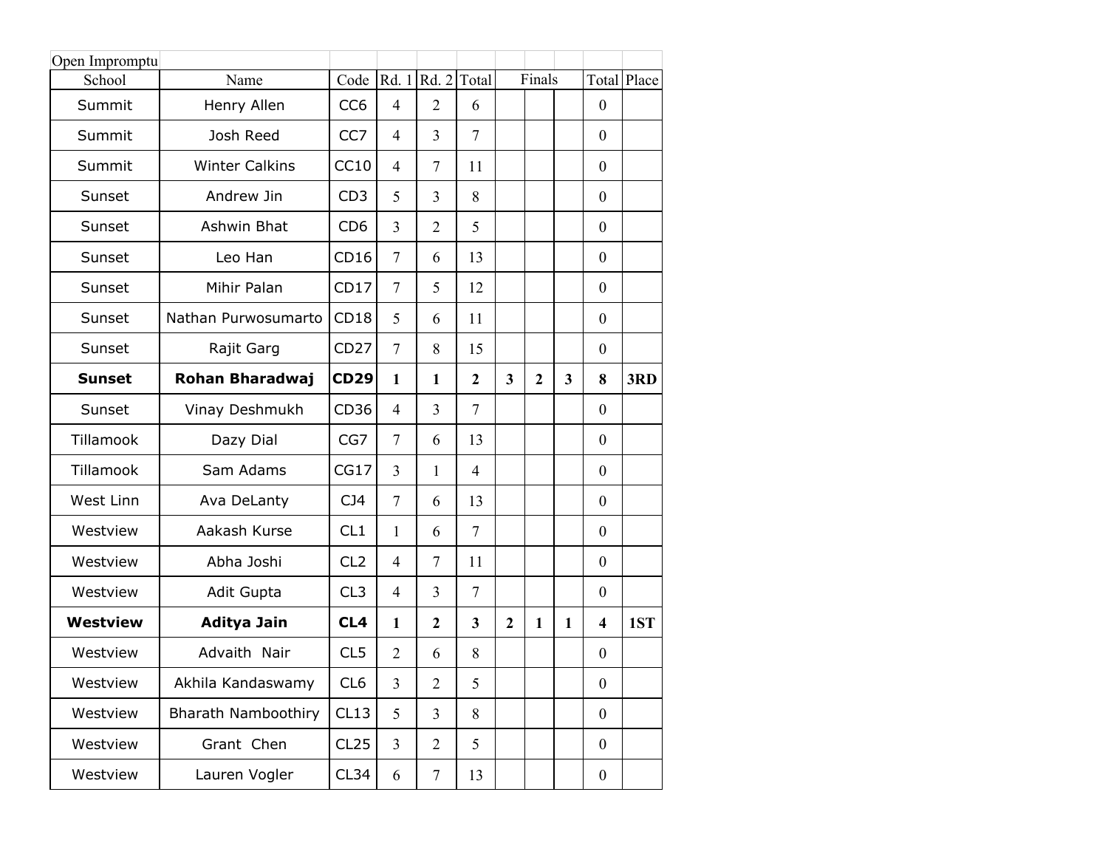| Open Impromptu  |                            |                  |                |                |                |                         |              |              |                         |             |
|-----------------|----------------------------|------------------|----------------|----------------|----------------|-------------------------|--------------|--------------|-------------------------|-------------|
| School          | Name                       | Code             |                | Rd. 1 Rd. 2    | Total          |                         | Finals       |              |                         | Total Place |
| Summit          | Henry Allen                | CC <sub>6</sub>  | $\overline{4}$ | $\overline{2}$ | 6              |                         |              |              | $\boldsymbol{0}$        |             |
| Summit          | Josh Reed                  | CC <sub>7</sub>  | 4              | $\overline{3}$ | $\tau$         |                         |              |              | $\mathbf{0}$            |             |
| Summit          | <b>Winter Calkins</b>      | CC10             | $\overline{4}$ | $\overline{7}$ | 11             |                         |              |              | $\mathbf{0}$            |             |
| Sunset          | Andrew Jin                 | CD3              | 5              | 3              | 8              |                         |              |              | $\mathbf{0}$            |             |
| Sunset          | Ashwin Bhat                | CD <sub>6</sub>  | 3              | $\overline{2}$ | 5              |                         |              |              | $\mathbf{0}$            |             |
| Sunset          | Leo Han                    | CD16             | $\overline{7}$ | 6              | 13             |                         |              |              | $\mathbf{0}$            |             |
| Sunset          | Mihir Palan                | CD17             | $\tau$         | 5              | 12             |                         |              |              | $\mathbf{0}$            |             |
| Sunset          | Nathan Purwosumarto        | CD18             | 5              | 6              | 11             |                         |              |              | $\mathbf{0}$            |             |
| Sunset          | Rajit Garg                 | <b>CD27</b>      | $\overline{7}$ | 8              | 15             |                         |              |              | $\boldsymbol{0}$        |             |
| <b>Sunset</b>   | Rohan Bharadwaj            | <b>CD29</b>      | $\mathbf{1}$   | 1              | $\overline{2}$ | $\overline{\mathbf{3}}$ | $\mathbf{2}$ | 3            | 8                       | 3RD         |
| Sunset          | Vinay Deshmukh             | CD <sub>36</sub> | $\overline{4}$ | $\overline{3}$ | $\tau$         |                         |              |              | $\mathbf{0}$            |             |
| Tillamook       | Dazy Dial                  | CG7              | $\overline{7}$ | 6              | 13             |                         |              |              | $\mathbf{0}$            |             |
| Tillamook       | Sam Adams                  | CG17             | 3              | $\mathbf{1}$   | $\overline{4}$ |                         |              |              | $\boldsymbol{0}$        |             |
| West Linn       | Ava DeLanty                | CJ4              | $\tau$         | 6              | 13             |                         |              |              | $\mathbf{0}$            |             |
| Westview        | Aakash Kurse               | CL1              | $\mathbf{1}$   | 6              | $\overline{7}$ |                         |              |              | $\mathbf{0}$            |             |
| Westview        | Abha Joshi                 | CL <sub>2</sub>  | 4              | 7              | 11             |                         |              |              | $\mathbf{0}$            |             |
| Westview        | Adit Gupta                 | CL <sub>3</sub>  | 4              | $\overline{3}$ | $\tau$         |                         |              |              | $\boldsymbol{0}$        |             |
| <b>Westview</b> | Aditya Jain                | CL <sub>4</sub>  | $\mathbf{1}$   | $\mathbf{2}$   | 3              | $\overline{2}$          | $\mathbf{1}$ | $\mathbf{1}$ | $\overline{\mathbf{4}}$ | 1ST         |
| Westview        | Advaith Nair               | CL <sub>5</sub>  | $\overline{2}$ | 6              | 8              |                         |              |              | $\boldsymbol{0}$        |             |
| Westview        | Akhila Kandaswamy          | CL <sub>6</sub>  | 3              | $\overline{2}$ | 5              |                         |              |              | $\boldsymbol{0}$        |             |
| Westview        | <b>Bharath Namboothiry</b> | CL13             | 5              | $\overline{3}$ | 8              |                         |              |              | $\mathbf{0}$            |             |
| Westview        | Grant Chen                 | CL25             | 3              | $\overline{2}$ | 5              |                         |              |              | $\mathbf{0}$            |             |
| Westview        | Lauren Vogler              | CL34             | 6              | $\tau$         | 13             |                         |              |              | $\overline{0}$          |             |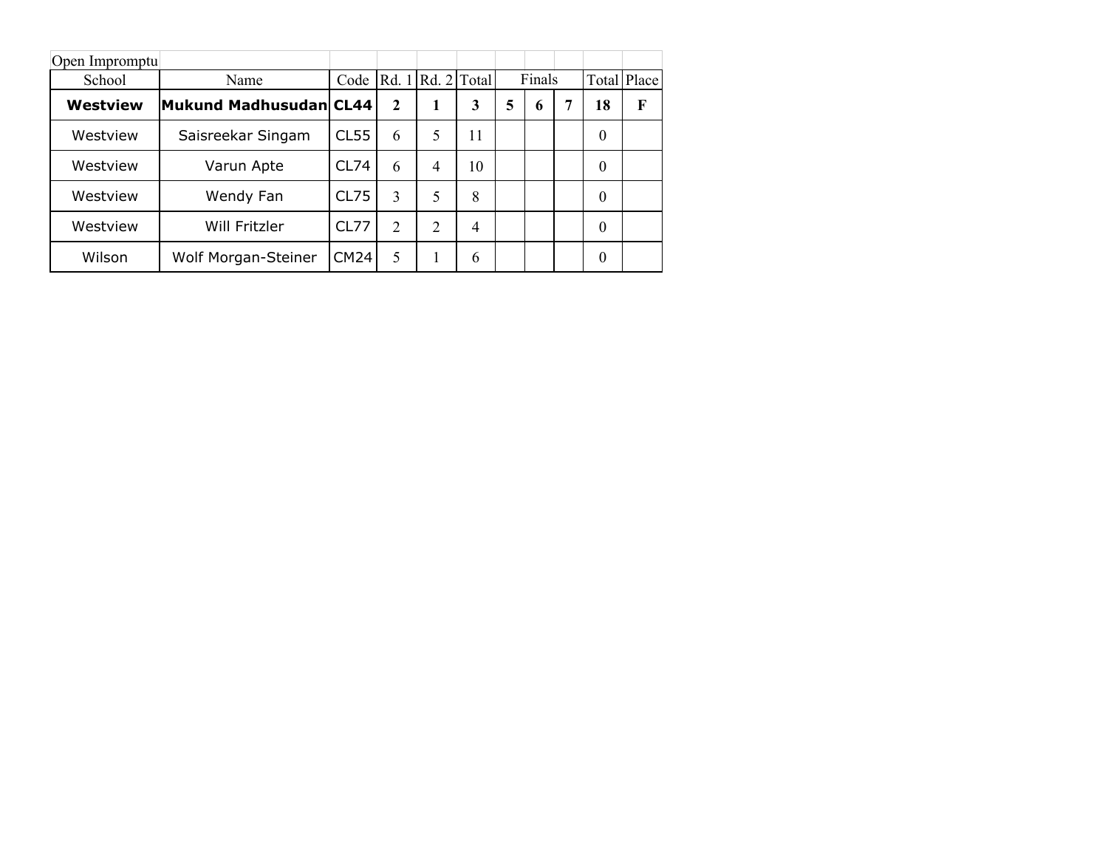| Open Impromptu |                            |             |                |                |                |   |        |    |             |
|----------------|----------------------------|-------------|----------------|----------------|----------------|---|--------|----|-------------|
| School         | Name                       | Code        | Rd. 1          | Rd. 2 Total    |                |   | Finals |    | Total Place |
| Westview       | Mukund Madhusudan CL44     |             | $\mathbf{2}$   |                | 3              | 5 | 6      | 18 | F           |
| Westview       | Saisreekar Singam          | <b>CL55</b> | 6              | 5              | 11             |   |        | 0  |             |
| Westview       | Varun Apte                 | CL74        | 6              | $\overline{4}$ | 10             |   |        | 0  |             |
| Westview       | Wendy Fan                  | <b>CL75</b> | 3              | 5              | 8              |   |        | 0  |             |
| Westview       | Will Fritzler              | CL77        | $\overline{2}$ | $\overline{2}$ | $\overline{4}$ |   |        | 0  |             |
| Wilson         | <b>Wolf Morgan-Steiner</b> | <b>CM24</b> | 5              |                | 6              |   |        | 0  |             |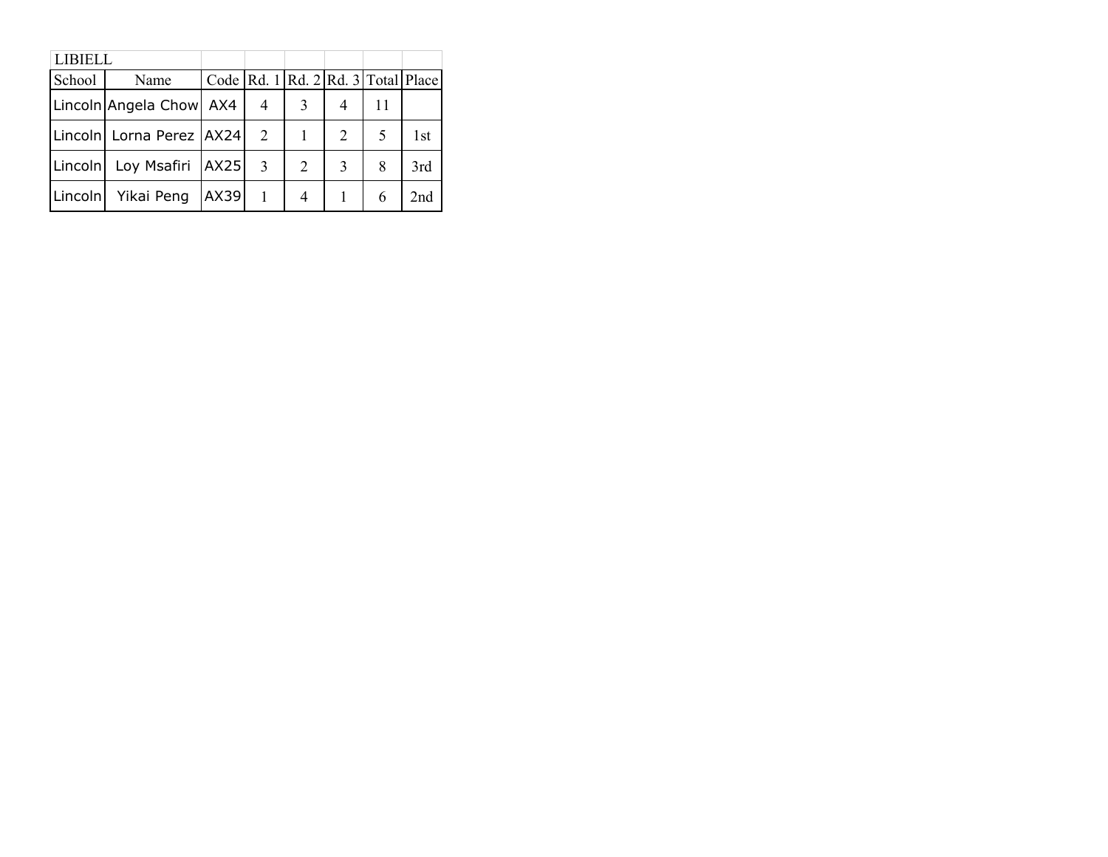| <b>LIBIELL</b> |                            |      |                                                    |   |   |    |                 |
|----------------|----------------------------|------|----------------------------------------------------|---|---|----|-----------------|
| School         | Name                       |      | Code   Rd. $1$   Rd. $2$   Rd. $3$   Total   Place |   |   |    |                 |
|                | Lincoln Angela Chow AX4    |      | $\overline{4}$                                     | 3 | 4 | 11 |                 |
|                | Lincoln Lorna Perez   AX24 |      | 2                                                  |   | 2 |    | 1st             |
|                | Lincoln Loy Msafiri   AX25 |      | $\mathcal{R}$                                      | 2 | 3 | 8  | 3rd             |
|                | Lincoln Yikai Peng         | AX39 |                                                    | 4 |   | 6  | 2 <sub>nd</sub> |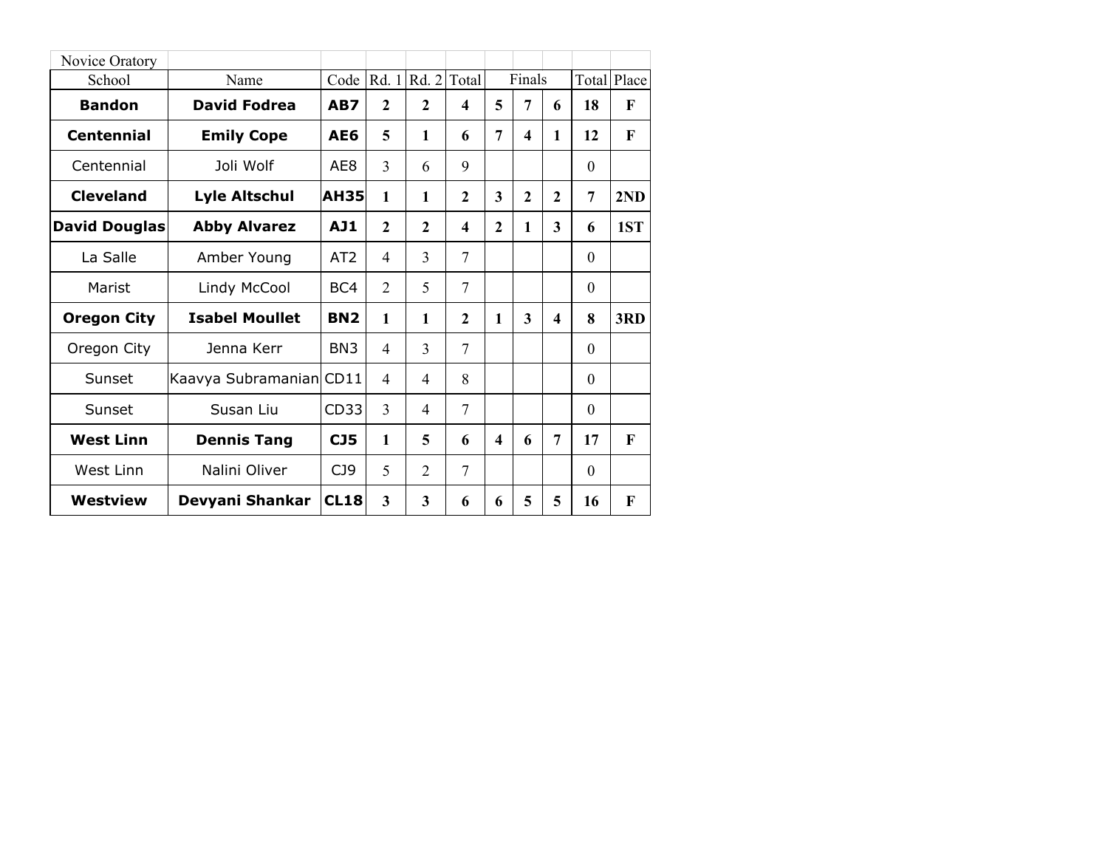| Novice Oratory     |                         |                 |                |              |                |                        |                  |                         |          |                    |
|--------------------|-------------------------|-----------------|----------------|--------------|----------------|------------------------|------------------|-------------------------|----------|--------------------|
| School             | Name                    | Code $Rd.1$     |                |              | $Rd. 2$ Total  |                        | Finals           |                         |          | <b>Total Place</b> |
| <b>Bandon</b>      | <b>David Fodrea</b>     | AB7             | $\mathbf{2}$   | $\mathbf{2}$ | 4              | 5                      | 7                | 6                       | 18       | $\mathbf F$        |
| <b>Centennial</b>  | <b>Emily Cope</b>       | AE6             | 5              | $\mathbf{1}$ | 6              | 7                      | $\boldsymbol{4}$ | 1                       | 12       | F                  |
| Centennial         | Joli Wolf               | AE8             | 3              | 6            | 9              |                        |                  |                         | $\theta$ |                    |
| <b>Cleveland</b>   | <b>Lyle Altschul</b>    | <b>AH35</b>     | $\mathbf{1}$   | $\mathbf{1}$ | $\mathbf{2}$   | 3                      | $\overline{2}$   | $\mathbf{2}$            | 7        | 2ND                |
| David Douglas      | <b>Abby Alvarez</b>     | <b>AJ1</b>      | $\mathbf{2}$   | $\mathbf{2}$ | 4              | $\overline{2}$         | 1                | 3                       | 6        | 1ST                |
| La Salle           | Amber Young             | AT2             | $\overline{4}$ | 3            | 7              |                        |                  |                         | $\Omega$ |                    |
| Marist             | Lindy McCool            | BC4             | 2              | 5            | $\overline{7}$ |                        |                  |                         | $\Omega$ |                    |
| <b>Oregon City</b> | <b>Isabel Moullet</b>   | <b>BN2</b>      | 1              | $\mathbf{1}$ | $\mathbf{2}$   | 1                      | 3                | $\overline{\mathbf{4}}$ | 8        | 3RD                |
| Oregon City        | Jenna Kerr              | BN <sub>3</sub> | $\overline{4}$ | 3            | 7              |                        |                  |                         | $\Omega$ |                    |
| Sunset             | Kaavya Subramanian CD11 |                 | $\overline{4}$ | 4            | 8              |                        |                  |                         | $\Omega$ |                    |
| Sunset             | Susan Liu               | CD33            | 3              | 4            | 7              |                        |                  |                         | $\Omega$ |                    |
| <b>West Linn</b>   | <b>Dennis Tang</b>      | CJ5             | 1              | 5            | 6              | $\boldsymbol{\Lambda}$ | 6                | 7                       | 17       | $\mathbf F$        |
| West Linn          | Nalini Oliver           | C <sub>19</sub> | 5              | 2            | 7              |                        |                  |                         | $\theta$ |                    |
| Westview           | Devyani Shankar         | <b>CL18</b>     | 3              | 3            | 6              | 6                      | 5                | 5                       | 16       | F                  |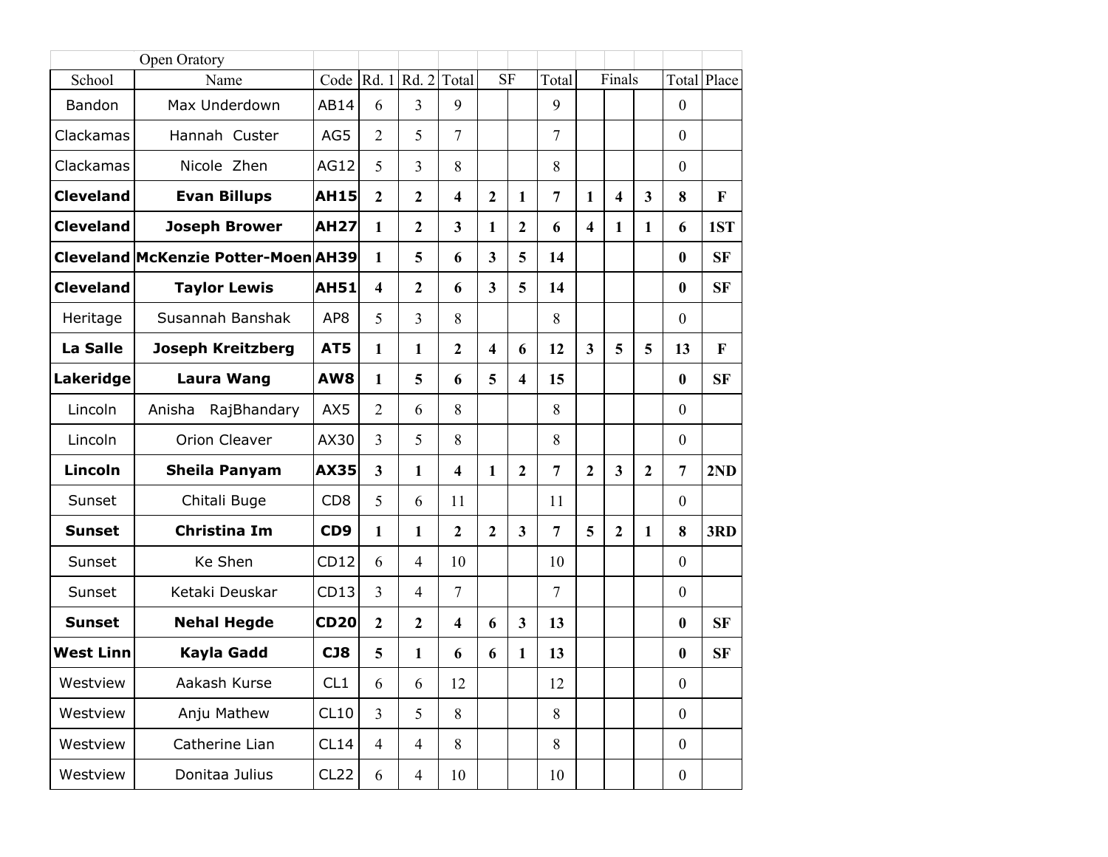|                  | Open Oratory                               |                 |                         |                |                         |                         |                         |                |                         |                |                         |                  |           |
|------------------|--------------------------------------------|-----------------|-------------------------|----------------|-------------------------|-------------------------|-------------------------|----------------|-------------------------|----------------|-------------------------|------------------|-----------|
| School           | Name                                       | Code            | Rd. 1                   | Rd.2           | Total                   | <b>SF</b>               |                         | Total          |                         | Finals         |                         | Total            | Place     |
| Bandon           | Max Underdown                              | AB14            | 6                       | $\overline{3}$ | 9                       |                         |                         | 9              |                         |                |                         | $\mathbf{0}$     |           |
| Clackamas        | Hannah Custer                              | AG5             | $\overline{2}$          | 5              | 7                       |                         |                         | $\overline{7}$ |                         |                |                         | $\mathbf{0}$     |           |
| Clackamas        | Nicole Zhen                                | AG12            | 5                       | $\overline{3}$ | 8                       |                         |                         | 8              |                         |                |                         | $\boldsymbol{0}$ |           |
| <b>Cleveland</b> | <b>Evan Billups</b>                        | <b>AH15</b>     | $\overline{2}$          | $\overline{2}$ | $\overline{\mathbf{4}}$ | $\mathbf{2}$            | 1                       | $\overline{7}$ | 1                       | 4              | $\overline{\mathbf{3}}$ | 8                | F         |
| <b>Cleveland</b> | <b>Joseph Brower</b>                       | <b>AH27</b>     | 1                       | $\overline{2}$ | 3                       | $\mathbf{1}$            | $\mathbf{2}$            | 6              | $\overline{\mathbf{4}}$ | 1              | 1                       | 6                | 1ST       |
|                  | <b>Cleveland McKenzie Potter-Moen AH39</b> |                 | 1                       | 5              | 6                       | $\overline{\mathbf{3}}$ | 5                       | 14             |                         |                |                         | $\bf{0}$         | <b>SF</b> |
| <b>Cleveland</b> | <b>Taylor Lewis</b>                        | <b>AH51</b>     | $\overline{\mathbf{4}}$ | $\overline{2}$ | 6                       | $\overline{\mathbf{3}}$ | 5                       | 14             |                         |                |                         | $\bf{0}$         | <b>SF</b> |
| Heritage         | Susannah Banshak                           | AP <sub>8</sub> | 5                       | $\overline{3}$ | 8                       |                         |                         | 8              |                         |                |                         | $\mathbf{0}$     |           |
| <b>La Salle</b>  | <b>Joseph Kreitzberg</b>                   | AT5             | 1                       | $\mathbf{1}$   | $\overline{2}$          | $\overline{\mathbf{4}}$ | 6                       | 12             | $\overline{\mathbf{3}}$ | 5              | 5                       | 13               | F         |
| Lakeridge        | <b>Laura Wang</b>                          | AW8             | 1                       | 5              | 6                       | 5                       | $\overline{\mathbf{4}}$ | 15             |                         |                |                         | $\bf{0}$         | <b>SF</b> |
| Lincoln          | RajBhandary<br>Anisha                      | AX5             | $\overline{2}$          | 6              | 8                       |                         |                         | 8              |                         |                |                         | $\boldsymbol{0}$ |           |
| Lincoln          | <b>Orion Cleaver</b>                       | AX30            | 3                       | 5              | 8                       |                         |                         | 8              |                         |                |                         | $\theta$         |           |
| Lincoln          | <b>Sheila Panyam</b>                       | <b>AX35</b>     | 3                       | $\mathbf{1}$   | $\overline{\mathbf{4}}$ | 1                       | $\overline{2}$          | $\overline{7}$ | $\overline{2}$          | 3              | $\overline{2}$          | $\overline{7}$   | 2ND       |
| Sunset           | Chitali Buge                               | CD <sub>8</sub> | 5                       | 6              | 11                      |                         |                         | 11             |                         |                |                         | $\mathbf{0}$     |           |
| <b>Sunset</b>    | <b>Christina Im</b>                        | CD <sub>9</sub> | 1                       | 1              | $\overline{2}$          | $\overline{2}$          | $\overline{\mathbf{3}}$ | $\overline{7}$ | 5                       | $\overline{2}$ | 1                       | 8                | 3RD       |
| Sunset           | Ke Shen                                    | CD12            | 6                       | $\overline{4}$ | 10                      |                         |                         | 10             |                         |                |                         | $\mathbf{0}$     |           |
| Sunset           | Ketaki Deuskar                             | CD13            | 3                       | $\overline{4}$ | $\overline{7}$          |                         |                         | $\overline{7}$ |                         |                |                         | $\boldsymbol{0}$ |           |
| <b>Sunset</b>    | <b>Nehal Hegde</b>                         | <b>CD20</b>     | $\overline{2}$          | $\overline{2}$ | $\overline{\mathbf{4}}$ | 6                       | 3                       | 13             |                         |                |                         | $\bf{0}$         | <b>SF</b> |
| <b>West Linn</b> | Kayla Gadd                                 | CJ8             | 5                       | $\mathbf{1}$   | 6                       | 6                       | 1                       | 13             |                         |                |                         | $\bf{0}$         | <b>SF</b> |
| Westview         | Aakash Kurse                               | CL1             | 6                       | 6              | 12                      |                         |                         | 12             |                         |                |                         | $\boldsymbol{0}$ |           |
| Westview         | Anju Mathew                                | CL10            | $\overline{3}$          | 5              | 8                       |                         |                         | 8              |                         |                |                         | $\boldsymbol{0}$ |           |
| Westview         | Catherine Lian                             | CL14            | $\overline{4}$          | $\overline{4}$ | 8                       |                         |                         | 8              |                         |                |                         | $\boldsymbol{0}$ |           |
| Westview         | Donitaa Julius                             | CL22            | 6                       | $\overline{4}$ | 10                      |                         |                         | 10             |                         |                |                         | $\boldsymbol{0}$ |           |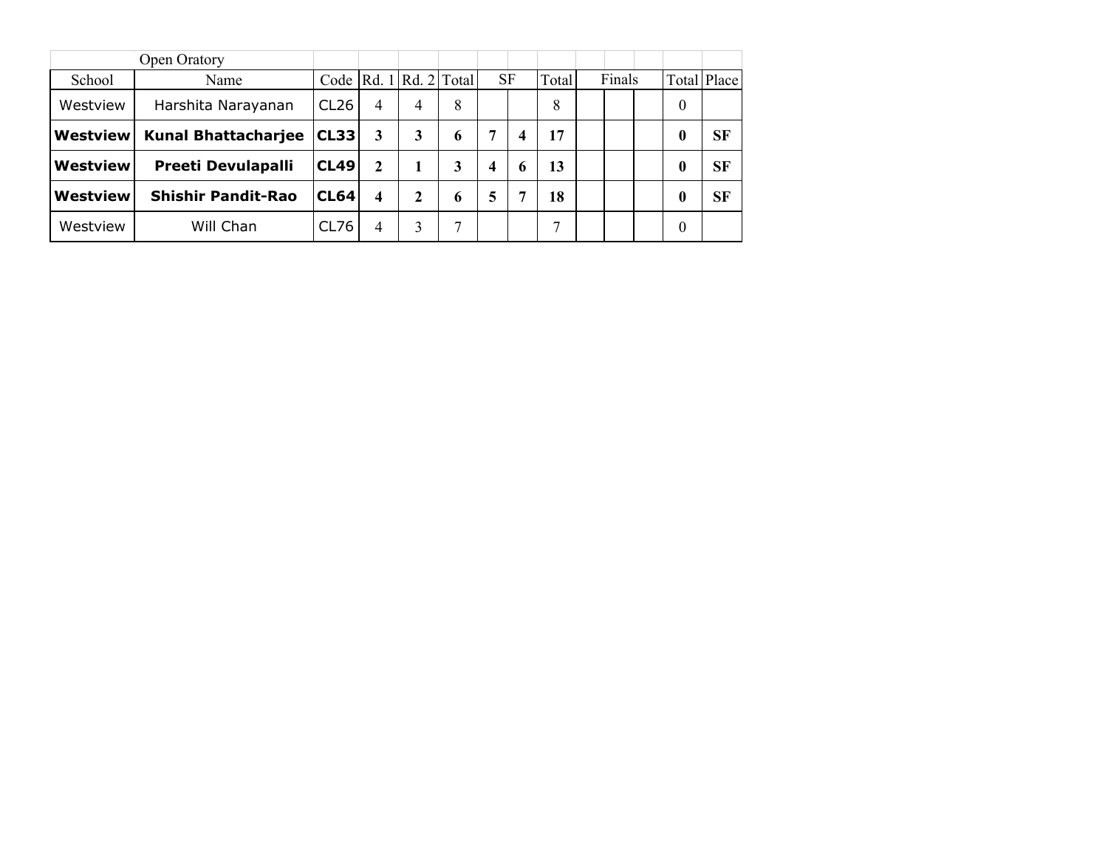|                 | <b>Open Oratory</b>        |             |                            |   |   |   |             |    |        |          |             |
|-----------------|----------------------------|-------------|----------------------------|---|---|---|-------------|----|--------|----------|-------------|
| School          | Name                       |             | Code $ Rd. 1 Rd. 2 Total $ |   |   |   | <b>SF</b>   |    | Finals |          | Total Place |
| Westview        | Harshita Narayanan         | CL26        | 4                          | 4 | 8 |   |             | 8  |        | $\theta$ |             |
| Westview        | <b>Kunal Bhattacharjee</b> | CL33        | 3                          | 3 | 6 | 7 | 4           | 17 |        | 0        | <b>SF</b>   |
| <b>Westview</b> | <b>Preeti Devulapalli</b>  | <b>CL49</b> | $\mathbf{2}$               |   | 3 | 4 | $\mathbf b$ | 13 |        | 0        | <b>SF</b>   |
| Westview        | <b>Shishir Pandit-Rao</b>  | CL64        | 4                          | 2 | 6 | 5 | 7           | 18 |        | 0        | <b>SF</b>   |
| Westview        | Will Chan                  | CL76        | 4                          |   | ⇁ |   |             | −  |        | 0        |             |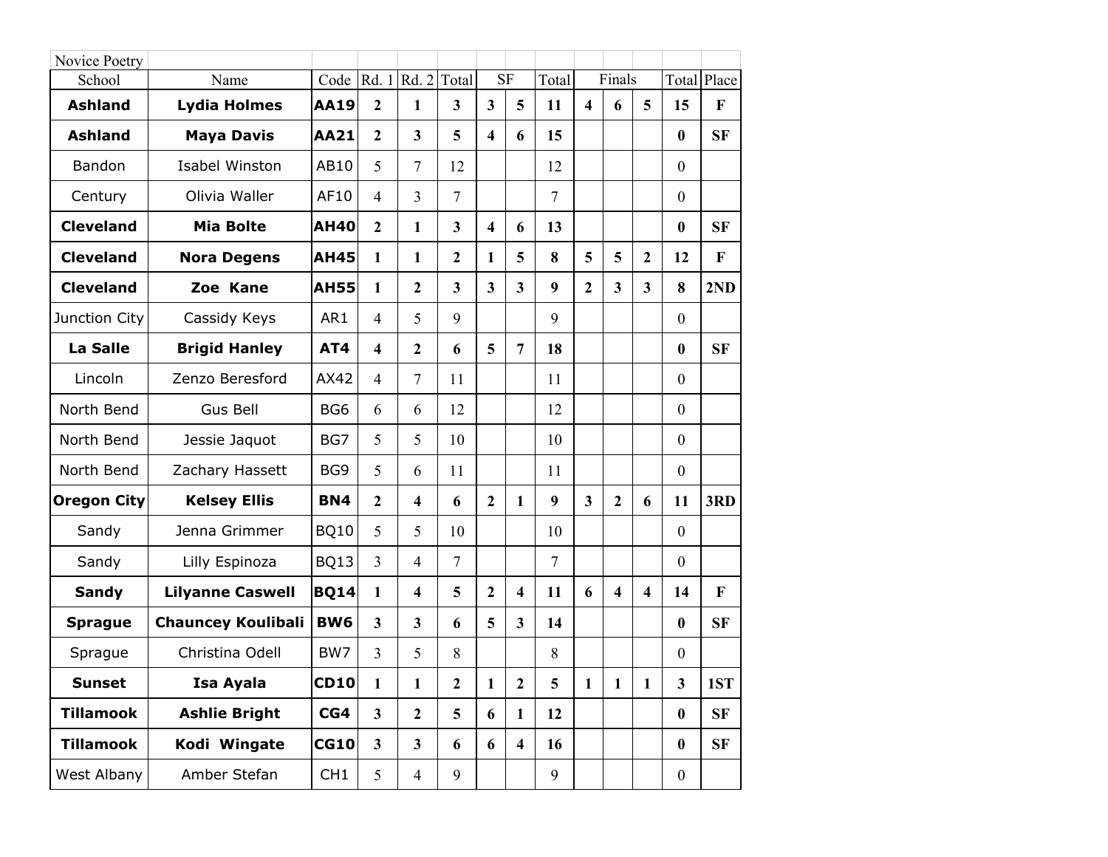| Novice Poetry      |                           |                 |                         |                         |                         |                         |                         |                |                         |                         |                         |                  |           |
|--------------------|---------------------------|-----------------|-------------------------|-------------------------|-------------------------|-------------------------|-------------------------|----------------|-------------------------|-------------------------|-------------------------|------------------|-----------|
| School             | Name                      | Code            | Rd. 1                   | Rd. 2                   | Total                   |                         | <b>SF</b>               | Total          |                         | Finals                  |                         | Total            | Place     |
| <b>Ashland</b>     | <b>Lydia Holmes</b>       | <b>AA19</b>     | $\overline{2}$          | $\mathbf{1}$            | $\mathbf{3}$            | $\overline{\mathbf{3}}$ | 5                       | 11             | $\overline{\mathbf{4}}$ | 6                       | 5                       | 15               | F         |
| <b>Ashland</b>     | <b>Maya Davis</b>         | <b>AA21</b>     | $\overline{2}$          | $\overline{\mathbf{3}}$ | 5                       | $\overline{\mathbf{4}}$ | 6                       | 15             |                         |                         |                         | $\bf{0}$         | <b>SF</b> |
| Bandon             | <b>Isabel Winston</b>     | AB10            | 5                       | $\overline{7}$          | 12                      |                         |                         | 12             |                         |                         |                         | $\overline{0}$   |           |
| Century            | Olivia Waller             | AF10            | $\overline{4}$          | 3                       | $\overline{7}$          |                         |                         | $\overline{7}$ |                         |                         |                         | $\overline{0}$   |           |
| <b>Cleveland</b>   | Mia Bolte                 | <b>AH40</b>     | $\overline{2}$          | $\mathbf{1}$            | $\overline{\mathbf{3}}$ | $\overline{\mathbf{4}}$ | 6                       | 13             |                         |                         |                         | $\bf{0}$         | <b>SF</b> |
| <b>Cleveland</b>   | <b>Nora Degens</b>        | <b>AH45</b>     | $\mathbf{1}$            | 1                       | $\overline{2}$          | 1                       | 5                       | 8              | 5                       | 5                       | $\overline{2}$          | 12               | F         |
| <b>Cleveland</b>   | Zoe Kane                  | <b>AH55</b>     | $\mathbf{1}$            | $\overline{2}$          | $\overline{\mathbf{3}}$ | $\overline{\mathbf{3}}$ | $\overline{3}$          | 9              | $\overline{2}$          | $\overline{\mathbf{3}}$ | 3                       | 8                | 2ND       |
| Junction City      | Cassidy Keys              | AR1             | $\overline{4}$          | 5                       | 9                       |                         |                         | 9              |                         |                         |                         | $\boldsymbol{0}$ |           |
| <b>La Salle</b>    | <b>Brigid Hanley</b>      | AT4             | $\overline{\mathbf{4}}$ | $\overline{2}$          | 6                       | 5                       | $\overline{7}$          | 18             |                         |                         |                         | $\bf{0}$         | <b>SF</b> |
| Lincoln            | Zenzo Beresford           | AX42            | $\overline{4}$          | $\overline{7}$          | 11                      |                         |                         | 11             |                         |                         |                         | $\overline{0}$   |           |
| North Bend         | Gus Bell                  | BG <sub>6</sub> | 6                       | 6                       | 12                      |                         |                         | 12             |                         |                         |                         | $\overline{0}$   |           |
| North Bend         | Jessie Jaquot             | BG7             | 5                       | 5                       | 10                      |                         |                         | 10             |                         |                         |                         | $\overline{0}$   |           |
| North Bend         | Zachary Hassett           | BG9             | 5                       | 6                       | 11                      |                         |                         | 11             |                         |                         |                         | $\boldsymbol{0}$ |           |
| <b>Oregon City</b> | <b>Kelsey Ellis</b>       | <b>BN4</b>      | $\overline{2}$          | $\overline{\mathbf{4}}$ | 6                       | $\overline{2}$          | 1                       | 9              | $\overline{\mathbf{3}}$ | $\overline{2}$          | 6                       | 11               | 3RD       |
| Sandy              | Jenna Grimmer             | <b>BQ10</b>     | 5                       | 5                       | 10                      |                         |                         | 10             |                         |                         |                         | $\overline{0}$   |           |
| Sandy              | Lilly Espinoza            | <b>BQ13</b>     | $\overline{3}$          | $\overline{4}$          | 7                       |                         |                         | $\overline{7}$ |                         |                         |                         | $\overline{0}$   |           |
| <b>Sandy</b>       | <b>Lilyanne Caswell</b>   | <b>BQ14</b>     | $\mathbf{1}$            | $\overline{\mathbf{4}}$ | 5                       | $\overline{2}$          | $\overline{\mathbf{4}}$ | 11             | 6                       | $\overline{\mathbf{4}}$ | $\overline{\mathbf{4}}$ | 14               | F         |
| <b>Sprague</b>     | <b>Chauncey Koulibali</b> | <b>BW6</b>      | $\overline{\mathbf{3}}$ | $\overline{\mathbf{3}}$ | 6                       | 5                       | $\overline{\mathbf{3}}$ | 14             |                         |                         |                         | $\bf{0}$         | <b>SF</b> |
| Sprague            | Christina Odell           | BW7             | $\overline{3}$          | 5                       | 8                       |                         |                         | 8              |                         |                         |                         | $\boldsymbol{0}$ |           |
| <b>Sunset</b>      | Isa Ayala                 | <b>CD10</b>     | $\mathbf{1}$            | $\mathbf{1}$            | $\boldsymbol{2}$        | $\mathbf{1}$            | $\boldsymbol{2}$        | 5              | $\mathbf{1}$            | $\mathbf{1}$            | $\mathbf{1}$            | 3                | 1ST       |
| <b>Tillamook</b>   | <b>Ashlie Bright</b>      | CG4             | 3 <sup>1</sup>          | $\overline{2}$          | 5                       | 6                       | $\mathbf{1}$            | 12             |                         |                         |                         | $\bf{0}$         | SF        |
| <b>Tillamook</b>   | Kodi Wingate              | CG10            | 3 <sup>1</sup>          | $\overline{\mathbf{3}}$ | 6                       | 6                       | $\overline{\mathbf{4}}$ | 16             |                         |                         |                         | $\bf{0}$         | <b>SF</b> |
| West Albany        | Amber Stefan              | CH1             | 5                       | $\overline{4}$          | 9                       |                         |                         | 9              |                         |                         |                         | $\boldsymbol{0}$ |           |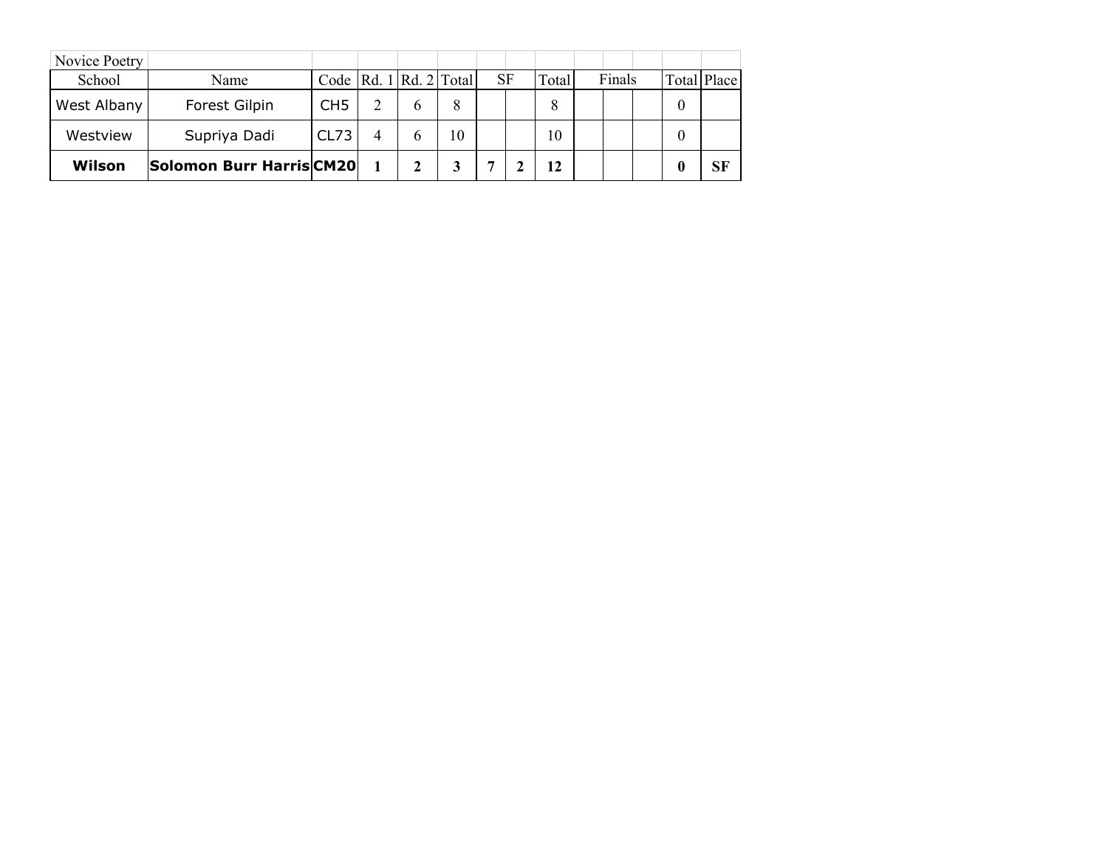| Novice Poetry |                          |                            |   |   |    |    |       |        |   |             |
|---------------|--------------------------|----------------------------|---|---|----|----|-------|--------|---|-------------|
| School        | Name                     | Code $ Rd. 1 Rd. 2 Total $ |   |   |    | SF | Total | Finals |   | Total Place |
| West Albany   | Forest Gilpin            | CH <sub>5</sub>            |   | h | 8  |    | 8     |        | 0 |             |
| Westview      | Supriya Dadi             | CL73                       | 4 |   | 10 |    | 10    |        | 0 |             |
| Wilson        | Solomon Burr Harris CM20 |                            |   |   |    |    | 12    |        |   | <b>SF</b>   |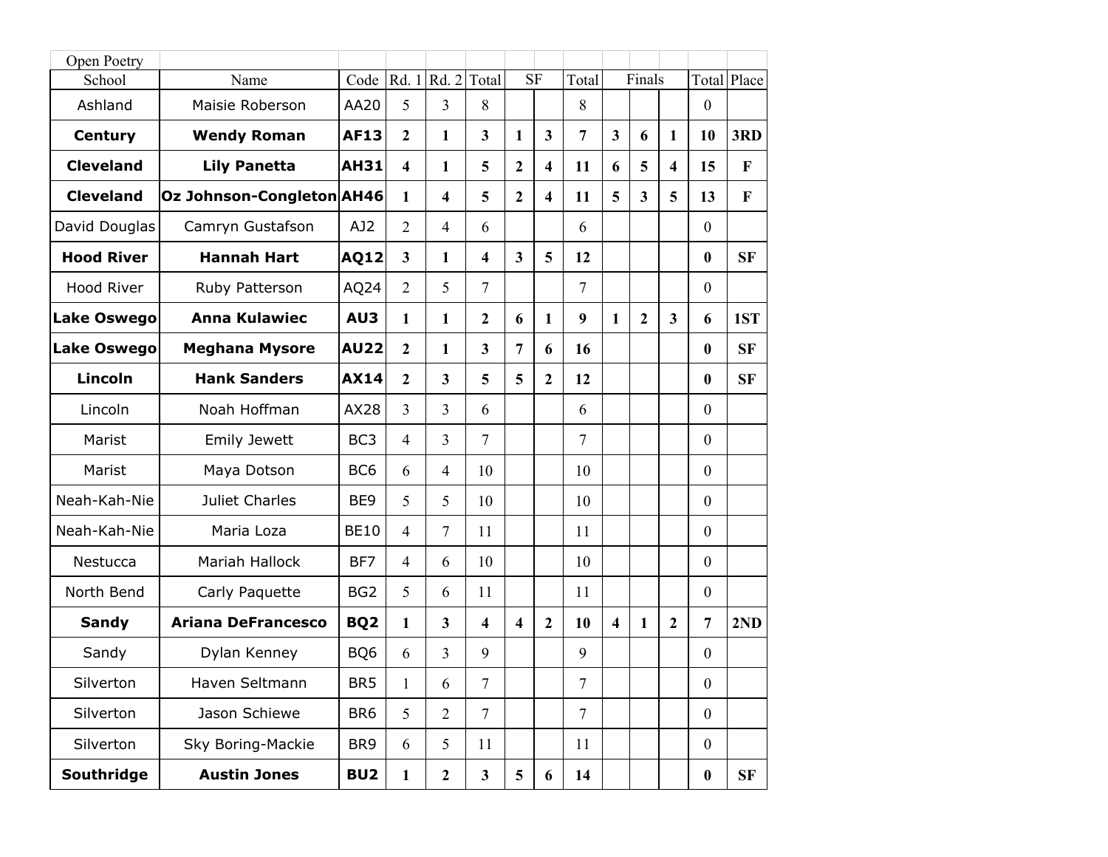| Open Poetry        |                           |                 |                         |                  |                |                         |                         |                 |                         |                         |                         |                  |              |
|--------------------|---------------------------|-----------------|-------------------------|------------------|----------------|-------------------------|-------------------------|-----------------|-------------------------|-------------------------|-------------------------|------------------|--------------|
| School             | Name                      | Code            | Rd. 1                   | Rd. 2            | Total          | <b>SF</b>               |                         | Total           |                         | Finals                  |                         | Total            | Place        |
| Ashland            | Maisie Roberson           | AA20            | 5                       | $\overline{3}$   | 8              |                         |                         | 8               |                         |                         |                         | $\mathbf{0}$     |              |
| <b>Century</b>     | <b>Wendy Roman</b>        | <b>AF13</b>     | $\overline{2}$          | 1                | 3              | 1                       | $\mathbf{3}$            | $7\phantom{.0}$ | $\overline{\mathbf{3}}$ | 6                       | 1                       | 10               | 3RD          |
| <b>Cleveland</b>   | <b>Lily Panetta</b>       | <b>AH31</b>     | $\overline{\mathbf{4}}$ | 1                | 5              | $\overline{2}$          | $\overline{\mathbf{4}}$ | 11              | 6                       | 5                       | $\overline{\mathbf{4}}$ | 15               | $\bf F$      |
| <b>Cleveland</b>   | Oz Johnson-Congleton AH46 |                 | $\mathbf{1}$            | 4                | 5              | $\overline{2}$          | $\overline{\mathbf{4}}$ | 11              | 5                       | $\overline{\mathbf{3}}$ | 5                       | 13               | $\mathbf{F}$ |
| David Douglas      | Camryn Gustafson          | AJ2             | $\overline{2}$          | 4                | 6              |                         |                         | 6               |                         |                         |                         | $\mathbf{0}$     |              |
| <b>Hood River</b>  | <b>Hannah Hart</b>        | <b>AQ12</b>     | $\overline{\mathbf{3}}$ | 1                | 4              | $\overline{\mathbf{3}}$ | 5                       | 12              |                         |                         |                         | $\bf{0}$         | <b>SF</b>    |
| Hood River         | Ruby Patterson            | AQ24            | $\overline{2}$          | 5                | 7              |                         |                         | $\overline{7}$  |                         |                         |                         | $\boldsymbol{0}$ |              |
| <b>Lake Oswego</b> | <b>Anna Kulawiec</b>      | AU3             | $\mathbf{1}$            | 1                | $\mathbf{2}$   | 6                       | $\mathbf{1}$            | 9               | 1                       | $\mathbf{2}$            | $\mathbf{3}$            | 6                | 1ST          |
| <b>Lake Oswego</b> | <b>Meghana Mysore</b>     | <b>AU22</b>     | $\overline{2}$          | 1                | $\overline{3}$ | $\overline{7}$          | 6                       | 16              |                         |                         |                         | $\bf{0}$         | <b>SF</b>    |
| <b>Lincoln</b>     | <b>Hank Sanders</b>       | <b>AX14</b>     | $\overline{2}$          | 3                | 5              | 5                       | $\boldsymbol{2}$        | 12              |                         |                         |                         | $\bf{0}$         | <b>SF</b>    |
| Lincoln            | Noah Hoffman              | AX28            | $\overline{3}$          | 3                | 6              |                         |                         | 6               |                         |                         |                         | $\mathbf{0}$     |              |
| Marist             | <b>Emily Jewett</b>       | BC <sub>3</sub> | $\overline{4}$          | 3                | 7              |                         |                         | $\overline{7}$  |                         |                         |                         | $\boldsymbol{0}$ |              |
| Marist             | Maya Dotson               | BC <sub>6</sub> | 6                       | $\overline{4}$   | 10             |                         |                         | 10              |                         |                         |                         | $\boldsymbol{0}$ |              |
| Neah-Kah-Nie       | Juliet Charles            | BE9             | 5                       | 5                | 10             |                         |                         | 10              |                         |                         |                         | $\boldsymbol{0}$ |              |
| Neah-Kah-Nie       | Maria Loza                | <b>BE10</b>     | $\overline{4}$          | 7                | 11             |                         |                         | 11              |                         |                         |                         | $\boldsymbol{0}$ |              |
| Nestucca           | Mariah Hallock            | BF7             | $\overline{4}$          | 6                | 10             |                         |                         | 10              |                         |                         |                         | $\mathbf{0}$     |              |
| North Bend         | Carly Paquette            | BG <sub>2</sub> | 5                       | 6                | 11             |                         |                         | 11              |                         |                         |                         | $\boldsymbol{0}$ |              |
| <b>Sandy</b>       | <b>Ariana DeFrancesco</b> | BQ <sub>2</sub> | 1                       | 3                | 4              | $\overline{\mathbf{4}}$ | $\overline{2}$          | 10              | $\overline{\mathbf{4}}$ | 1                       | $\overline{2}$          | $\overline{7}$   | 2ND          |
| Sandy              | Dylan Kenney              | BQ6             | 6                       | 3                | 9              |                         |                         | 9               |                         |                         |                         | $\boldsymbol{0}$ |              |
| Silverton          | Haven Seltmann            | BR <sub>5</sub> | $\mathbf{1}$            | 6                | 7              |                         |                         | 7               |                         |                         |                         | $\boldsymbol{0}$ |              |
| Silverton          | Jason Schiewe             | BR <sub>6</sub> | 5                       | $\overline{2}$   | $\overline{7}$ |                         |                         | $\overline{7}$  |                         |                         |                         | $\boldsymbol{0}$ |              |
| Silverton          | Sky Boring-Mackie         | BR9             | 6                       | 5                | 11             |                         |                         | 11              |                         |                         |                         | $\boldsymbol{0}$ |              |
| Southridge         | <b>Austin Jones</b>       | BU <sub>2</sub> | $\mathbf{1}$            | $\boldsymbol{2}$ | $\mathbf{3}$   | 5                       | 6                       | 14              |                         |                         |                         | $\boldsymbol{0}$ | SF           |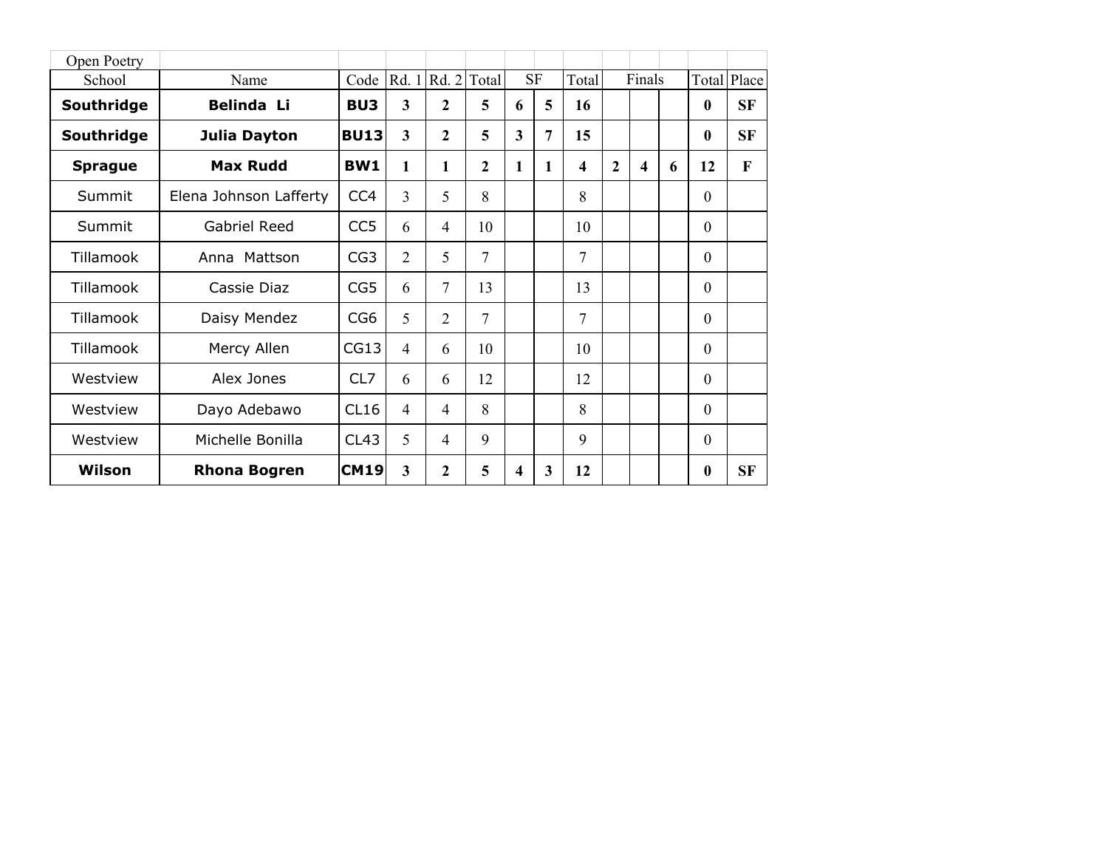| Open Poetry    |                        |                 |                |              |                |                         |                |       |                |        |   |              |              |
|----------------|------------------------|-----------------|----------------|--------------|----------------|-------------------------|----------------|-------|----------------|--------|---|--------------|--------------|
| School         | Name                   | Code            | Rd. 1          | Rd.2         | Total          |                         | <b>SF</b>      | Total |                | Finals |   | Total        | Place        |
| Southridge     | <b>Belinda Li</b>      | BU <sub>3</sub> | 3              | $\mathbf{2}$ | 5              | 6                       | 5              | 16    |                |        |   | $\bf{0}$     | SF           |
| Southridge     | Julia Dayton           | <b>BU13</b>     | 3              | $\mathbf{2}$ | 5              | $\overline{\mathbf{3}}$ | $\overline{7}$ | 15    |                |        |   | $\bf{0}$     | <b>SF</b>    |
| <b>Sprague</b> | <b>Max Rudd</b>        | BW1             | 1              | 1            | $\mathbf{2}$   | 1                       | $\mathbf{1}$   | 4     | $\overline{2}$ | 4      | 6 | 12           | $\mathbf{F}$ |
| Summit         | Elena Johnson Lafferty | CC <sub>4</sub> | 3              | 5            | 8              |                         |                | 8     |                |        |   | $\theta$     |              |
| Summit         | <b>Gabriel Reed</b>    | CC <sub>5</sub> | 6              | 4            | 10             |                         |                | 10    |                |        |   | $\Omega$     |              |
| Tillamook      | Anna Mattson           | CG <sub>3</sub> | $\overline{2}$ | 5            | $\overline{7}$ |                         |                | 7     |                |        |   | $\mathbf{0}$ |              |
| Tillamook      | Cassie Diaz            | CG5             | 6              | 7            | 13             |                         |                | 13    |                |        |   | $\theta$     |              |
| Tillamook      | Daisy Mendez           | CG <sub>6</sub> | 5              | 2            | 7              |                         |                | 7     |                |        |   | $\theta$     |              |
| Tillamook      | Mercy Allen            | CG13            | $\overline{4}$ | 6            | 10             |                         |                | 10    |                |        |   | $\Omega$     |              |
| Westview       | Alex Jones             | CL7             | 6              | 6            | 12             |                         |                | 12    |                |        |   | $\Omega$     |              |
| Westview       | Dayo Adebawo           | CL16            | $\overline{4}$ | 4            | 8              |                         |                | 8     |                |        |   | $\mathbf{0}$ |              |
| Westview       | Michelle Bonilla       | CL43            | 5              | 4            | 9              |                         |                | 9     |                |        |   | $\mathbf{0}$ |              |
| Wilson         | <b>Rhona Bogren</b>    | <b>CM19</b>     | 3              | 2            | 5              | 4                       | 3              | 12    |                |        |   | $\mathbf{0}$ | <b>SF</b>    |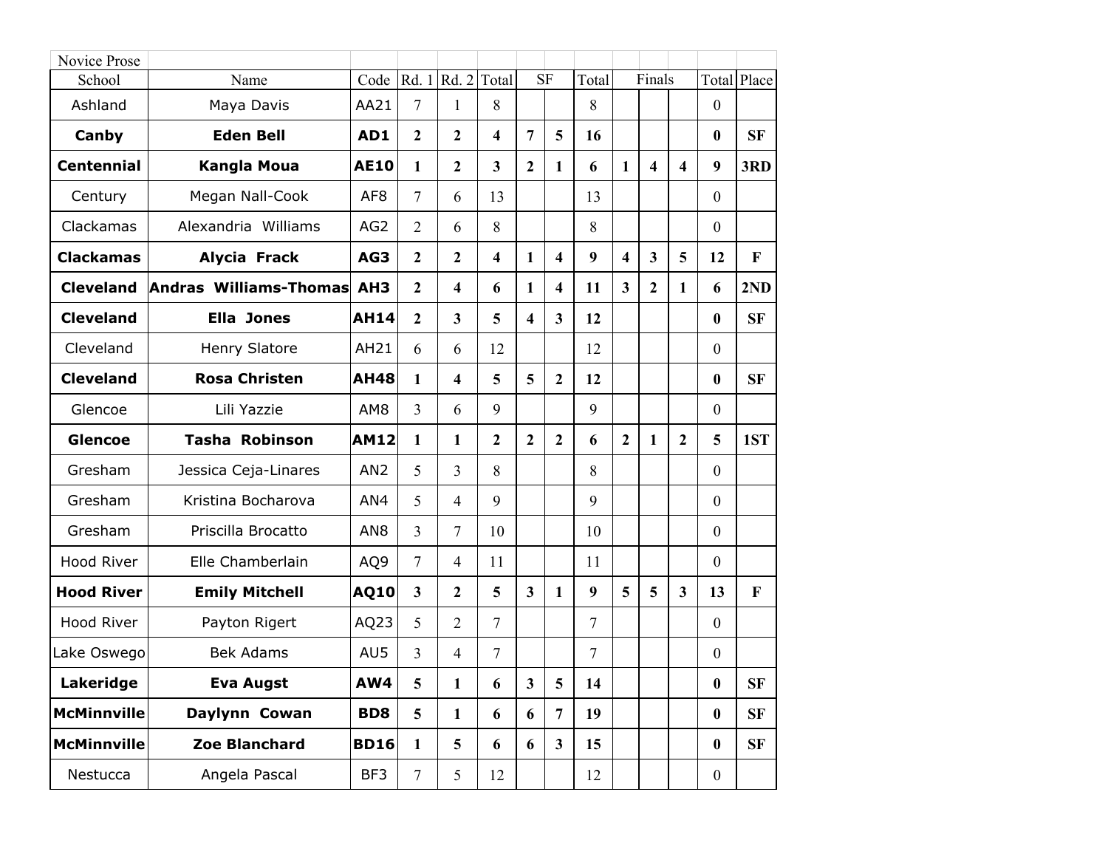| Novice Prose       |                        |                 |                |                         |                         |   |                |        |                         |                         |                         |                  |             |
|--------------------|------------------------|-----------------|----------------|-------------------------|-------------------------|---|----------------|--------|-------------------------|-------------------------|-------------------------|------------------|-------------|
| School             | Name                   | Code            |                | Rd. 1 Rd. 2             | Total                   |   | <b>SF</b>      | Total  |                         | Finals                  |                         |                  | Total Place |
| Ashland            | Maya Davis             | AA21            | 7              | 1                       | 8                       |   |                | 8      |                         |                         |                         | $\mathbf{0}$     |             |
| Canby              | <b>Eden Bell</b>       | AD1             | $\mathbf{2}$   | $\overline{2}$          | $\overline{\mathbf{4}}$ | 7 | 5              | 16     |                         |                         |                         | $\boldsymbol{0}$ | <b>SF</b>   |
| <b>Centennial</b>  | <b>Kangla Moua</b>     | <b>AE10</b>     | 1              | $\overline{2}$          | $\overline{\mathbf{3}}$ | 2 | 1              | 6      | 1                       | $\overline{\mathbf{4}}$ | $\overline{\mathbf{4}}$ | 9                | 3RD         |
| Century            | Megan Nall-Cook        | AF <sub>8</sub> | $\overline{7}$ | 6                       | 13                      |   |                | 13     |                         |                         |                         | $\mathbf{0}$     |             |
| Clackamas          | Alexandria Williams    | AG <sub>2</sub> | 2              | 6                       | 8                       |   |                | 8      |                         |                         |                         | $\mathbf{0}$     |             |
| <b>Clackamas</b>   | <b>Alycia Frack</b>    | AG3             | $\overline{2}$ | $\overline{2}$          | $\overline{\mathbf{4}}$ | 1 | 4              | 9      | $\overline{\mathbf{4}}$ | $\overline{\mathbf{3}}$ | 5                       | 12               | F           |
| <b>Cleveland</b>   | Andras Williams-Thomas | AH <sub>3</sub> | $\overline{2}$ | $\overline{\mathbf{4}}$ | 6                       | 1 | 4              | 11     | $\mathbf{3}$            | $\overline{2}$          | 1                       | 6                | 2ND         |
| <b>Cleveland</b>   | <b>Ella Jones</b>      | <b>AH14</b>     | $\mathbf{2}$   | $\overline{3}$          | 5                       | 4 | $\mathbf{3}$   | 12     |                         |                         |                         | $\boldsymbol{0}$ | <b>SF</b>   |
| Cleveland          | Henry Slatore          | AH21            | 6              | 6                       | 12                      |   |                | 12     |                         |                         |                         | $\boldsymbol{0}$ |             |
| <b>Cleveland</b>   | <b>Rosa Christen</b>   | <b>AH48</b>     | 1              | $\overline{\mathbf{4}}$ | 5                       | 5 | $\overline{2}$ | 12     |                         |                         |                         | $\bf{0}$         | <b>SF</b>   |
| Glencoe            | Lili Yazzie            | AM <sub>8</sub> | 3              | 6                       | 9                       |   |                | 9      |                         |                         |                         | $\mathbf{0}$     |             |
| <b>Glencoe</b>     | <b>Tasha Robinson</b>  | <b>AM12</b>     | 1              | 1                       | $\overline{2}$          | 2 | $\overline{2}$ | 6      | $\overline{2}$          | 1                       | $\mathbf{2}$            | 5                | 1ST         |
| Gresham            | Jessica Ceja-Linares   | AN <sub>2</sub> | 5              | $\overline{3}$          | 8                       |   |                | 8      |                         |                         |                         | $\boldsymbol{0}$ |             |
| Gresham            | Kristina Bocharova     | AN4             | 5              | $\overline{4}$          | 9                       |   |                | 9      |                         |                         |                         | $\mathbf{0}$     |             |
| Gresham            | Priscilla Brocatto     | AN <sub>8</sub> | 3              | $\overline{7}$          | 10                      |   |                | 10     |                         |                         |                         | $\mathbf{0}$     |             |
| Hood River         | Elle Chamberlain       | AQ9             | $\overline{7}$ | $\overline{4}$          | 11                      |   |                | 11     |                         |                         |                         | $\mathbf{0}$     |             |
| <b>Hood River</b>  | <b>Emily Mitchell</b>  | <b>AQ10</b>     | $\overline{3}$ | $\overline{2}$          | 5                       | 3 | 1              | 9      | 5                       | 5                       | $\overline{\mathbf{3}}$ | 13               | $\mathbf F$ |
| <b>Hood River</b>  | Payton Rigert          | AQ23            | 5              | $\overline{2}$          | 7                       |   |                | 7      |                         |                         |                         | $\mathbf{0}$     |             |
| Lake Oswego        | <b>Bek Adams</b>       | AU5             | 3              | $\overline{4}$          | $\overline{7}$          |   |                | $\tau$ |                         |                         |                         | $\boldsymbol{0}$ |             |
| Lakeridge          | <b>Eva Augst</b>       | AW4             | 5              | 1                       | 6                       | 3 | 5              | 14     |                         |                         |                         | $\bf{0}$         | SF          |
| <b>McMinnville</b> | Daylynn Cowan          | BD <sub>8</sub> | 5              | $\mathbf{1}$            | 6                       | 6 | $\overline{7}$ | 19     |                         |                         |                         | $\boldsymbol{0}$ | <b>SF</b>   |
| <b>McMinnville</b> | Zoe Blanchard          | <b>BD16</b>     | $\mathbf{1}$   | 5                       | 6                       | 6 | $\mathbf{3}$   | 15     |                         |                         |                         | $\boldsymbol{0}$ | <b>SF</b>   |
| Nestucca           | Angela Pascal          | BF3             | $\overline{7}$ | 5                       | 12                      |   |                | 12     |                         |                         |                         | $\overline{0}$   |             |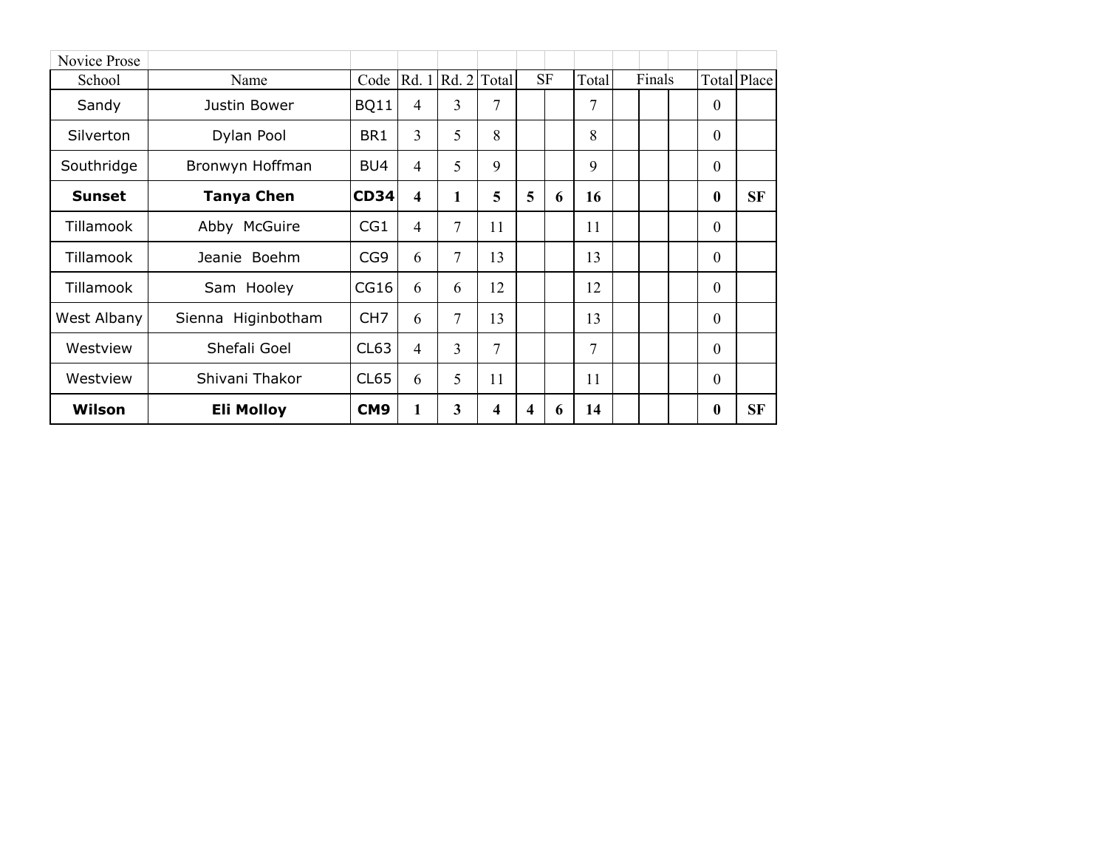| Novice Prose  |                       |                 |                         |                   |    |   |           |       |        |              |             |
|---------------|-----------------------|-----------------|-------------------------|-------------------|----|---|-----------|-------|--------|--------------|-------------|
| School        | Name                  | Code            |                         | Rd. 1 Rd. 2 Total |    |   | <b>SF</b> | Total | Finals |              | Total Place |
| Sandy         | Justin Bower          | <b>BQ11</b>     | $\overline{4}$          | 3                 | 7  |   |           | 7     |        | $\theta$     |             |
| Silverton     | Dylan Pool            | BR1             | $\overline{3}$          | 5                 | 8  |   |           | 8     |        | $\theta$     |             |
| Southridge    | Bronwyn Hoffman       | BU4             | $\overline{4}$          | 5                 | 9  |   |           | 9     |        | $\theta$     |             |
| <b>Sunset</b> | <b>Tanya Chen</b>     | <b>CD34</b>     | $\overline{\mathbf{4}}$ | $\mathbf{1}$      | 5  | 5 | 6         | 16    |        | $\bf{0}$     | <b>SF</b>   |
| Tillamook     | Abby McGuire          | CG1             | $\overline{4}$          | 7                 | 11 |   |           | 11    |        | $\theta$     |             |
| Tillamook     | Jeanie Boehm          | CG <sub>9</sub> | 6                       | 7                 | 13 |   |           | 13    |        | $\theta$     |             |
| Tillamook     | Sam Hooley            | CG16            | 6                       | 6                 | 12 |   |           | 12    |        | $\mathbf{0}$ |             |
| West Albany   | Higinbotham<br>Sienna | CH <sub>7</sub> | 6                       | 7                 | 13 |   |           | 13    |        | $\theta$     |             |
| Westview      | Shefali Goel          | CL63            | $\overline{4}$          | $\overline{3}$    | 7  |   |           | 7     |        | $\theta$     |             |
| Westview      | Shivani Thakor        | CL65            | 6                       | 5                 | 11 |   |           | 11    |        | $\mathbf{0}$ |             |
| Wilson        | <b>Eli Molloy</b>     | CM <sub>9</sub> | 1                       | 3                 | 4  | 4 | 6         | 14    |        | $\bf{0}$     | <b>SF</b>   |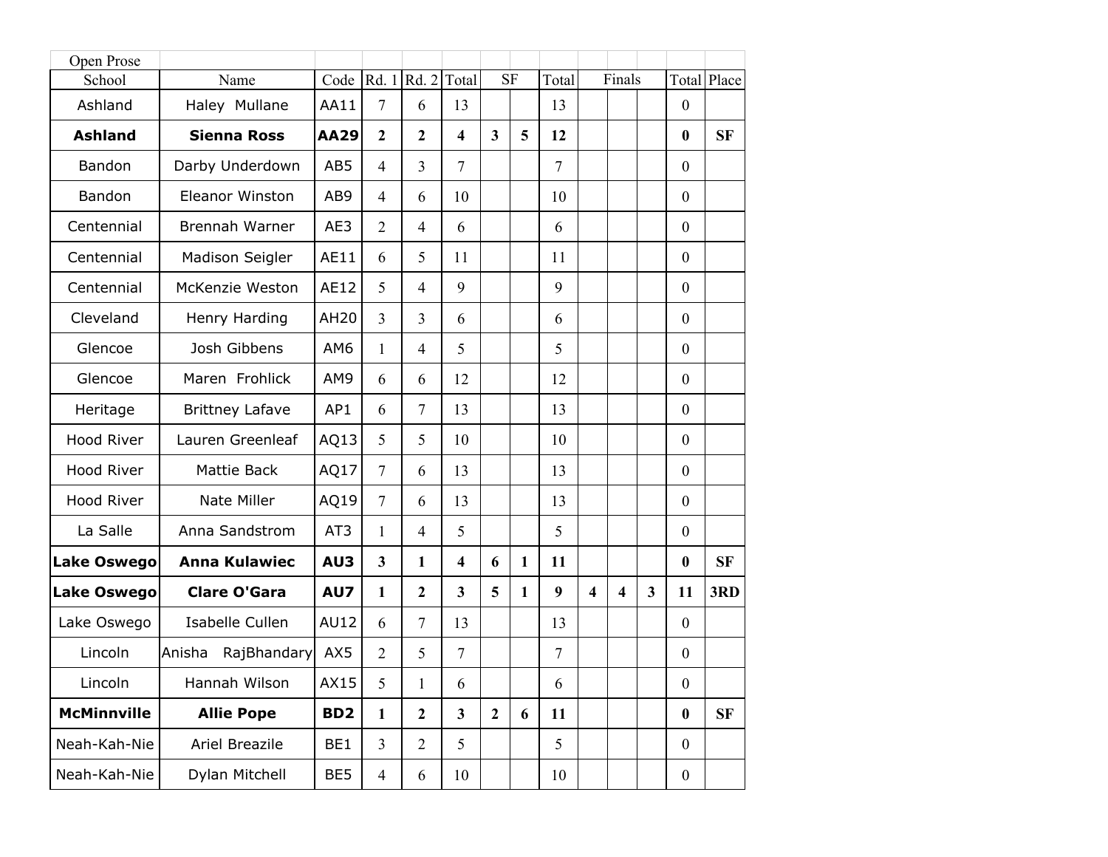| Open Prose         |                        |                 |                |                |                         |                         |              |                |                         |                         |              |                  |             |
|--------------------|------------------------|-----------------|----------------|----------------|-------------------------|-------------------------|--------------|----------------|-------------------------|-------------------------|--------------|------------------|-------------|
| School             | Name                   | Code            | Rd. 1   Rd. 2  |                | Total                   | <b>SF</b>               |              | Total          |                         | Finals                  |              |                  | Total Place |
| Ashland            | Haley Mullane          | AA11            | $\overline{7}$ | 6              | 13                      |                         |              | 13             |                         |                         |              | $\boldsymbol{0}$ |             |
| <b>Ashland</b>     | <b>Sienna Ross</b>     | <b>AA29</b>     | $\overline{2}$ | $\overline{2}$ | $\overline{\mathbf{4}}$ | $\overline{\mathbf{3}}$ | 5            | 12             |                         |                         |              | $\bf{0}$         | <b>SF</b>   |
| Bandon             | Darby Underdown        | AB5             | $\overline{4}$ | $\overline{3}$ | $\overline{7}$          |                         |              | $\overline{7}$ |                         |                         |              | $\boldsymbol{0}$ |             |
| Bandon             | <b>Eleanor Winston</b> | AB9             | $\overline{4}$ | 6              | 10                      |                         |              | 10             |                         |                         |              | $\mathbf{0}$     |             |
| Centennial         | Brennah Warner         | AE3             | $\overline{2}$ | $\overline{4}$ | 6                       |                         |              | 6              |                         |                         |              | $\boldsymbol{0}$ |             |
| Centennial         | Madison Seigler        | AE11            | 6              | 5              | 11                      |                         |              | 11             |                         |                         |              | $\boldsymbol{0}$ |             |
| Centennial         | McKenzie Weston        | AE12            | 5              | $\overline{4}$ | 9                       |                         |              | 9              |                         |                         |              | $\boldsymbol{0}$ |             |
| Cleveland          | Henry Harding          | AH20            | $\overline{3}$ | $\overline{3}$ | 6                       |                         |              | 6              |                         |                         |              | $\boldsymbol{0}$ |             |
| Glencoe            | Josh Gibbens           | AM6             | 1              | $\overline{4}$ | 5                       |                         |              | 5              |                         |                         |              | $\mathbf{0}$     |             |
| Glencoe            | Maren Frohlick         | AM9             | 6              | 6              | 12                      |                         |              | 12             |                         |                         |              | $\boldsymbol{0}$ |             |
| Heritage           | <b>Brittney Lafave</b> | AP1             | 6              | $\overline{7}$ | 13                      |                         |              | 13             |                         |                         |              | $\boldsymbol{0}$ |             |
| Hood River         | Lauren Greenleaf       | AQ13            | 5              | 5              | 10                      |                         |              | 10             |                         |                         |              | $\boldsymbol{0}$ |             |
| <b>Hood River</b>  | Mattie Back            | AQ17            | $\overline{7}$ | 6              | 13                      |                         |              | 13             |                         |                         |              | $\boldsymbol{0}$ |             |
| Hood River         | Nate Miller            | AQ19            | $\overline{7}$ | 6              | 13                      |                         |              | 13             |                         |                         |              | $\boldsymbol{0}$ |             |
| La Salle           | Anna Sandstrom         | AT3             | 1              | $\overline{4}$ | 5                       |                         |              | 5              |                         |                         |              | $\boldsymbol{0}$ |             |
| <b>Lake Oswego</b> | <b>Anna Kulawiec</b>   | AU3             | $\overline{3}$ | 1              | $\overline{\mathbf{4}}$ | 6                       | 1            | 11             |                         |                         |              | $\bf{0}$         | <b>SF</b>   |
| Lake Oswego        | <b>Clare O'Gara</b>    | AU7             | $\mathbf{1}$   | $\overline{2}$ | $\overline{\mathbf{3}}$ | 5                       | $\mathbf{1}$ | 9              | $\overline{\mathbf{4}}$ | $\overline{\mathbf{4}}$ | $\mathbf{3}$ | 11               | 3RD         |
| Lake Oswego        | <b>Isabelle Cullen</b> | <b>AU12</b>     | 6              | $\overline{7}$ | 13                      |                         |              | 13             |                         |                         |              | $\boldsymbol{0}$ |             |
| Lincoln            | Anisha<br>RajBhandary  | AX5             | $\overline{2}$ | 5              | $\tau$                  |                         |              | $\overline{7}$ |                         |                         |              | $\boldsymbol{0}$ |             |
| Lincoln            | Hannah Wilson          | AX15            | 5              | $\mathbf{1}$   | 6                       |                         |              | 6              |                         |                         |              | $\boldsymbol{0}$ |             |
| <b>McMinnville</b> | <b>Allie Pope</b>      | BD <sub>2</sub> | $\mathbf{1}$   | $\mathbf{2}$   | $\mathbf{3}$            | $\overline{2}$          | 6            | 11             |                         |                         |              | $\boldsymbol{0}$ | <b>SF</b>   |
| Neah-Kah-Nie       | Ariel Breazile         | BE1             | $\overline{3}$ | $\overline{2}$ | 5                       |                         |              | 5              |                         |                         |              | $\boldsymbol{0}$ |             |
| Neah-Kah-Nie       | Dylan Mitchell         | BE5             | $\overline{4}$ | 6              | 10                      |                         |              | 10             |                         |                         |              | $\boldsymbol{0}$ |             |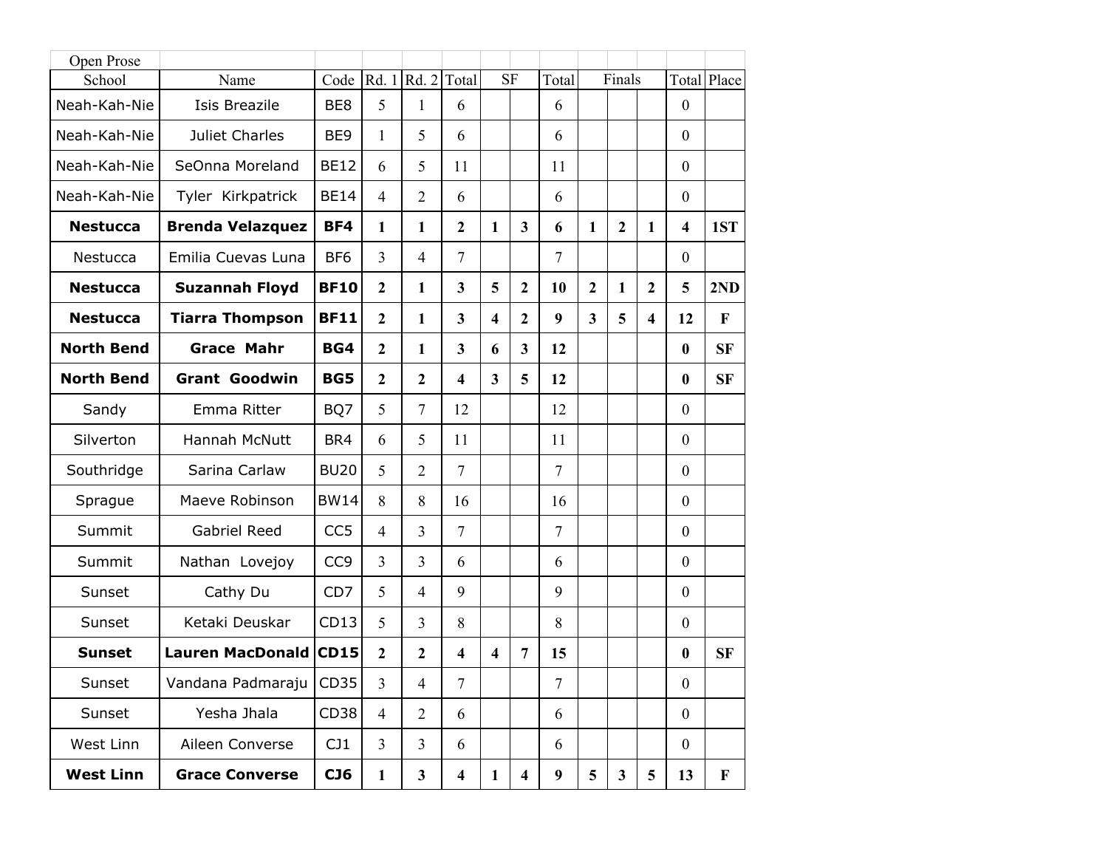| Open Prose        |                         |                 |                |                |                         |                         |                         |                  |                         |              |                         |                         |              |
|-------------------|-------------------------|-----------------|----------------|----------------|-------------------------|-------------------------|-------------------------|------------------|-------------------------|--------------|-------------------------|-------------------------|--------------|
| School            | Name                    | Code            | Rd. 1          | Rd. 2          | Total                   | <b>SF</b>               |                         | Total            |                         | Finals       |                         |                         | Total Place  |
| Neah-Kah-Nie      | <b>Isis Breazile</b>    | BE8             | 5              | 1              | 6                       |                         |                         | 6                |                         |              |                         | $\boldsymbol{0}$        |              |
| Neah-Kah-Nie      | Juliet Charles          | BE <sub>9</sub> | 1              | 5              | 6                       |                         |                         | 6                |                         |              |                         | $\boldsymbol{0}$        |              |
| Neah-Kah-Nie      | SeOnna Moreland         | <b>BE12</b>     | 6              | 5              | 11                      |                         |                         | 11               |                         |              |                         | $\boldsymbol{0}$        |              |
| Neah-Kah-Nie      | Tyler Kirkpatrick       | <b>BE14</b>     | $\overline{4}$ | $\overline{2}$ | 6                       |                         |                         | 6                |                         |              |                         | $\mathbf{0}$            |              |
| <b>Nestucca</b>   | <b>Brenda Velazquez</b> | BF4             | 1              | 1              | $\overline{2}$          | 1                       | $\overline{\mathbf{3}}$ | 6                | $\mathbf{1}$            | $\mathbf{2}$ | $\mathbf{1}$            | $\overline{\mathbf{4}}$ | 1ST          |
| Nestucca          | Emilia Cuevas Luna      | BF <sub>6</sub> | $\overline{3}$ | $\overline{4}$ | $\overline{7}$          |                         |                         | $\overline{7}$   |                         |              |                         | $\mathbf{0}$            |              |
| <b>Nestucca</b>   | <b>Suzannah Floyd</b>   | <b>BF10</b>     | $\overline{2}$ | 1              | $\overline{3}$          | 5                       | $\overline{2}$          | 10               | $\overline{2}$          | 1            | $\mathbf{2}$            | 5                       | 2ND          |
| <b>Nestucca</b>   | <b>Tiarra Thompson</b>  | <b>BF11</b>     | $\overline{2}$ | $\mathbf{1}$   | $\overline{3}$          | $\overline{\mathbf{4}}$ | $\overline{2}$          | 9                | $\overline{\mathbf{3}}$ | 5            | $\overline{\mathbf{4}}$ | 12                      | $\mathbf{F}$ |
| <b>North Bend</b> | <b>Grace Mahr</b>       | BG4             | $\overline{2}$ | 1              | $\overline{3}$          | 6                       | $\overline{\mathbf{3}}$ | 12               |                         |              |                         | $\boldsymbol{0}$        | <b>SF</b>    |
| <b>North Bend</b> | <b>Grant Goodwin</b>    | BG5             | $\mathbf{2}$   | $\overline{2}$ | $\overline{\mathbf{4}}$ | $\overline{3}$          | 5                       | 12               |                         |              |                         | $\bf{0}$                | <b>SF</b>    |
| Sandy             | Emma Ritter             | BQ7             | 5              | $\tau$         | 12                      |                         |                         | 12               |                         |              |                         | $\boldsymbol{0}$        |              |
| Silverton         | Hannah McNutt           | BR4             | 6              | 5              | 11                      |                         |                         | 11               |                         |              |                         | $\boldsymbol{0}$        |              |
| Southridge        | Sarina Carlaw           | <b>BU20</b>     | 5              | $\overline{2}$ | 7                       |                         |                         | $\overline{7}$   |                         |              |                         | $\boldsymbol{0}$        |              |
| Sprague           | Maeve Robinson          | <b>BW14</b>     | 8              | 8              | 16                      |                         |                         | 16               |                         |              |                         | $\mathbf{0}$            |              |
| Summit            | <b>Gabriel Reed</b>     | CC <sub>5</sub> | $\overline{4}$ | 3              | 7                       |                         |                         | $\overline{7}$   |                         |              |                         | $\boldsymbol{0}$        |              |
| Summit            | Nathan Lovejoy          | CC <sub>9</sub> | $\overline{3}$ | $\overline{3}$ | 6                       |                         |                         | 6                |                         |              |                         | $\mathbf{0}$            |              |
| Sunset            | Cathy Du                | CD7             | 5              | $\overline{4}$ | 9                       |                         |                         | 9                |                         |              |                         | $\boldsymbol{0}$        |              |
| Sunset            | Ketaki Deuskar          | CD13            | 5              | 3              | 8                       |                         |                         | 8                |                         |              |                         | $\boldsymbol{0}$        |              |
| <b>Sunset</b>     | <b>Lauren MacDonald</b> | <b>CD15</b>     | $\overline{2}$ | $\overline{2}$ | $\overline{\mathbf{4}}$ | $\overline{\mathbf{4}}$ | $\overline{7}$          | 15               |                         |              |                         | $\bf{0}$                | <b>SF</b>    |
| Sunset            | Vandana Padmaraju       | CD35            | $\overline{3}$ | $\overline{4}$ | 7                       |                         |                         | 7                |                         |              |                         | $\boldsymbol{0}$        |              |
| Sunset            | Yesha Jhala             | CD38            | $\overline{4}$ | $\overline{2}$ | 6                       |                         |                         | 6                |                         |              |                         | $\boldsymbol{0}$        |              |
| West Linn         | Aileen Converse         | CJ1             | $\overline{3}$ | $\overline{3}$ | 6                       |                         |                         | 6                |                         |              |                         | $\boldsymbol{0}$        |              |
| <b>West Linn</b>  | <b>Grace Converse</b>   | CJ6             | $\mathbf{1}$   | $\mathbf{3}$   | $\overline{\mathbf{4}}$ | $\mathbf{1}$            | $\overline{\mathbf{4}}$ | $\boldsymbol{9}$ | 5                       | $\mathbf{3}$ | 5                       | 13                      | $\mathbf F$  |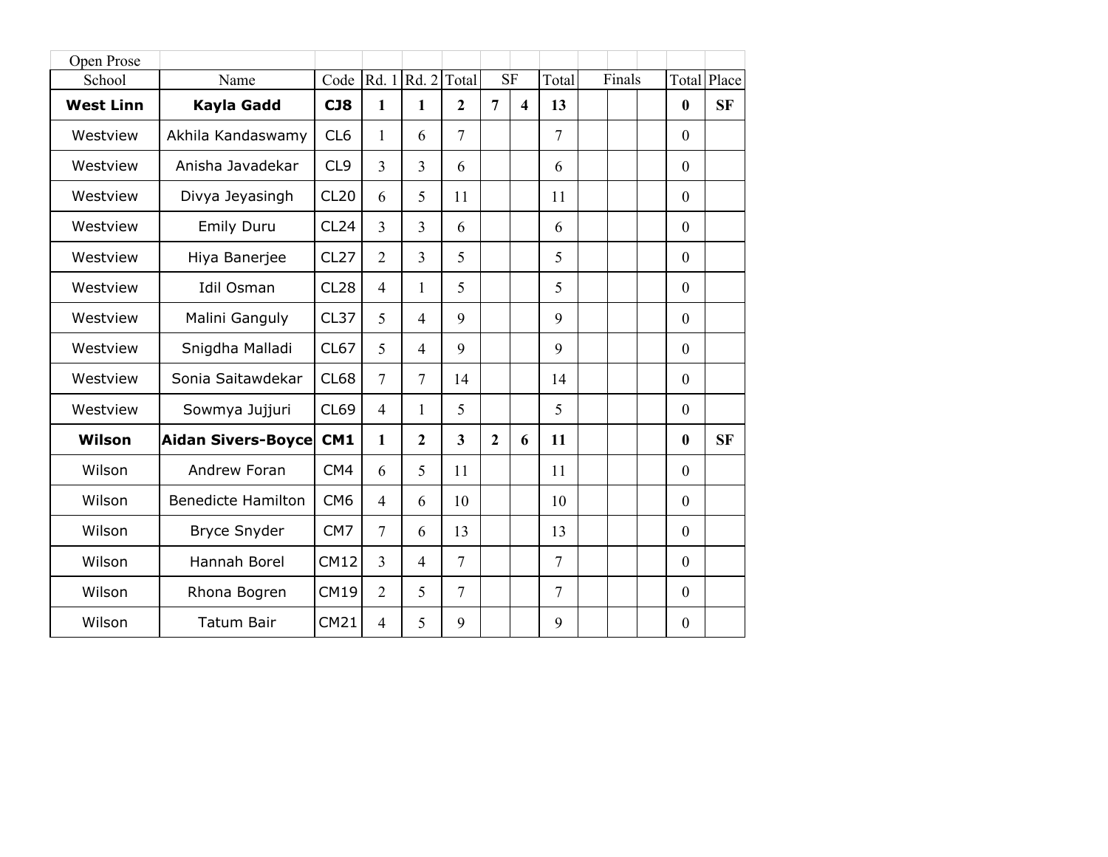| Open Prose       |                           |                 |                |                     |                         |                |                         |                |        |                  |             |
|------------------|---------------------------|-----------------|----------------|---------------------|-------------------------|----------------|-------------------------|----------------|--------|------------------|-------------|
| School           | Name                      | Code            |                | Rd. $1 Rd. 2 Total$ |                         |                | SF                      | Total          | Finals |                  | Total Place |
| <b>West Linn</b> | Kayla Gadd                | <b>CJ8</b>      | $\mathbf{1}$   | 1                   | $\overline{2}$          | $\overline{7}$ | $\overline{\mathbf{4}}$ | 13             |        | $\bf{0}$         | <b>SF</b>   |
| Westview         | Akhila Kandaswamy         | CL <sub>6</sub> | 1              | 6                   | $\overline{7}$          |                |                         | 7              |        | $\boldsymbol{0}$ |             |
| Westview         | Anisha Javadekar          | CL <sub>9</sub> | $\overline{3}$ | 3                   | 6                       |                |                         | 6              |        | $\mathbf{0}$     |             |
| Westview         | Divya Jeyasingh           | <b>CL20</b>     | 6              | 5                   | 11                      |                |                         | 11             |        | $\mathbf{0}$     |             |
| Westview         | <b>Emily Duru</b>         | CL24            | $\overline{3}$ | $\overline{3}$      | 6                       |                |                         | 6              |        | $\mathbf{0}$     |             |
| Westview         | Hiya Banerjee             | <b>CL27</b>     | $\overline{2}$ | 3                   | 5                       |                |                         | 5              |        | $\mathbf{0}$     |             |
| Westview         | <b>Idil Osman</b>         | <b>CL28</b>     | $\overline{4}$ | 1                   | 5                       |                |                         | 5              |        | $\mathbf{0}$     |             |
| Westview         | Malini Ganguly            | <b>CL37</b>     | 5              | $\overline{4}$      | 9                       |                |                         | 9              |        | $\mathbf{0}$     |             |
| Westview         | Snigdha Malladi           | CL67            | 5              | $\overline{4}$      | 9                       |                |                         | 9              |        | $\mathbf{0}$     |             |
| Westview         | Sonia Saitawdekar         | <b>CL68</b>     | $\overline{7}$ | $\overline{7}$      | 14                      |                |                         | 14             |        | $\boldsymbol{0}$ |             |
| Westview         | Sowmya Jujjuri            | CL69            | $\overline{4}$ | 1                   | 5                       |                |                         | 5              |        | $\boldsymbol{0}$ |             |
| Wilson           | Aidan Sivers-Boyce        | CM1             | $\mathbf{1}$   | $\overline{2}$      | $\overline{\mathbf{3}}$ | $\overline{2}$ | 6                       | 11             |        | $\bf{0}$         | <b>SF</b>   |
| Wilson           | Andrew Foran              | CM4             | 6              | 5                   | 11                      |                |                         | 11             |        | $\mathbf{0}$     |             |
| Wilson           | <b>Benedicte Hamilton</b> | CM <sub>6</sub> | $\overline{4}$ | 6                   | 10                      |                |                         | 10             |        | $\mathbf{0}$     |             |
| Wilson           | <b>Bryce Snyder</b>       | CM7             | $\overline{7}$ | 6                   | 13                      |                |                         | 13             |        | $\mathbf{0}$     |             |
| Wilson           | Hannah Borel              | <b>CM12</b>     | 3              | $\overline{4}$      | $\overline{7}$          |                |                         | $\overline{7}$ |        | $\mathbf{0}$     |             |
| Wilson           | Rhona Bogren              | CM19            | $\overline{2}$ | 5                   | $\overline{7}$          |                |                         | 7              |        | $\boldsymbol{0}$ |             |
| Wilson           | <b>Tatum Bair</b>         | CM21            | $\overline{4}$ | 5                   | 9                       |                |                         | 9              |        | $\boldsymbol{0}$ |             |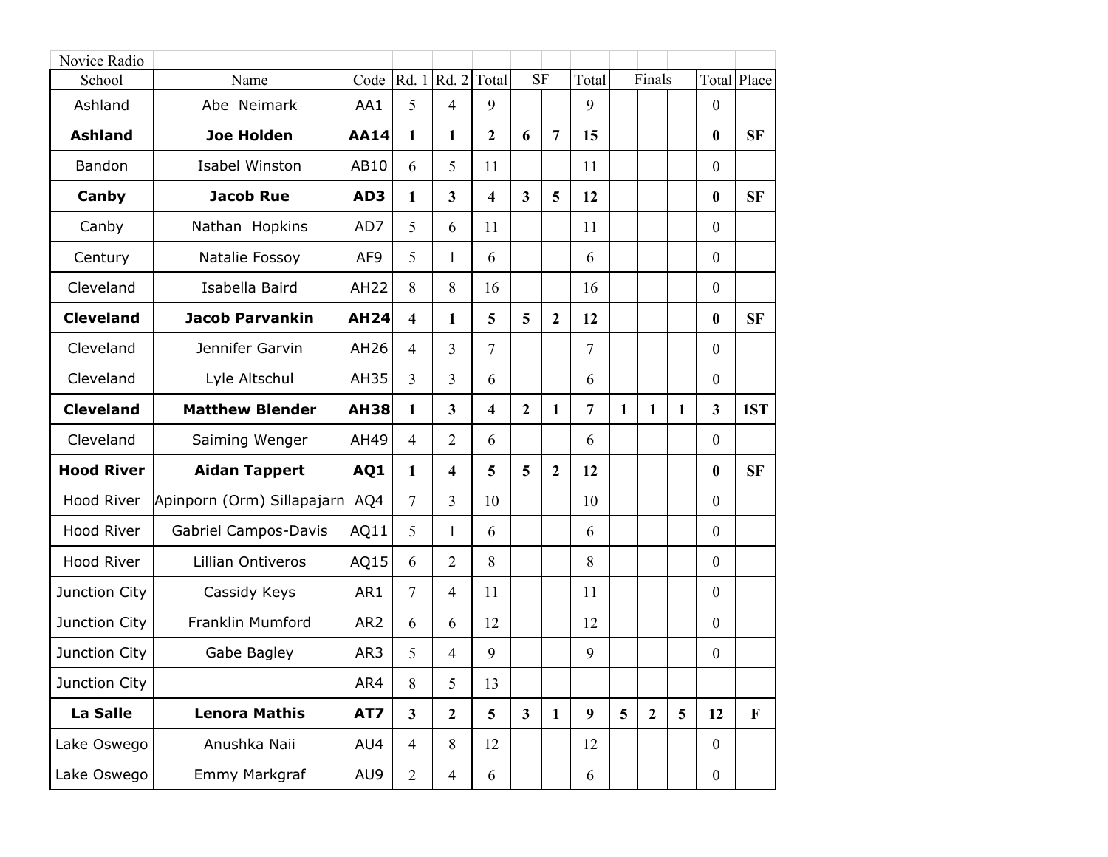| Novice Radio      |                            |                 |                         |                         |                |                         |                |                |              |              |   |                  |             |
|-------------------|----------------------------|-----------------|-------------------------|-------------------------|----------------|-------------------------|----------------|----------------|--------------|--------------|---|------------------|-------------|
| School            | Name                       | Code            | Rd. 1                   | Rd. 2                   | Total          | <b>SF</b>               |                | Total          |              | Finals       |   |                  | Total Place |
| Ashland           | Abe Neimark                | AA1             | 5                       | 4                       | 9              |                         |                | 9              |              |              |   | $\boldsymbol{0}$ |             |
| <b>Ashland</b>    | <b>Joe Holden</b>          | <b>AA14</b>     | 1                       | 1                       | $\mathbf{2}$   | 6                       | $\overline{7}$ | 15             |              |              |   | $\boldsymbol{0}$ | <b>SF</b>   |
| Bandon            | Isabel Winston             | AB10            | 6                       | 5                       | 11             |                         |                | 11             |              |              |   | $\boldsymbol{0}$ |             |
| Canby             | <b>Jacob Rue</b>           | AD3             | 1                       | $\overline{\mathbf{3}}$ | 4              | $\overline{\mathbf{3}}$ | 5              | 12             |              |              |   | $\boldsymbol{0}$ | <b>SF</b>   |
| Canby             | Nathan Hopkins             | AD7             | 5                       | 6                       | 11             |                         |                | 11             |              |              |   | $\boldsymbol{0}$ |             |
| Century           | Natalie Fossoy             | AF <sub>9</sub> | 5                       | 1                       | 6              |                         |                | 6              |              |              |   | $\mathbf{0}$     |             |
| Cleveland         | Isabella Baird             | <b>AH22</b>     | 8                       | 8                       | 16             |                         |                | 16             |              |              |   | $\boldsymbol{0}$ |             |
| <b>Cleveland</b>  | <b>Jacob Parvankin</b>     | <b>AH24</b>     | $\overline{\mathbf{4}}$ | 1                       | 5              | 5                       | $\overline{2}$ | 12             |              |              |   | $\boldsymbol{0}$ | <b>SF</b>   |
| Cleveland         | Jennifer Garvin            | AH26            | $\overline{4}$          | 3                       | $\overline{7}$ |                         |                | $\overline{7}$ |              |              |   | $\boldsymbol{0}$ |             |
| Cleveland         | Lyle Altschul              | AH35            | 3                       | 3                       | 6              |                         |                | 6              |              |              |   | $\boldsymbol{0}$ |             |
| <b>Cleveland</b>  | <b>Matthew Blender</b>     | <b>AH38</b>     | $\mathbf{1}$            | $\overline{\mathbf{3}}$ | 4              | $\overline{2}$          | $\mathbf{1}$   | $\overline{7}$ | $\mathbf{1}$ | $\mathbf{1}$ | 1 | 3                | 1ST         |
| Cleveland         | Saiming Wenger             | AH49            | $\overline{4}$          | 2                       | 6              |                         |                | 6              |              |              |   | $\boldsymbol{0}$ |             |
| <b>Hood River</b> | <b>Aidan Tappert</b>       | AQ1             | $\mathbf{1}$            | $\overline{\mathbf{4}}$ | 5              | 5                       | $\mathbf{2}$   | 12             |              |              |   | $\boldsymbol{0}$ | <b>SF</b>   |
| Hood River        | Apinporn (Orm) Sillapajarn | AQ4             | $\overline{7}$          | 3                       | 10             |                         |                | 10             |              |              |   | $\boldsymbol{0}$ |             |
| Hood River        | Gabriel Campos-Davis       | AQ11            | 5                       | 1                       | 6              |                         |                | 6              |              |              |   | $\boldsymbol{0}$ |             |
| Hood River        | Lillian Ontiveros          | AQ15            | 6                       | $\overline{2}$          | 8              |                         |                | 8              |              |              |   | $\mathbf{0}$     |             |
| Junction City     | Cassidy Keys               | AR1             | $\overline{7}$          | $\overline{4}$          | 11             |                         |                | 11             |              |              |   | $\boldsymbol{0}$ |             |
| Junction City     | Franklin Mumford           | AR <sub>2</sub> | 6                       | 6                       | 12             |                         |                | 12             |              |              |   | $\boldsymbol{0}$ |             |
| Junction City     | Gabe Bagley                | AR3             | 5                       | 4                       | 9              |                         |                | 9              |              |              |   | $\boldsymbol{0}$ |             |
| Junction City     |                            | AR4             | 8                       | 5                       | 13             |                         |                |                |              |              |   |                  |             |
| La Salle          | <b>Lenora Mathis</b>       | AT7             | $\mathbf{3}$            | $\overline{2}$          | 5              | 3 <sup>1</sup>          | $\mathbf{1}$   | 9              | 5            | $\mathbf{2}$ | 5 | 12               | $\mathbf F$ |
| Lake Oswego       | Anushka Naii               | AU4             | $\overline{4}$          | 8                       | 12             |                         |                | 12             |              |              |   | $\mathbf{0}$     |             |
| Lake Oswego       | Emmy Markgraf              | AU9             | $\overline{2}$          | $\overline{4}$          | 6              |                         |                | 6              |              |              |   | $\boldsymbol{0}$ |             |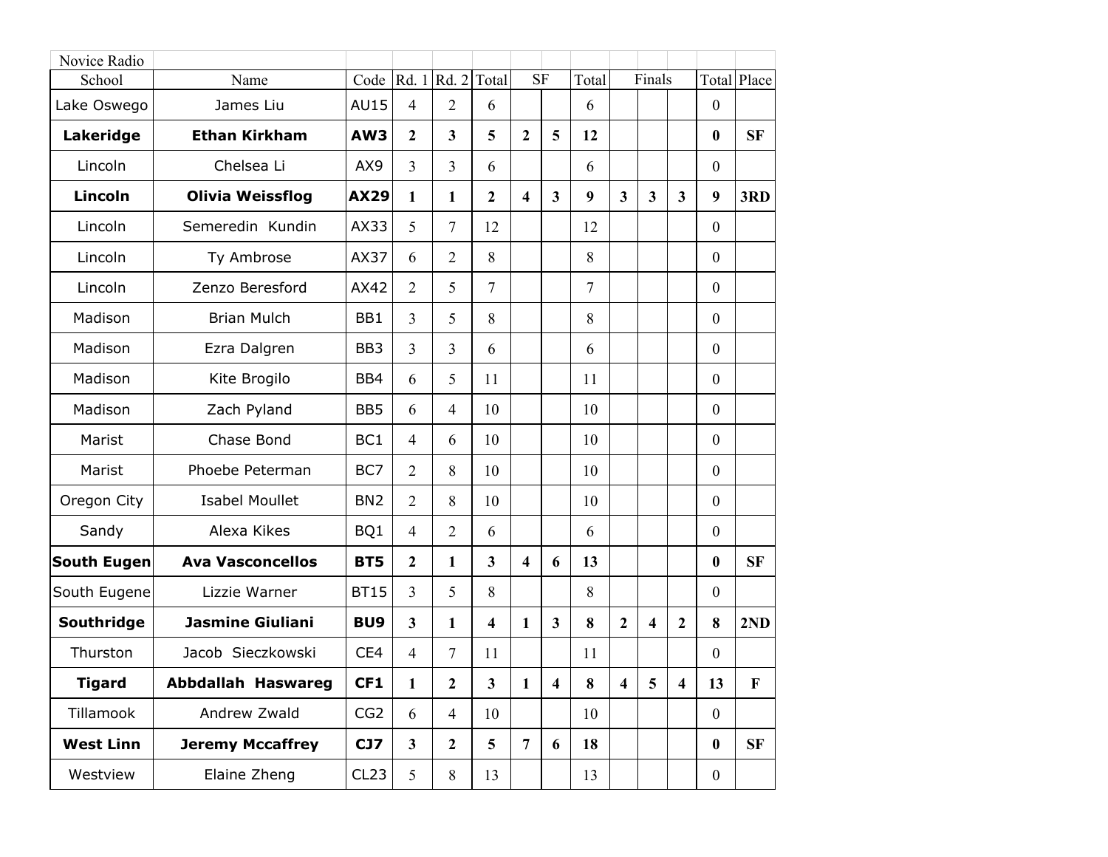| Novice Radio       |                           |                 |                         |                  |                         |                         |                         |                |                         |                         |                         |                  |                    |
|--------------------|---------------------------|-----------------|-------------------------|------------------|-------------------------|-------------------------|-------------------------|----------------|-------------------------|-------------------------|-------------------------|------------------|--------------------|
| School             | Name                      | Code            |                         | Rd. 1 Rd. 2      | Total                   | <b>SF</b>               |                         | Total          |                         | Finals                  |                         |                  | <b>Total Place</b> |
| Lake Oswego        | James Liu                 | <b>AU15</b>     | $\overline{4}$          | $\overline{2}$   | 6                       |                         |                         | 6              |                         |                         |                         | $\mathbf{0}$     |                    |
| Lakeridge          | <b>Ethan Kirkham</b>      | AW3             | $\overline{2}$          | 3                | 5                       | $\overline{2}$          | 5                       | 12             |                         |                         |                         | $\boldsymbol{0}$ | <b>SF</b>          |
| Lincoln            | Chelsea Li                | AX9             | 3                       | $\overline{3}$   | 6                       |                         |                         | 6              |                         |                         |                         | $\boldsymbol{0}$ |                    |
| <b>Lincoln</b>     | <b>Olivia Weissflog</b>   | <b>AX29</b>     | 1                       | $\mathbf{1}$     | $\mathbf{2}$            | $\overline{\mathbf{4}}$ | $\overline{\mathbf{3}}$ | 9              | $\overline{\mathbf{3}}$ | $\overline{\mathbf{3}}$ | $\overline{\mathbf{3}}$ | 9                | 3RD                |
| Lincoln            | Semeredin Kundin          | AX33            | 5                       | 7                | 12                      |                         |                         | 12             |                         |                         |                         | $\mathbf{0}$     |                    |
| Lincoln            | Ty Ambrose                | AX37            | 6                       | $\overline{2}$   | 8                       |                         |                         | 8              |                         |                         |                         | $\mathbf{0}$     |                    |
| Lincoln            | Zenzo Beresford           | AX42            | $\overline{2}$          | 5                | $\overline{7}$          |                         |                         | $\overline{7}$ |                         |                         |                         | $\boldsymbol{0}$ |                    |
| Madison            | <b>Brian Mulch</b>        | BB1             | 3                       | 5                | 8                       |                         |                         | 8              |                         |                         |                         | $\boldsymbol{0}$ |                    |
| Madison            | Ezra Dalgren              | BB <sub>3</sub> | 3                       | $\overline{3}$   | 6                       |                         |                         | 6              |                         |                         |                         | $\boldsymbol{0}$ |                    |
| Madison            | Kite Brogilo              | BB4             | 6                       | 5                | 11                      |                         |                         | 11             |                         |                         |                         | $\mathbf{0}$     |                    |
| Madison            | Zach Pyland               | BB <sub>5</sub> | 6                       | $\overline{4}$   | 10                      |                         |                         | 10             |                         |                         |                         | $\mathbf{0}$     |                    |
| Marist             | Chase Bond                | BC <sub>1</sub> | $\overline{4}$          | 6                | 10                      |                         |                         | 10             |                         |                         |                         | $\boldsymbol{0}$ |                    |
| Marist             | Phoebe Peterman           | BC7             | $\overline{2}$          | 8                | 10                      |                         |                         | 10             |                         |                         |                         | $\boldsymbol{0}$ |                    |
| Oregon City        | <b>Isabel Moullet</b>     | BN <sub>2</sub> | $\overline{2}$          | 8                | 10                      |                         |                         | 10             |                         |                         |                         | $\mathbf{0}$     |                    |
| Sandy              | Alexa Kikes               | BQ1             | $\overline{4}$          | $\overline{2}$   | 6                       |                         |                         | 6              |                         |                         |                         | $\boldsymbol{0}$ |                    |
| <b>South Eugen</b> | <b>Ava Vasconcellos</b>   | BT5             | $\boldsymbol{2}$        | 1                | $\overline{\mathbf{3}}$ | $\overline{\mathbf{4}}$ | 6                       | 13             |                         |                         |                         | $\boldsymbol{0}$ | <b>SF</b>          |
| South Eugene       | Lizzie Warner             | <b>BT15</b>     | 3                       | 5                | 8                       |                         |                         | 8              |                         |                         |                         | $\mathbf{0}$     |                    |
| Southridge         | <b>Jasmine Giuliani</b>   | BU <sub>9</sub> | 3                       | 1                | 4                       | 1                       | 3                       | 8              | $\overline{2}$          | $\overline{\mathbf{4}}$ | $\overline{2}$          | 8                | 2ND                |
| Thurston           | Jacob Sieczkowski         | CE4             | 4                       | 7                | 11                      |                         |                         | 11             |                         |                         |                         | $\boldsymbol{0}$ |                    |
| <b>Tigard</b>      | <b>Abbdallah Haswareg</b> | CF1             | 1                       | $\boldsymbol{2}$ | $\mathbf{3}$            | $\mathbf{1}$            | 4                       | 8              | $\overline{\mathbf{4}}$ | 5                       | 4                       | 13               | $\mathbf{F}$       |
| Tillamook          | Andrew Zwald              | CG <sub>2</sub> | 6                       | $\overline{4}$   | 10                      |                         |                         | 10             |                         |                         |                         | $\mathbf{0}$     |                    |
| <b>West Linn</b>   | <b>Jeremy Mccaffrey</b>   | CJ7             | $\overline{\mathbf{3}}$ | $\overline{2}$   | 5                       | $\overline{7}$          | 6                       | 18             |                         |                         |                         | $\boldsymbol{0}$ | <b>SF</b>          |
| Westview           | Elaine Zheng              | CL23            | 5                       | $8\,$            | 13                      |                         |                         | 13             |                         |                         |                         | $\mathbf{0}$     |                    |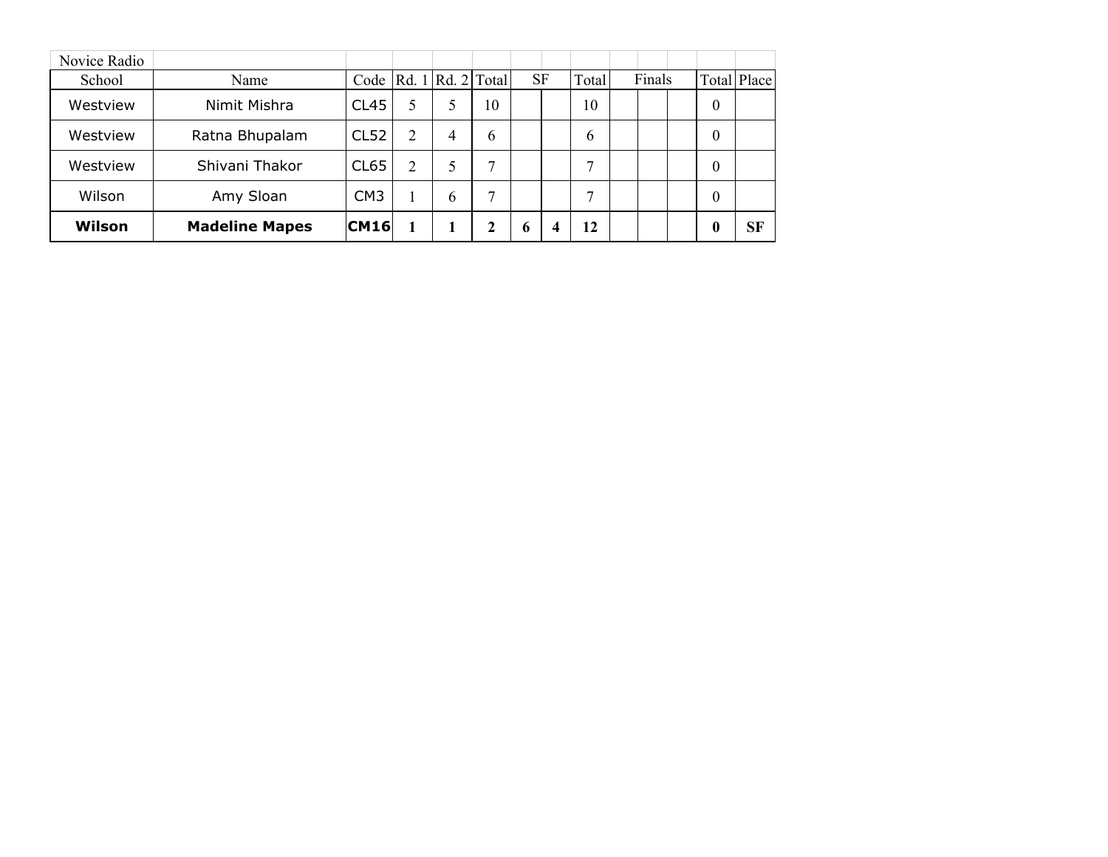| Novice Radio |                       |                  |   |                                               |    |   |           |              |        |                  |             |
|--------------|-----------------------|------------------|---|-----------------------------------------------|----|---|-----------|--------------|--------|------------------|-------------|
| School       | Name                  |                  |   | Code $\lceil Rd. 1 \rceil Rd. 2 \rceil$ Total |    |   | <b>SF</b> | Total        | Finals |                  | Total Place |
| Westview     | Nimit Mishra          | CL45             | 5 | 5                                             | 10 |   |           | 10           |        | $\boldsymbol{0}$ |             |
| Westview     | Ratna Bhupalam        | CL52             | 2 | 4                                             | 6  |   |           | <sub>b</sub> |        | $\theta$         |             |
| Westview     | Shivani Thakor        | CL <sub>65</sub> | 2 | 5                                             | ⇁  |   |           | ┑            |        | $\theta$         |             |
| Wilson       | Amy Sloan             | CM <sub>3</sub>  |   | $\mathfrak b$                                 | ⇁  |   |           | $\mathbf{r}$ |        | $\theta$         |             |
| Wilson       | <b>Madeline Mapes</b> | <b>CM16</b>      |   |                                               | 2  | o | 4         | 12           |        | 0                | <b>SF</b>   |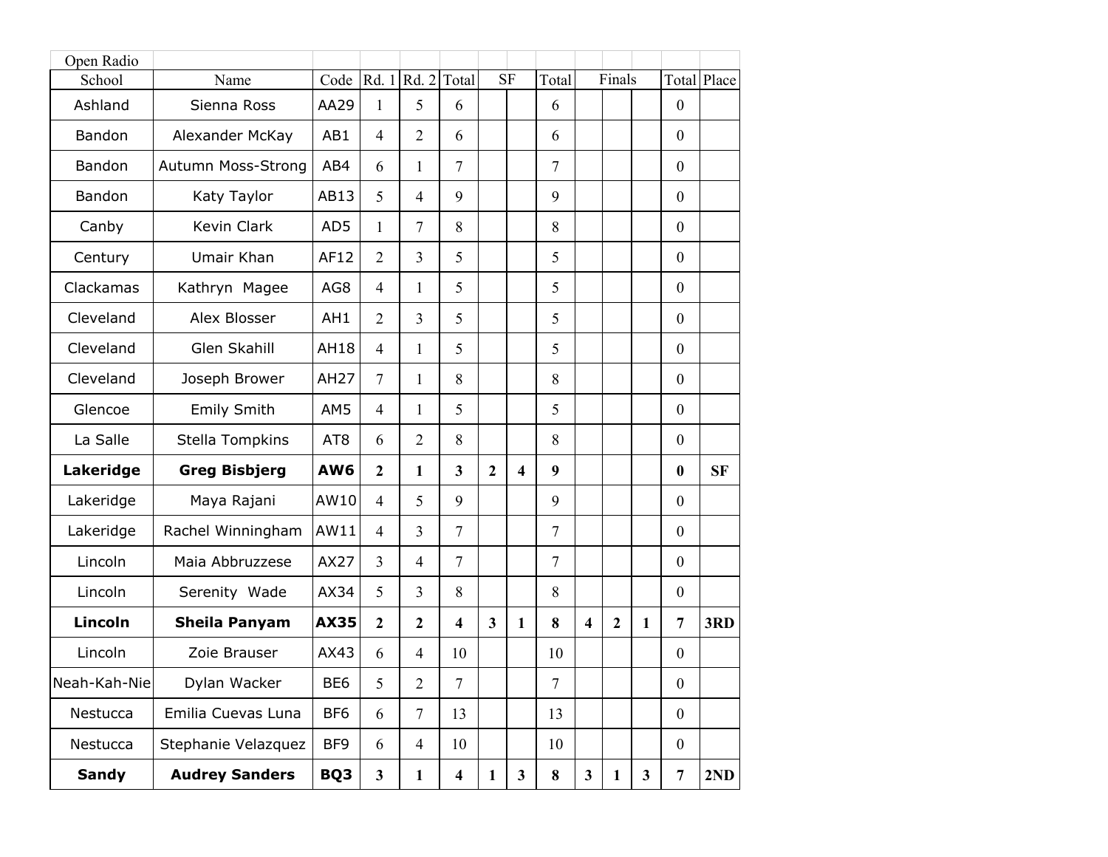| Open Radio   |                       |                 |                |                |                         |                         |                         |                |                         |                |              |                  |             |
|--------------|-----------------------|-----------------|----------------|----------------|-------------------------|-------------------------|-------------------------|----------------|-------------------------|----------------|--------------|------------------|-------------|
| School       | Name                  | Code            |                | Rd. 1 Rd. 2    | Total                   |                         | <b>SF</b>               | Total          |                         | Finals         |              |                  | Total Place |
| Ashland      | Sienna Ross           | AA29            | 1              | 5              | 6                       |                         |                         | 6              |                         |                |              | $\mathbf{0}$     |             |
| Bandon       | Alexander McKay       | AB1             | $\overline{4}$ | $\overline{2}$ | 6                       |                         |                         | 6              |                         |                |              | $\mathbf{0}$     |             |
| Bandon       | Autumn Moss-Strong    | AB4             | 6              | 1              | $\overline{7}$          |                         |                         | $\overline{7}$ |                         |                |              | $\boldsymbol{0}$ |             |
| Bandon       | Katy Taylor           | AB13            | 5              | $\overline{4}$ | 9                       |                         |                         | 9              |                         |                |              | $\mathbf{0}$     |             |
| Canby        | Kevin Clark           | AD <sub>5</sub> | 1              | $\overline{7}$ | 8                       |                         |                         | 8              |                         |                |              | $\mathbf{0}$     |             |
| Century      | Umair Khan            | AF12            | $\overline{2}$ | 3              | 5                       |                         |                         | 5              |                         |                |              | $\mathbf{0}$     |             |
| Clackamas    | Kathryn Magee         | AG8             | $\overline{4}$ | 1              | 5                       |                         |                         | 5              |                         |                |              | $\mathbf{0}$     |             |
| Cleveland    | Alex Blosser          | AH1             | $\overline{2}$ | $\overline{3}$ | 5                       |                         |                         | 5              |                         |                |              | $\boldsymbol{0}$ |             |
| Cleveland    | Glen Skahill          | <b>AH18</b>     | $\overline{4}$ | 1              | 5                       |                         |                         | 5              |                         |                |              | $\mathbf{0}$     |             |
| Cleveland    | Joseph Brower         | <b>AH27</b>     | $\overline{7}$ | 1              | 8                       |                         |                         | 8              |                         |                |              | $\mathbf{0}$     |             |
| Glencoe      | <b>Emily Smith</b>    | AM5             | $\overline{4}$ | 1              | 5                       |                         |                         | 5              |                         |                |              | $\mathbf{0}$     |             |
| La Salle     | Stella Tompkins       | AT <sub>8</sub> | 6              | $\overline{2}$ | 8                       |                         |                         | 8              |                         |                |              | $\boldsymbol{0}$ |             |
| Lakeridge    | <b>Greg Bisbjerg</b>  | AW <sub>6</sub> | $\overline{2}$ | $\mathbf{1}$   | $\overline{\mathbf{3}}$ | $\overline{2}$          | $\overline{\mathbf{4}}$ | 9              |                         |                |              | $\bf{0}$         | <b>SF</b>   |
| Lakeridge    | Maya Rajani           | AW10            | $\overline{4}$ | 5              | 9                       |                         |                         | 9              |                         |                |              | $\mathbf{0}$     |             |
| Lakeridge    | Rachel Winningham     | AW11            | $\overline{4}$ | 3              | $\tau$                  |                         |                         | $\overline{7}$ |                         |                |              | $\mathbf{0}$     |             |
| Lincoln      | Maia Abbruzzese       | <b>AX27</b>     | $\overline{3}$ | $\overline{4}$ | $\tau$                  |                         |                         | $\overline{7}$ |                         |                |              | $\boldsymbol{0}$ |             |
| Lincoln      | Serenity Wade         | AX34            | 5              | $\overline{3}$ | 8                       |                         |                         | 8              |                         |                |              | $\boldsymbol{0}$ |             |
| Lincoln      | <b>Sheila Panyam</b>  | <b>AX35</b>     | $\overline{2}$ | $\overline{2}$ | $\overline{\mathbf{4}}$ | $\overline{\mathbf{3}}$ | 1                       | 8              | $\overline{\mathbf{4}}$ | $\overline{2}$ | 1            | $\overline{7}$   | 3RD         |
| Lincoln      | Zoie Brauser          | AX43            | 6              | $\overline{4}$ | 10                      |                         |                         | 10             |                         |                |              | $\boldsymbol{0}$ |             |
| Neah-Kah-Nie | Dylan Wacker          | BE <sub>6</sub> | 5              | $\overline{2}$ | $\overline{7}$          |                         |                         | $\overline{7}$ |                         |                |              | $\boldsymbol{0}$ |             |
| Nestucca     | Emilia Cuevas Luna    | BF <sub>6</sub> | 6              | $\overline{7}$ | 13                      |                         |                         | 13             |                         |                |              | $\overline{0}$   |             |
| Nestucca     | Stephanie Velazquez   | BF9             | 6              | $\overline{4}$ | 10                      |                         |                         | 10             |                         |                |              | $\boldsymbol{0}$ |             |
| <b>Sandy</b> | <b>Audrey Sanders</b> | BQ3             | $\mathbf{3}$   | $\mathbf{1}$   | $\overline{\mathbf{4}}$ | $\mathbf{1}$            | $\mathbf{3}$            | 8              | $\mathbf{3}$            | $\mathbf{1}$   | $\mathbf{3}$ | $\overline{7}$   | 2ND         |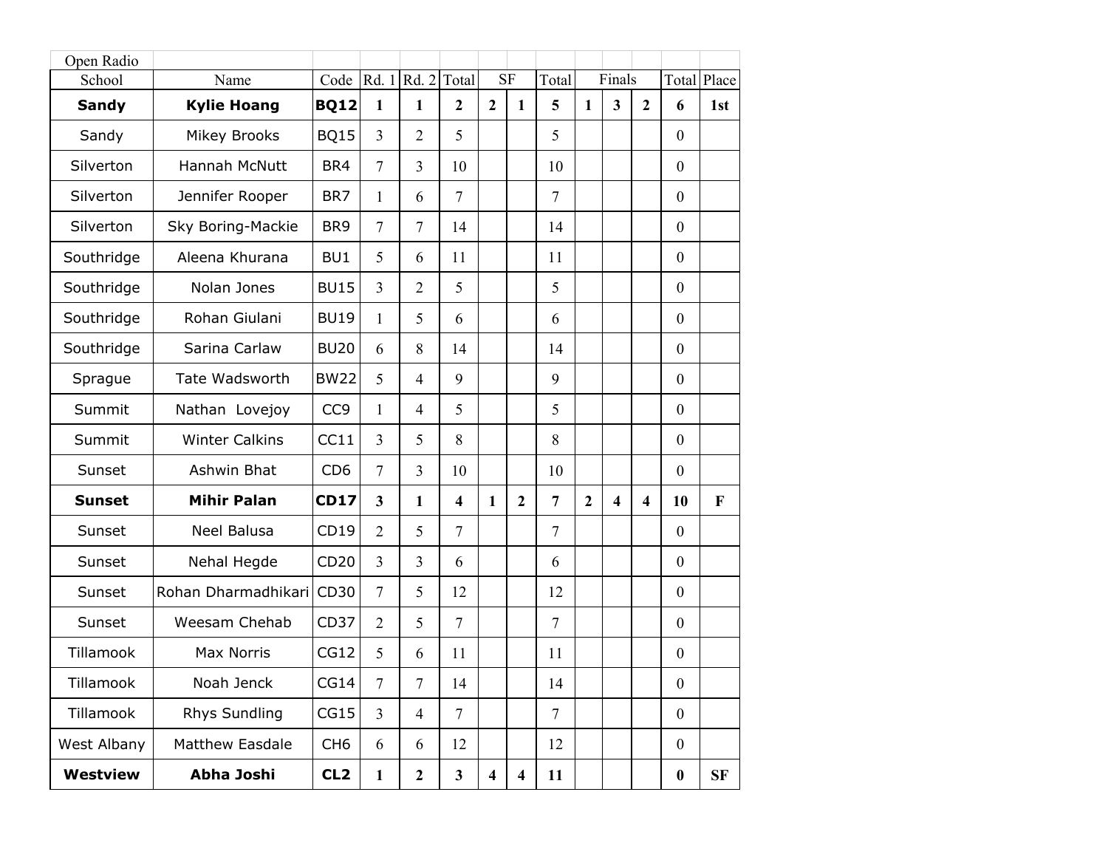| Open Radio      |                       |                 |                         |                     |                         |                         |                         |                |                |                         |                         |                  |     |
|-----------------|-----------------------|-----------------|-------------------------|---------------------|-------------------------|-------------------------|-------------------------|----------------|----------------|-------------------------|-------------------------|------------------|-----|
| School          | Name                  | Code            |                         | Rd. $1 Rd. 2 Total$ |                         |                         | <b>SF</b><br>Total      |                | Finals         |                         |                         | Total Place      |     |
| <b>Sandy</b>    | <b>Kylie Hoang</b>    | <b>BQ12</b>     | $\mathbf{1}$            | $\mathbf{1}$        | $\mathbf{2}$            | $\mathbf{2}$            | $\mathbf{1}$            | 5              | $\mathbf{1}$   | 3                       | $\boldsymbol{2}$        | 6                | 1st |
| Sandy           | <b>Mikey Brooks</b>   | <b>BQ15</b>     | $\overline{3}$          | $\overline{2}$      | 5                       |                         |                         | 5              |                |                         |                         | $\mathbf{0}$     |     |
| Silverton       | Hannah McNutt         | BR4             | $\overline{7}$          | $\overline{3}$      | 10                      |                         |                         | 10             |                |                         |                         | $\boldsymbol{0}$ |     |
| Silverton       | Jennifer Rooper       | BR7             | 1                       | 6                   | $\tau$                  |                         |                         | $\overline{7}$ |                |                         |                         | $\mathbf{0}$     |     |
| Silverton       | Sky Boring-Mackie     | BR <sub>9</sub> | $\overline{7}$          | $\tau$              | 14                      |                         |                         | 14             |                |                         |                         | $\mathbf{0}$     |     |
| Southridge      | Aleena Khurana        | BU1             | 5                       | 6                   | 11                      |                         |                         | 11             |                |                         |                         | $\mathbf{0}$     |     |
| Southridge      | Nolan Jones           | <b>BU15</b>     | $\overline{3}$          | $\overline{2}$      | 5                       |                         |                         | 5              |                |                         |                         | $\mathbf{0}$     |     |
| Southridge      | Rohan Giulani         | <b>BU19</b>     | 1                       | 5                   | 6                       |                         |                         | 6              |                |                         |                         | $\boldsymbol{0}$ |     |
| Southridge      | Sarina Carlaw         | <b>BU20</b>     | 6                       | 8                   | 14                      |                         |                         | 14             |                |                         |                         | $\boldsymbol{0}$ |     |
| Sprague         | Tate Wadsworth        | <b>BW22</b>     | 5                       | $\overline{4}$      | 9                       |                         |                         | 9              |                |                         |                         | $\mathbf{0}$     |     |
| Summit          | Nathan Lovejoy        | CC <sub>9</sub> | 1                       | $\overline{4}$      | 5                       |                         |                         | 5              |                |                         |                         | $\mathbf{0}$     |     |
| Summit          | <b>Winter Calkins</b> | CC11            | $\overline{3}$          | 5                   | 8                       |                         |                         | 8              |                |                         |                         | $\mathbf{0}$     |     |
| Sunset          | Ashwin Bhat           | CD <sub>6</sub> | $\overline{7}$          | $\overline{3}$      | 10                      |                         |                         | 10             |                |                         |                         | $\mathbf{0}$     |     |
| <b>Sunset</b>   | <b>Mihir Palan</b>    | <b>CD17</b>     | $\overline{\mathbf{3}}$ | $\mathbf{1}$        | $\overline{\mathbf{4}}$ | $\mathbf{1}$            | $\overline{2}$          | $\overline{7}$ | $\overline{2}$ | $\overline{\mathbf{4}}$ | $\overline{\mathbf{4}}$ | 10               | F   |
| Sunset          | <b>Neel Balusa</b>    | CD19            | $\overline{2}$          | 5                   | $\tau$                  |                         |                         | $\overline{7}$ |                |                         |                         | $\mathbf{0}$     |     |
| Sunset          | Nehal Hegde           | CD20            | $\overline{3}$          | 3                   | 6                       |                         |                         | 6              |                |                         |                         | $\boldsymbol{0}$ |     |
| Sunset          | Rohan Dharmadhikari   | CD30            | $\overline{7}$          | 5                   | 12                      |                         |                         | 12             |                |                         |                         | $\boldsymbol{0}$ |     |
| Sunset          | Weesam Chehab         | CD37            | $\overline{2}$          | 5                   | $\overline{7}$          |                         |                         | $\overline{7}$ |                |                         |                         | $\mathbf{0}$     |     |
| Tillamook       | <b>Max Norris</b>     | CG12            | 5                       | 6                   | 11                      |                         |                         | 11             |                |                         |                         | $\boldsymbol{0}$ |     |
| Tillamook       | Noah Jenck            | CG14            | $\overline{7}$          | $\overline{7}$      | 14                      |                         |                         | 14             |                |                         |                         | $\boldsymbol{0}$ |     |
| Tillamook       | Rhys Sundling         | CG15            | $\overline{3}$          | $\overline{4}$      | $\overline{7}$          |                         |                         | $\overline{7}$ |                |                         |                         | $\overline{0}$   |     |
| West Albany     | Matthew Easdale       | CH <sub>6</sub> | 6                       | 6                   | 12                      |                         |                         | 12             |                |                         |                         | $\boldsymbol{0}$ |     |
| <b>Westview</b> | Abha Joshi            | CL <sub>2</sub> | $\mathbf{1}$            | $\boldsymbol{2}$    | $\mathbf{3}$            | $\overline{\mathbf{4}}$ | $\overline{\mathbf{4}}$ | 11             |                |                         |                         | $\bf{0}$         | SF  |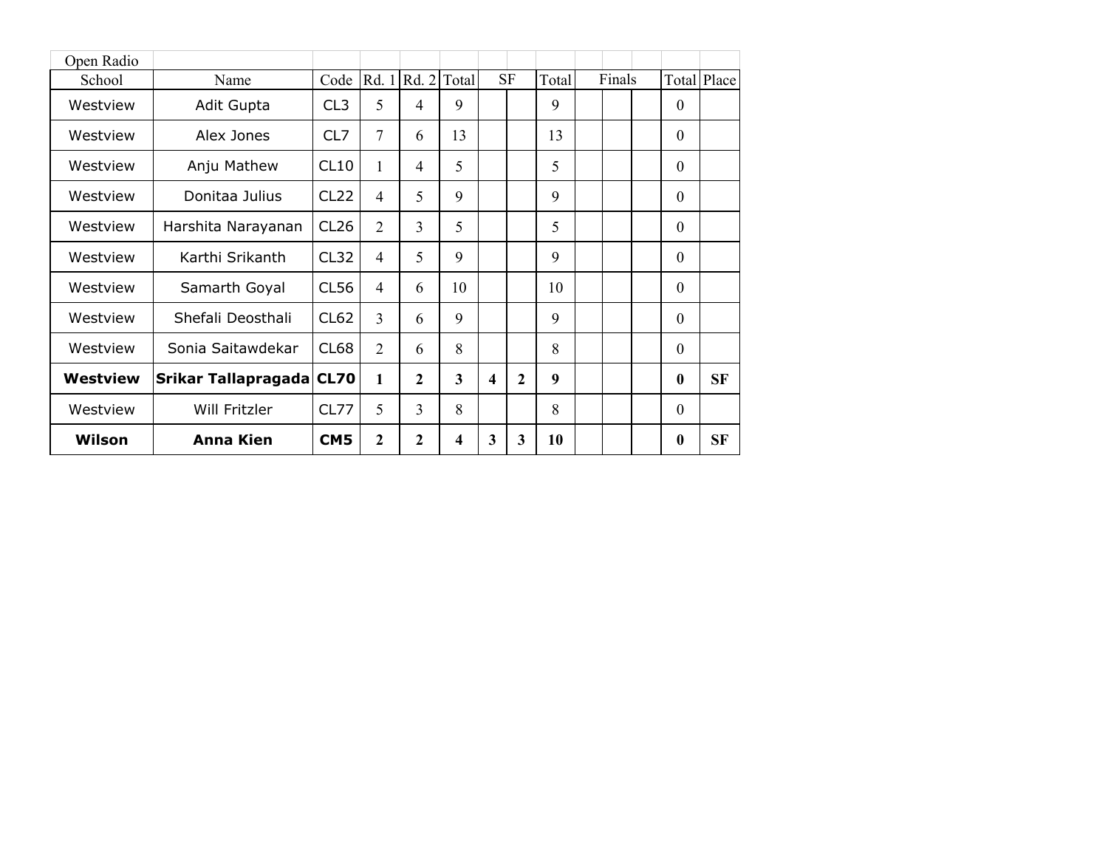| Open Radio |                     |                  |                |                |                         |                         |                |       |        |              |                    |
|------------|---------------------|------------------|----------------|----------------|-------------------------|-------------------------|----------------|-------|--------|--------------|--------------------|
| School     | Name                | Code             |                | Rd. 1 Rd. 2    | Total                   |                         | <b>SF</b>      | Total | Finals |              | <b>Total Place</b> |
| Westview   | Adit Gupta          | CL <sub>3</sub>  | 5              | 4              | 9                       |                         |                | 9     |        | $\theta$     |                    |
| Westview   | Alex Jones          | CL7              | 7              | 6              | 13                      |                         |                | 13    |        | $\mathbf{0}$ |                    |
| Westview   | Anju Mathew         | CL10             | 1              | $\overline{4}$ | 5                       |                         |                | 5     |        | $\theta$     |                    |
| Westview   | Donitaa Julius      | CL <sub>22</sub> | $\overline{4}$ | 5              | 9                       |                         |                | 9     |        | 0            |                    |
| Westview   | Harshita Narayanan  | CL <sub>26</sub> | $\overline{2}$ | 3              | 5                       |                         |                | 5     |        | $\theta$     |                    |
| Westview   | Karthi Srikanth     | CL32             | $\overline{4}$ | 5              | 9                       |                         |                | 9     |        | $\theta$     |                    |
| Westview   | Samarth Goyal       | CL56             | $\overline{4}$ | 6              | 10                      |                         |                | 10    |        | $\theta$     |                    |
| Westview   | Shefali Deosthali   | CL <sub>62</sub> | 3              | 6              | 9                       |                         |                | 9     |        | $\theta$     |                    |
| Westview   | Sonia Saitawdekar   | CL68             | $\overline{2}$ | 6              | 8                       |                         |                | 8     |        | $\theta$     |                    |
| Westview   | Srikar Tallapragada | <b>CL70</b>      | 1              | $\overline{2}$ | $\overline{\mathbf{3}}$ | 4                       | $\overline{2}$ | 9     |        | $\bf{0}$     | <b>SF</b>          |
| Westview   | Will Fritzler       | CL77             | 5              | 3              | 8                       |                         |                | 8     |        | $\Omega$     |                    |
| Wilson     | <b>Anna Kien</b>    | CM <sub>5</sub>  | $\overline{2}$ | $\mathbf{2}$   | 4                       | $\overline{\mathbf{3}}$ | 3              | 10    |        | $\bf{0}$     | <b>SF</b>          |